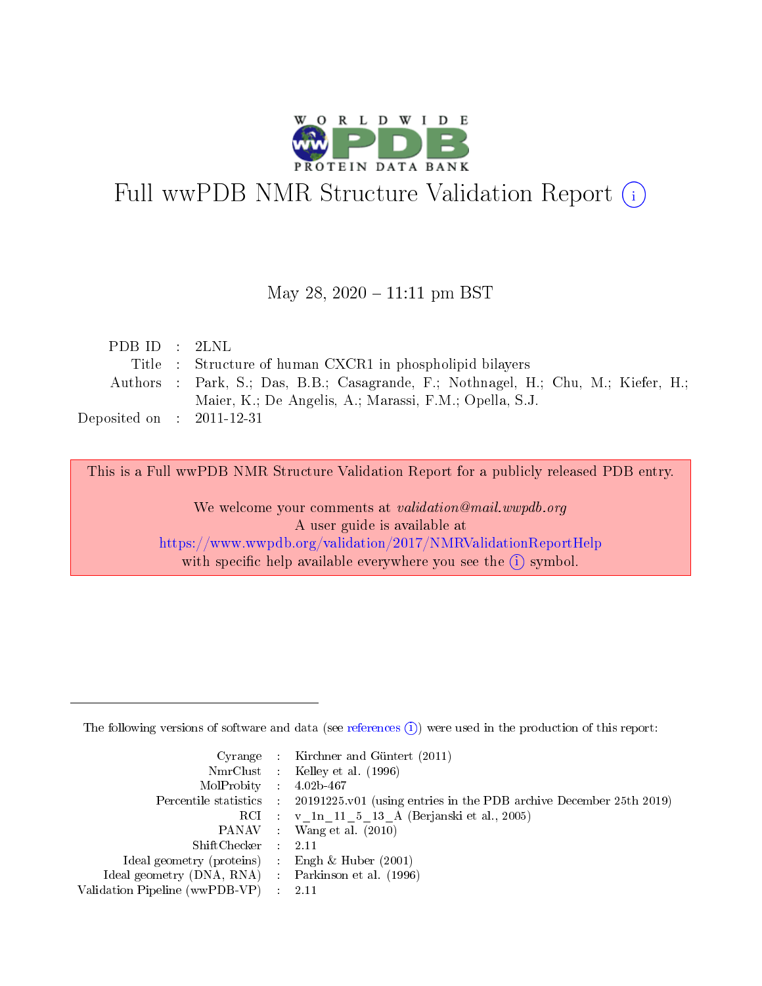

### Full wwPDB NMR Structure Validation Report (i)

### May 28, 2020 – 11:11 pm BST

| PDBID : 2LNL                |                                                                                    |
|-----------------------------|------------------------------------------------------------------------------------|
|                             | Title : Structure of human CXCR1 in phospholipid bilayers                          |
|                             | Authors : Park, S.; Das, B.B.; Casagrande, F.; Nothnagel, H.; Chu, M.; Kiefer, H.; |
|                             | Maier, K.; De Angelis, A.; Marassi, F.M.; Opella, S.J.                             |
| Deposited on : $2011-12-31$ |                                                                                    |

This is a Full wwPDB NMR Structure Validation Report for a publicly released PDB entry. We welcome your comments at validation@mail.wwpdb.org A user guide is available at <https://www.wwpdb.org/validation/2017/NMRValidationReportHelp> with specific help available everywhere you see the  $(i)$  symbol.

The following versions of software and data (see [references](https://www.wwpdb.org/validation/2017/NMRValidationReportHelp#references)  $(1)$ ) were used in the production of this report:

|                                                     | Cyrange : Kirchner and Güntert (2011)                                                      |
|-----------------------------------------------------|--------------------------------------------------------------------------------------------|
|                                                     | NmrClust : Kelley et al. (1996)                                                            |
| $MolProbability$ 4.02b-467                          |                                                                                            |
|                                                     | Percentile statistics : 20191225.v01 (using entries in the PDB archive December 25th 2019) |
|                                                     | RCI : v 1n 11 5 13 A (Berjanski et al., 2005)                                              |
|                                                     | PANAV : Wang et al. (2010)                                                                 |
| $ShiftChecker$ : 2.11                               |                                                                                            |
| Ideal geometry (proteins) : Engh $\&$ Huber (2001)  |                                                                                            |
| Ideal geometry (DNA, RNA) : Parkinson et al. (1996) |                                                                                            |
| Validation Pipeline (wwPDB-VP)                      | - 2.11                                                                                     |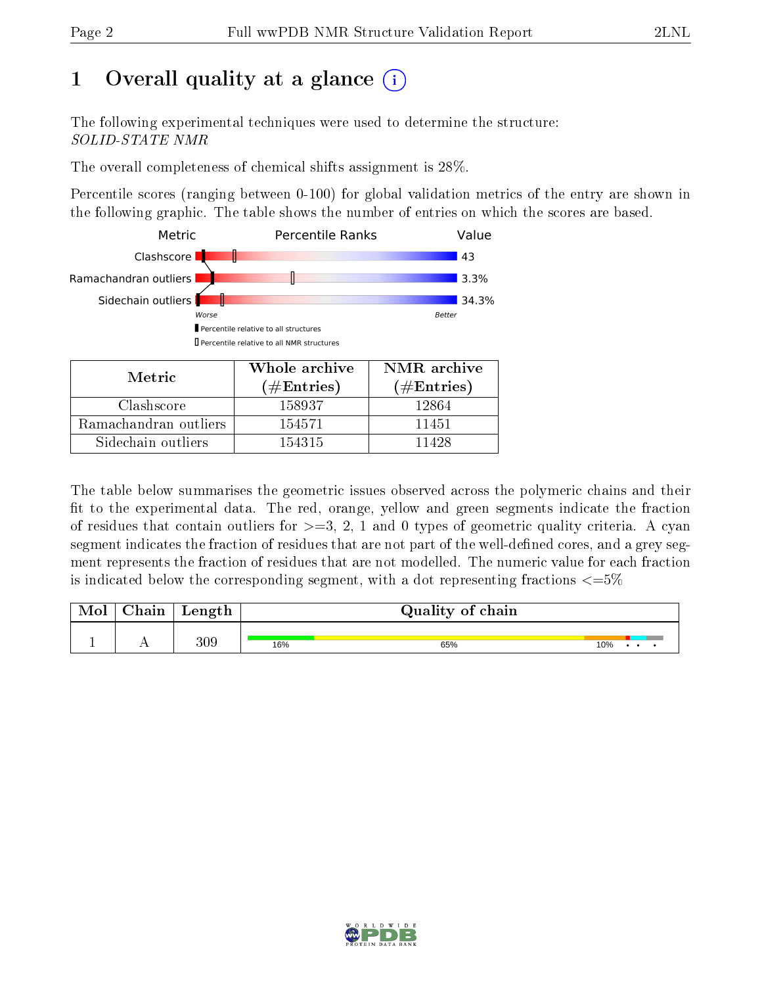### 1 [O](https://www.wwpdb.org/validation/2017/NMRValidationReportHelp#overall_quality)verall quality at a glance  $(i)$

The following experimental techniques were used to determine the structure: SOLID-STATE NMR

The overall completeness of chemical shifts assignment is 28%.

Percentile scores (ranging between 0-100) for global validation metrics of the entry are shown in the following graphic. The table shows the number of entries on which the scores are based.



| Metric                | Whole archive<br>$(\#\text{Entries})$ | NMR archive<br>$(\#\text{Entries})$ |
|-----------------------|---------------------------------------|-------------------------------------|
| Clashscore            | 158937                                | 12864                               |
| Ramachandran outliers | 154571                                | 11451                               |
| Sidechain outliers    | 154315                                | 11428                               |

The table below summarises the geometric issues observed across the polymeric chains and their fit to the experimental data. The red, orange, yellow and green segments indicate the fraction of residues that contain outliers for  $>=3, 2, 1$  and 0 types of geometric quality criteria. A cyan segment indicates the fraction of residues that are not part of the well-defined cores, and a grey segment represents the fraction of residues that are not modelled. The numeric value for each fraction is indicated below the corresponding segment, with a dot representing fractions  $\epsilon = 5\%$ 

| Mol | Chain | Length |     | Quality of chain |     |  |  |
|-----|-------|--------|-----|------------------|-----|--|--|
| -   | . .   | 309    | 16% | 65%              | 10% |  |  |

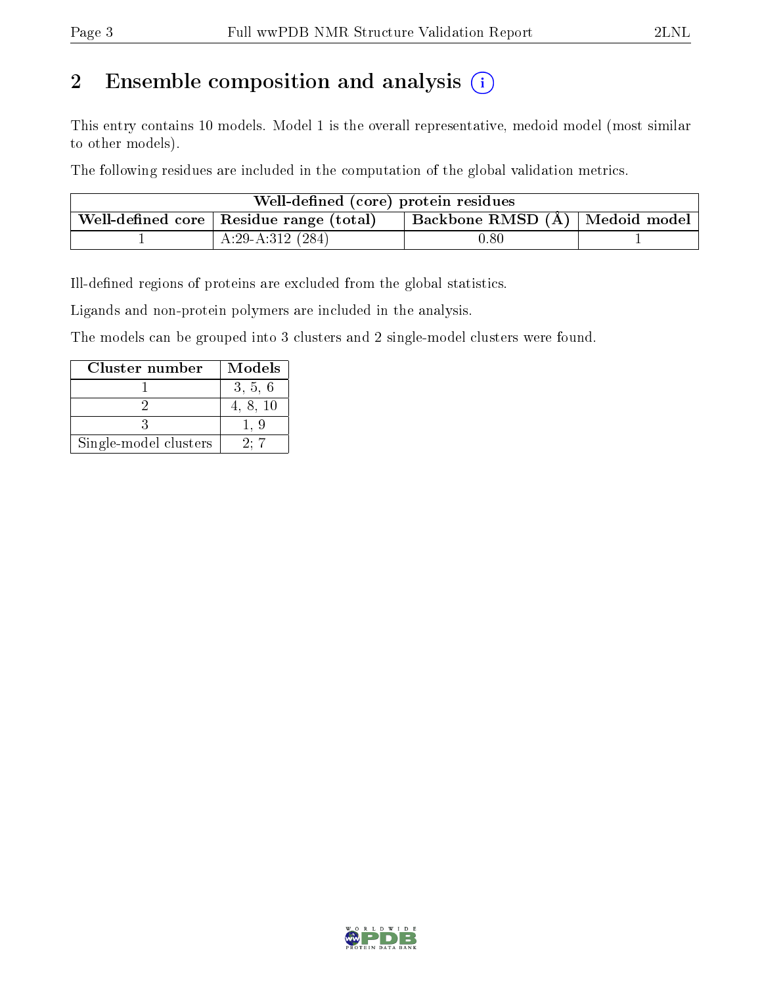### 2 Ensemble composition and analysis  $(i)$

This entry contains 10 models. Model 1 is the overall representative, medoid model (most similar to other models).

The following residues are included in the computation of the global validation metrics.

| Well-defined (core) protein residues |                                                                                 |          |  |  |  |  |  |  |
|--------------------------------------|---------------------------------------------------------------------------------|----------|--|--|--|--|--|--|
|                                      | Backbone RMSD (Å)   Medoid model  <br>Well-defined core   Residue range (total) |          |  |  |  |  |  |  |
|                                      | $A:29-A:312(284)$                                                               | $0.80\,$ |  |  |  |  |  |  |

Ill-defined regions of proteins are excluded from the global statistics.

Ligands and non-protein polymers are included in the analysis.

The models can be grouped into 3 clusters and 2 single-model clusters were found.

| Cluster number        | Models   |
|-----------------------|----------|
|                       | 3, 5, 6  |
|                       | 4, 8, 10 |
|                       |          |
| Single-model clusters | 200      |

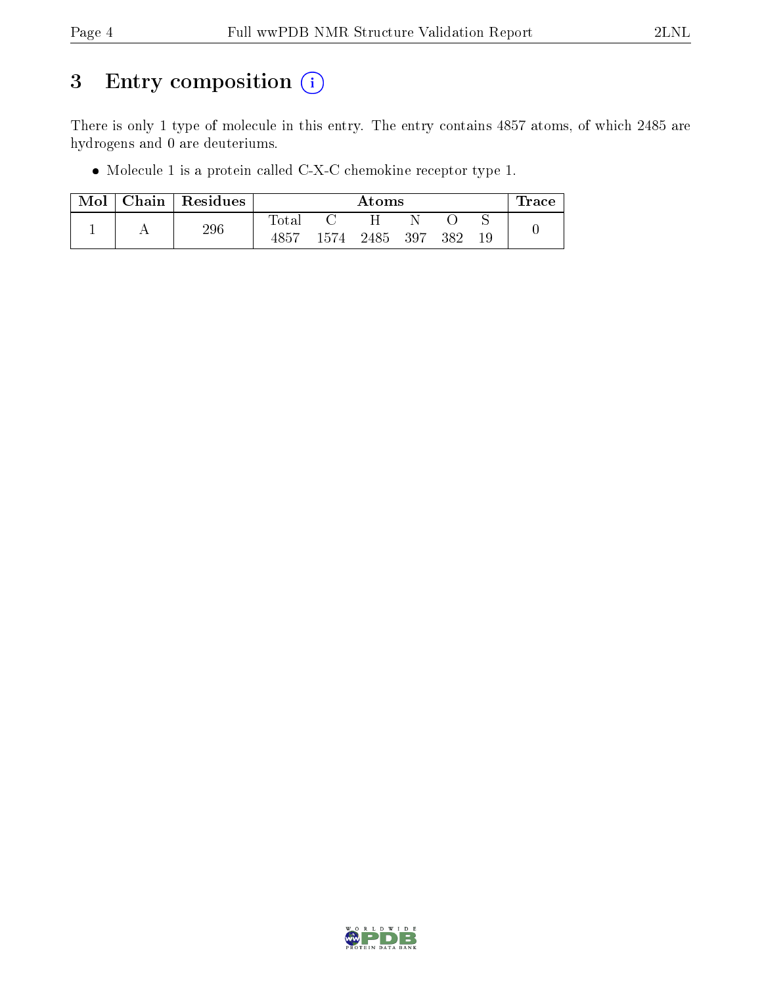### 3 Entry composition (i)

There is only 1 type of molecule in this entry. The entry contains 4857 atoms, of which 2485 are hydrogens and 0 are deuteriums.

Molecule 1 is a protein called C-X-C chemokine receptor type 1.

| Mol |     | Chain Residues | Atoms       |      |     |      |  | Trace |  |
|-----|-----|----------------|-------------|------|-----|------|--|-------|--|
|     |     |                | $\rm Total$ |      |     |      |  |       |  |
|     | 296 | 4857           | 1574        | 2485 | 397 | -382 |  |       |  |

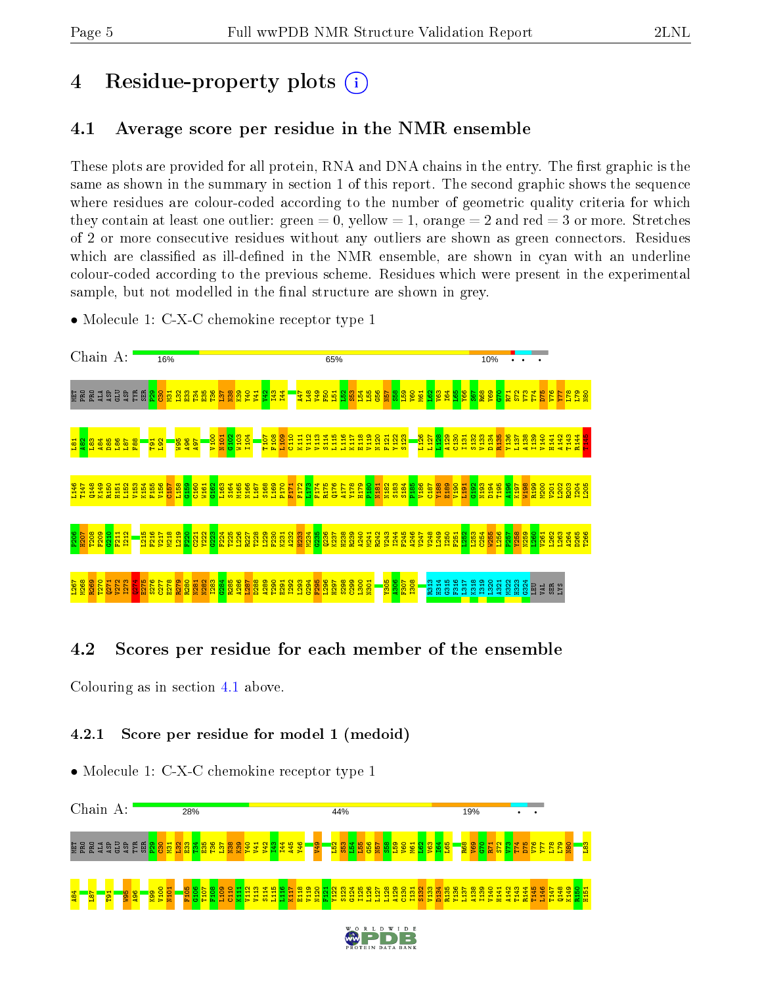### 4 Residue-property plots  $\binom{1}{1}$

### <span id="page-4-0"></span>4.1 Average score per residue in the NMR ensemble

These plots are provided for all protein, RNA and DNA chains in the entry. The first graphic is the same as shown in the summary in section 1 of this report. The second graphic shows the sequence where residues are colour-coded according to the number of geometric quality criteria for which they contain at least one outlier: green  $= 0$ , yellow  $= 1$ , orange  $= 2$  and red  $= 3$  or more. Stretches of 2 or more consecutive residues without any outliers are shown as green connectors. Residues which are classified as ill-defined in the NMR ensemble, are shown in cyan with an underline colour-coded according to the previous scheme. Residues which were present in the experimental sample, but not modelled in the final structure are shown in grey.

• Molecule 1: C-X-C chemokine receptor type 1



### 4.2 Scores per residue for each member of the ensemble

Colouring as in section [4.1](#page-4-0) above.

### 4.2.1 Score per residue for model 1 (medoid)

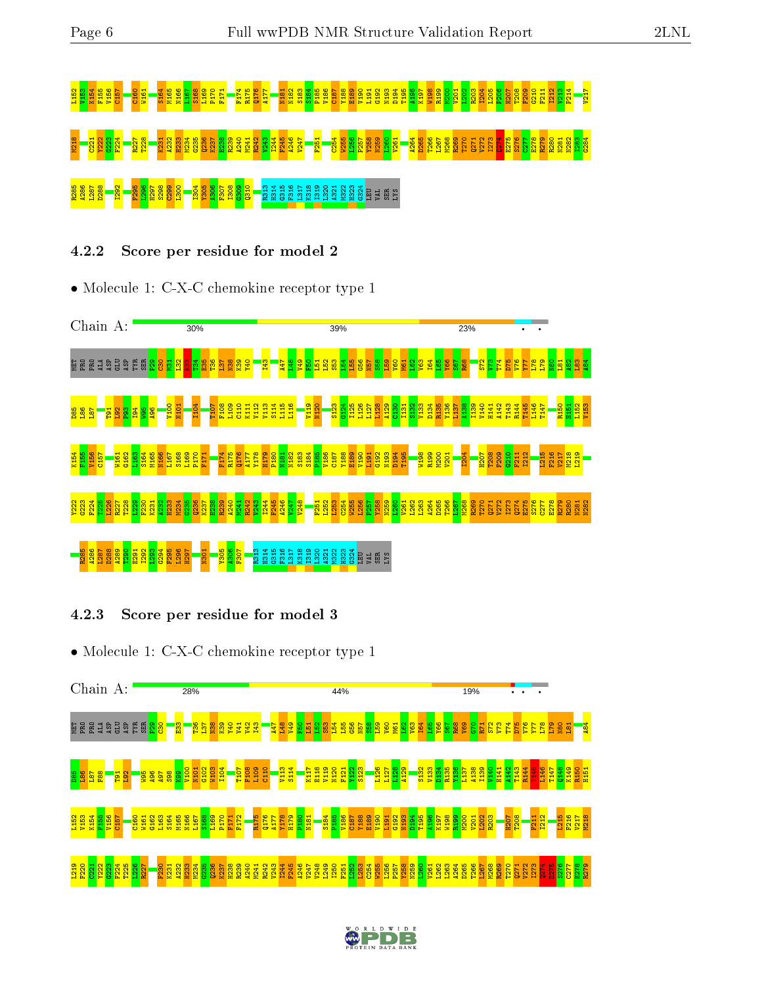# <u>g gg gg gg <mark>– g</mark>g gg gg gg s s t</u> – t t g t = gg g g g g g g g g g g g g g M218 C221 Y222 G223 F224 R227 T228 K231 A232 H233 M234 G235 Q236 K237 H238 R239 A240 M241 R242 V243 I244 F245 A246 V247 F251 C254 W255 L256 P257 Y258 N259 L260 V261 A264 D265 T266 L267 M268 R269 T270 Q271 V272 I273 Q274 E275 S276 C277 E278 R279 R280 N281 N282 I283 G284 R285 A286 L287 D288 I292 F295 L296 H297 S298 C299 L300 I304 Y305 A306 F307 I308 G309 Q310 R313 H314 G315 F316 L317 K318 I319 L320 A321 M322 H323 G324 LEU VAL SER LYS

4.2.2 Score per residue for model 2

• Molecule 1: C-X-C chemokine receptor type 1



### 4.2.3 Score per residue for model 3



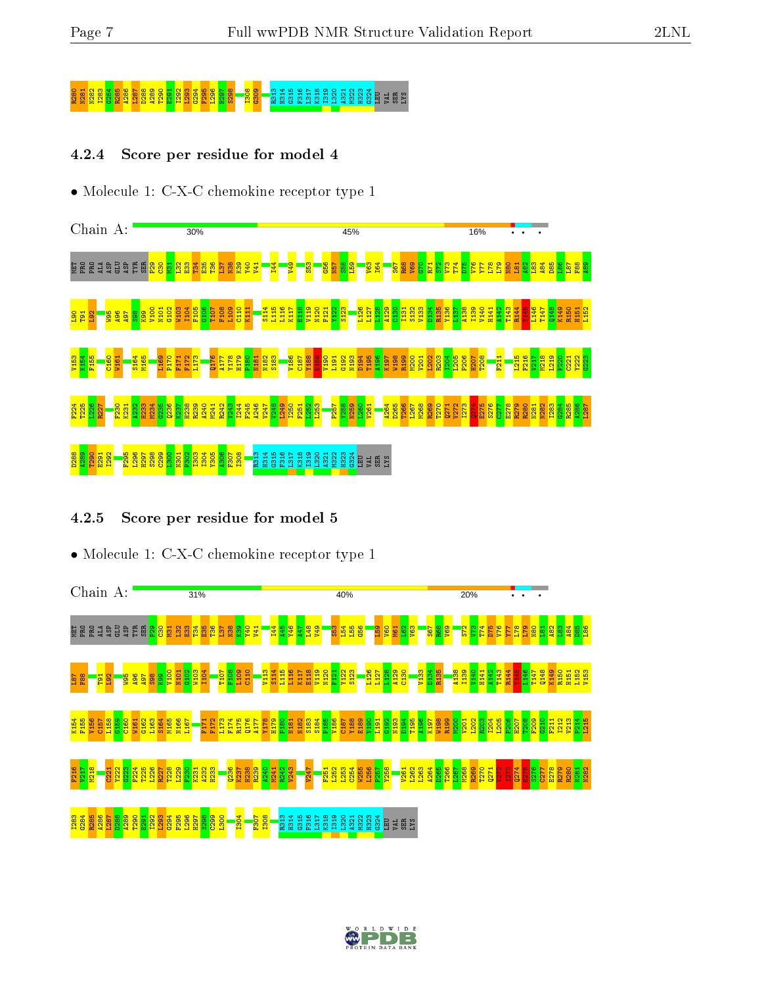### 80 30 N282 S28 G2<mark>81 R285 A286 S28</mark><br>8 R288 A289 S298 <mark>R313 G316 G30</mark><br>8 R313 B32 G316 R313 H323 G326 <mark>G300 B32</mark>1 E316 E316 E316 E321 G32

#### 4.2.4 Score per residue for model 4

• Molecule 1: C-X-C chemokine receptor type 1



### 4.2.5 Score per residue for model 5



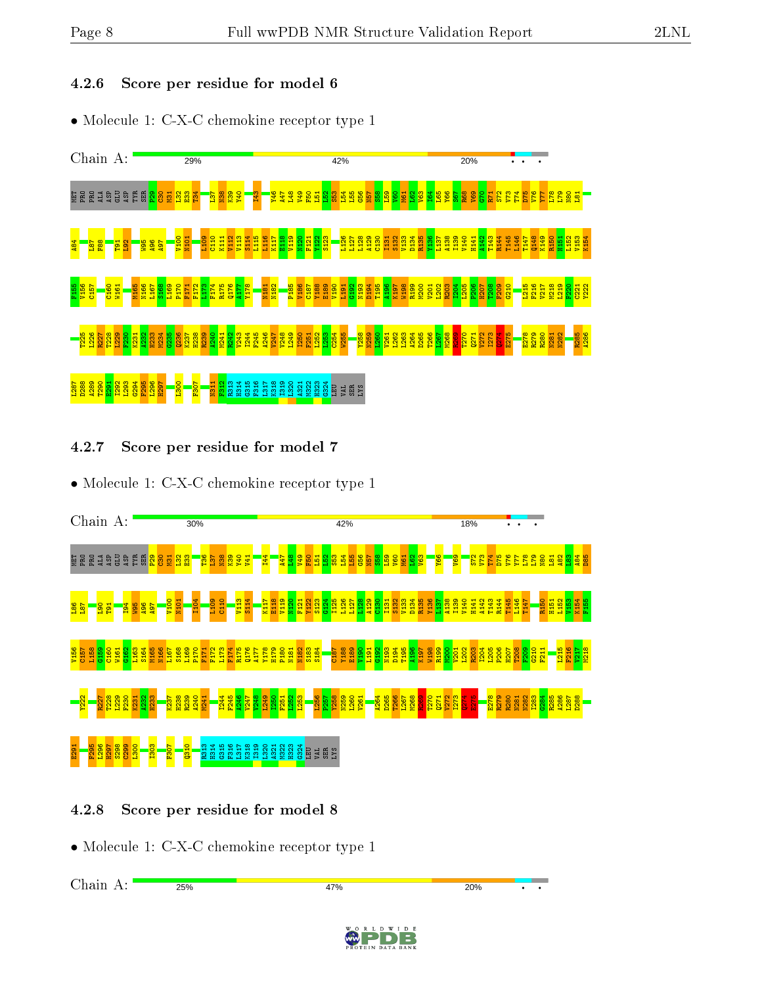#### 4.2.6 Score per residue for model 6

• Molecule 1: C-X-C chemokine receptor type 1



### 4.2.7 Score per residue for model 7

• Molecule 1: C-X-C chemokine receptor type 1



### 4.2.8 Score per residue for model 8

• Molecule 1: C-X-C chemokine receptor type 1

Chain A: $25%$ 47% 20%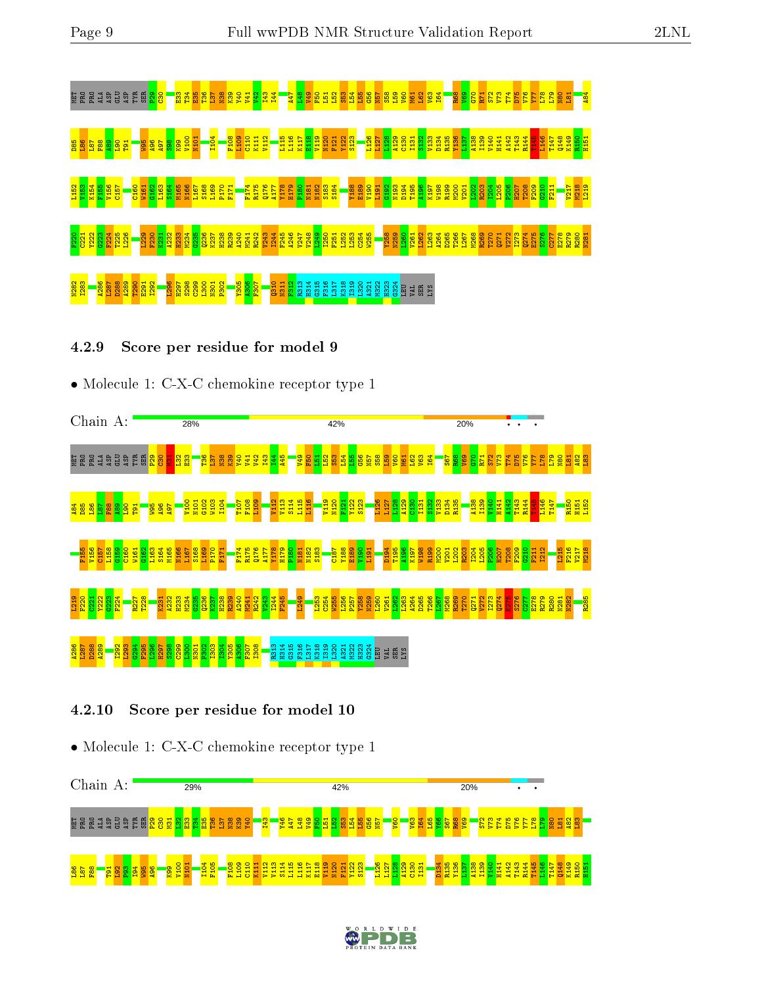

### 4.2.9 Score per residue for model 9

• Molecule 1: C-X-C chemokine receptor type 1



### 4.2.10 Score per residue for model 10



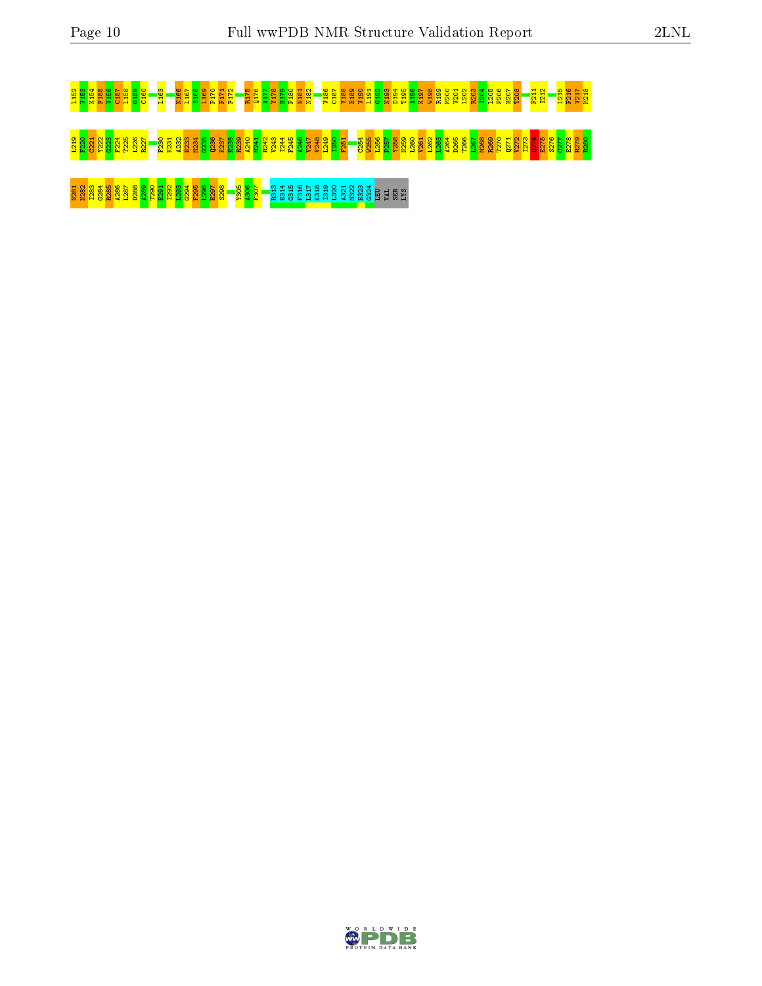## <u>ងនិន្នធំនិងទិន្នធំនួន និម្មកន្លងទូទី ដី ក្នុងទី ដី ដី ដី ដី និងនិន្ទធំនួន ដី និងនិងនិន្ទន័ន្ទន័ន្ទន័ន្ទ ដី ដូ</u>

### ានខ្មែរដែលប្រកួត និងមានទីទីទីនា និងមិនមិនដឹងនិងមិនមិនដឹ<mark>ង និងប្រកួត និង</mark> ដឹងនិងស្ថាប្ផងនិងមិននិង ដែ<mark>ងដែ</mark>ង ដែលប្អូ<br>ដឹ<mark>ងខ្មែរដែងដែនមិន មិនដឹងនិងមិនមិនមិនម</mark>ិនដឹងនិងធ្វើទីនិងនិ<mark>ង ដឹង និ</mark>ង និងប្រកួតនិងទីនិងទីនិងទីនិង និងប្រកួត

N281 N282 I283 G284 R285 A286 L287 D288 A289 T290 E291 I292 L293 G294 F295 L296 H297 S298 Y305 A306 F307 R313 H314 G315 F316 L317 K318 I319 L320 A321 M322 H323 G324 LEU VAL SER LYS

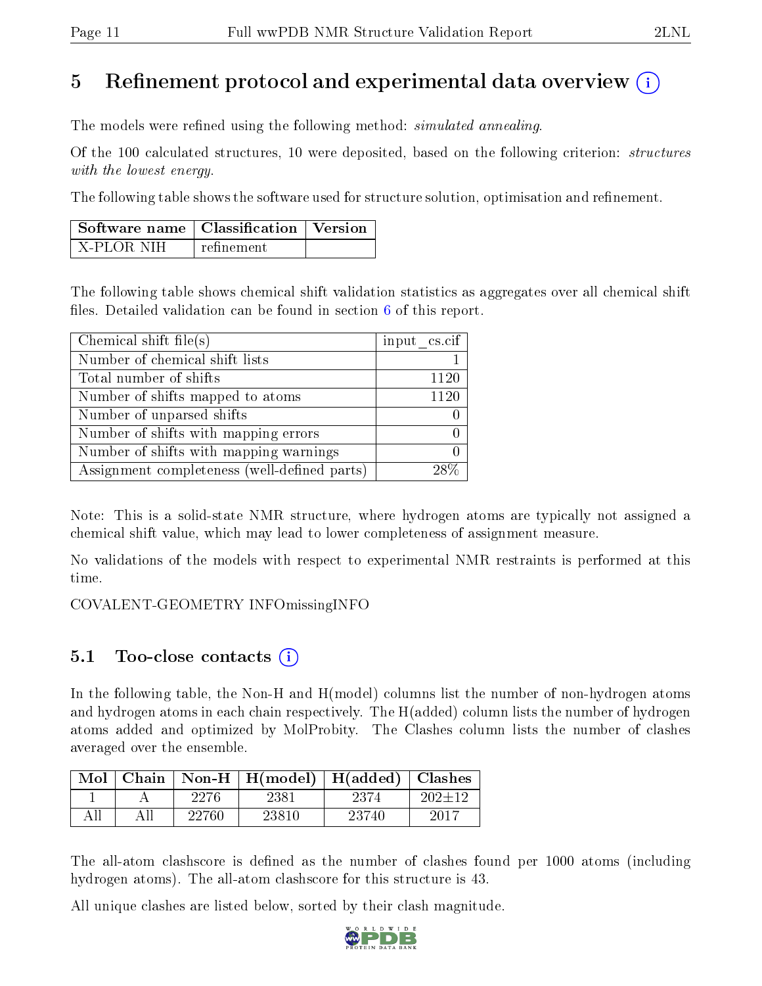### 5 Refinement protocol and experimental data overview  $\binom{1}{k}$

The models were refined using the following method: *simulated annealing*.

Of the 100 calculated structures, 10 were deposited, based on the following criterion: structures with the lowest energy.

The following table shows the software used for structure solution, optimisation and refinement.

| $\mid$ Software name $\mid$ Classification $\mid$ Version $\mid$ |             |  |
|------------------------------------------------------------------|-------------|--|
| X-PLOR NIH                                                       | refinement. |  |

The following table shows chemical shift validation statistics as aggregates over all chemical shift files. Detailed validation can be found in section  $6$  of this report.

| Chemical shift file(s)                       | input $\text{cs.} \text{cif}$ |
|----------------------------------------------|-------------------------------|
| Number of chemical shift lists               |                               |
| Total number of shifts                       | 1120                          |
| Number of shifts mapped to atoms             | 1120                          |
| Number of unparsed shifts                    |                               |
| Number of shifts with mapping errors         |                               |
| Number of shifts with mapping warnings       |                               |
| Assignment completeness (well-defined parts) |                               |

Note: This is a solid-state NMR structure, where hydrogen atoms are typically not assigned a chemical shift value, which may lead to lower completeness of assignment measure.

No validations of the models with respect to experimental NMR restraints is performed at this time.

COVALENT-GEOMETRY INFOmissingINFO

### 5.1 Too-close contacts  $(i)$

In the following table, the Non-H and H(model) columns list the number of non-hydrogen atoms and hydrogen atoms in each chain respectively. The H(added) column lists the number of hydrogen atoms added and optimized by MolProbity. The Clashes column lists the number of clashes averaged over the ensemble.

| Mol | Chain |       | Non-H $\mid$ H(model) $\mid$ H(added) $\mid$ Clashes |       |        |
|-----|-------|-------|------------------------------------------------------|-------|--------|
|     |       | 2276  | 2381                                                 | 2374  | ാ∩ാ⊥1ി |
|     |       | 22760 | 23810                                                | 23740 | 2017   |

The all-atom clashscore is defined as the number of clashes found per 1000 atoms (including hydrogen atoms). The all-atom clashscore for this structure is 43.

All unique clashes are listed below, sorted by their clash magnitude.

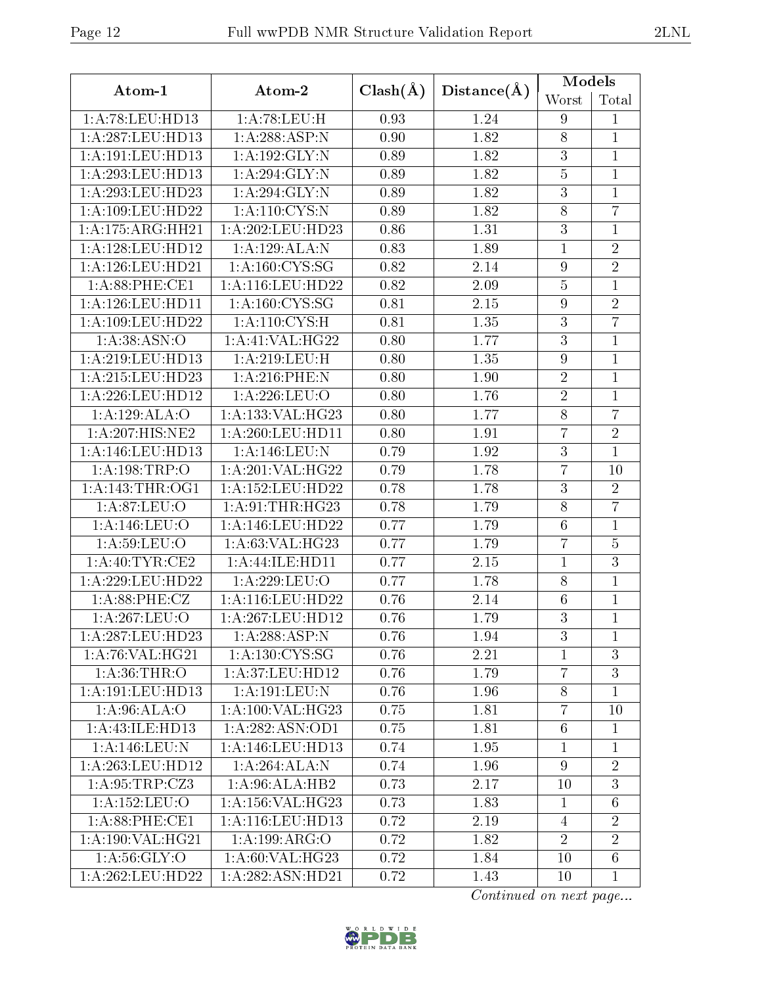|                                      |                               |              |             | Models           |                 |  |
|--------------------------------------|-------------------------------|--------------|-------------|------------------|-----------------|--|
| Atom-1                               | Atom-2                        | $Clash(\AA)$ | Distance(A) | Worst            | Total           |  |
| 1:A:78:LEU:HD13                      | 1: A:78:LEU:H                 | 0.93         | 1.24        | $\boldsymbol{9}$ | 1               |  |
| 1:A:287:LEU:HD13                     | 1:A:288:ASP:N                 | 0.90         | 1.82        | $8\,$            | $\mathbf{1}$    |  |
| 1:A:191:LEU:HD13                     | $1:\overline{A:192:GLY:N}$    | 0.89         | 1.82        | $\overline{3}$   | $\mathbf{1}$    |  |
| 1: A:293:LEU:HD13                    | 1:A:294:GLY:N                 | 0.89         | 1.82        | $\bf 5$          | $\mathbf{1}$    |  |
| 1: A:293:LEU:HD23                    | 1:A:294:GLY:N                 | 0.89         | 1.82        | $\boldsymbol{3}$ | $\mathbf{1}$    |  |
| 1:A:109:LEU:HD22                     | 1:A:110:CYS:N                 | 0.89         | 1.82        | $8\,$            | $\overline{7}$  |  |
| 1:A:175:ARG:HH21                     | $1:A:202:L\overline{EU:HD23}$ | 0.86         | 1.31        | $\overline{3}$   | $\mathbf{1}$    |  |
| 1:A:128:LEU:HD12                     | 1:A:129:ALA:N                 | 0.83         | 1.89        | $\mathbf{1}$     | $\overline{2}$  |  |
| $1:$ A:126:LEU:HD21                  | 1: A:160: CYS:SG              | 0.82         | 2.14        | $\boldsymbol{9}$ | $\overline{2}$  |  |
| 1:A:88:PHE:CE1                       | 1:A:116:LEU:HD22              | 0.82         | 2.09        | $\bf 5$          | $\mathbf{1}$    |  |
| 1: A:126:LEU:HD11                    | 1: A: 160: CYS: SG            | 0.81         | 2.15        | $\boldsymbol{9}$ | $\overline{2}$  |  |
| 1:A:109:LEU:HD22                     | 1: A: 110: CYS:H              | 0.81         | 1.35        | $\overline{3}$   | $\overline{7}$  |  |
| 1: A: 38: ASN: O                     | 1: A:41: VAL:HG22             | 0.80         | 1.77        | $\overline{3}$   | $\mathbf{1}$    |  |
| 1: A:219: LEU: HD13                  | 1:A:219:LEU:H                 | 0.80         | 1.35        | $\boldsymbol{9}$ | $\mathbf{1}$    |  |
| 1:A:215:LEU:HD23                     | 1:A:216:PHE:N                 | 0.80         | 1.90        | $\overline{2}$   | $\mathbf{1}$    |  |
| 1:A:226:LEU:HD12                     | 1:A:226:LEU:O                 | 0.80         | 1.76        | $\sqrt{2}$       | $\mathbf{1}$    |  |
| 1:A:129:ALA:O                        | 1:A:133:VAL:HG23              | 0.80         | 1.77        | $8\,$            | $\overline{7}$  |  |
| 1:A:207:HIS:NE2                      | 1:A:260:LEU:HD11              | 0.80         | 1.91        | $\overline{7}$   | $\overline{2}$  |  |
| 1: A:146:LEU:HD13                    | 1:A:146:LEU:N                 | 0.79         | 1.92        | $\mathfrak{Z}$   | $\overline{1}$  |  |
| $1: A: 198: \overline{\text{TRP:O}}$ | 1:A:201:VAL:HG22              | 0.79         | 1.78        | $\overline{7}$   | 10              |  |
| 1: A:143:THR:OG1                     | 1:A:152:LEU:HD22              | 0.78         | 1.78        | $\overline{3}$   | $\overline{2}$  |  |
| 1: A:87: LEU:O                       | 1: A:91:THR:HG23              | 0.78         | 1.79        | $\overline{8}$   | $\overline{7}$  |  |
| 1:A:146:LEU:O                        | 1:A:146:LEU:HD22              | 0.77         | 1.79        | $\,6$            | $\mathbf{1}$    |  |
| 1: A:59: LEU:O                       | 1:A:63:VAL:HG23               | 0.77         | 1.79        | $\overline{7}$   | $\overline{5}$  |  |
| 1: A:40:TYR:CE2                      | 1:A:44:ILE:HD11               | 0.77         | 2.15        | $\mathbf{1}$     | $\overline{3}$  |  |
| 1:A:229:LEU:HD22                     | 1:A:229:LEU:O                 | 0.77         | 1.78        | $8\,$            | $\mathbf{1}$    |  |
| 1: A:88:PHE:CZ                       | 1:A:116:LEU:HD22              | 0.76         | 2.14        | $\,6$            | $\mathbf{1}$    |  |
| 1:A:267:LEU:O                        | 1: A:267:LEU:HD12             | 0.76         | 1.79        | $\overline{3}$   | 1               |  |
| 1:A:287:LEU:HD23                     | 1:A:288:ASP:N                 | 0.76         | 1.94        | 3                | $\mathbf{1}$    |  |
| 1:A:76:VAL:HG21                      | 1: A: 130: CYS: SG            | 0.76         | 2.21        | 1                | 3               |  |
| 1: A:36:THR:O                        | 1:A:37:LEU:HD12               | 0.76         | 1.79        | $\overline{7}$   | 3               |  |
| 1: A:191: LEU: HD13                  | 1:A:191:LEU:N                 | 0.76         | 1.96        | 8                | $\mathbf{1}$    |  |
| 1: A:96: ALA:O                       | 1: A:100: VAL: HG23           | 0.75         | 1.81        | $\overline{7}$   | 10              |  |
| 1:A:43:ILE:HD13                      | 1:A:282:ASN:OD1               | 0.75         | 1.81        | $\sqrt{6}$       | $\mathbf{1}$    |  |
| 1:A:146:LEU:N                        | 1: A:146:LEU:HD13             | 0.74         | 1.95        | $\mathbf{1}$     | $\mathbf{1}$    |  |
| 1: A:263:LEU:HD12                    | 1:A:264:ALA:N                 | 0.74         | 1.96        | $\boldsymbol{9}$ | $\overline{2}$  |  |
| $1:A:\overline{95:TRP:CZ3}$          | 1: A:96: ALA:HB2              | 0.73         | 2.17        | 10               | 3               |  |
| 1:A:152:LEU:O                        | 1: A: 156: VAL:HG23           | 0.73         | 1.83        | $\mathbf{1}$     | $6\phantom{.}6$ |  |
| 1: A:88: PHE:CE1                     | 1: A: 116: LEU: HD13          | 0.72         | 2.19        | 4                | $\overline{2}$  |  |
| 1:A:190:VAL:HG21                     | 1:A:199:ARG:O                 | 0.72         | 1.82        | $\overline{2}$   | $\overline{2}$  |  |
| 1: A:56: GLY:O                       | 1: A:60: VAL:HG23             | 0.72         | 1.84        | 10               | $\overline{6}$  |  |
| 1:A:262:LEU:HD22                     | $1:A:282:A\overline{SN:HD21}$ | 0.72         | 1.43        | 10               | $\mathbf{1}$    |  |

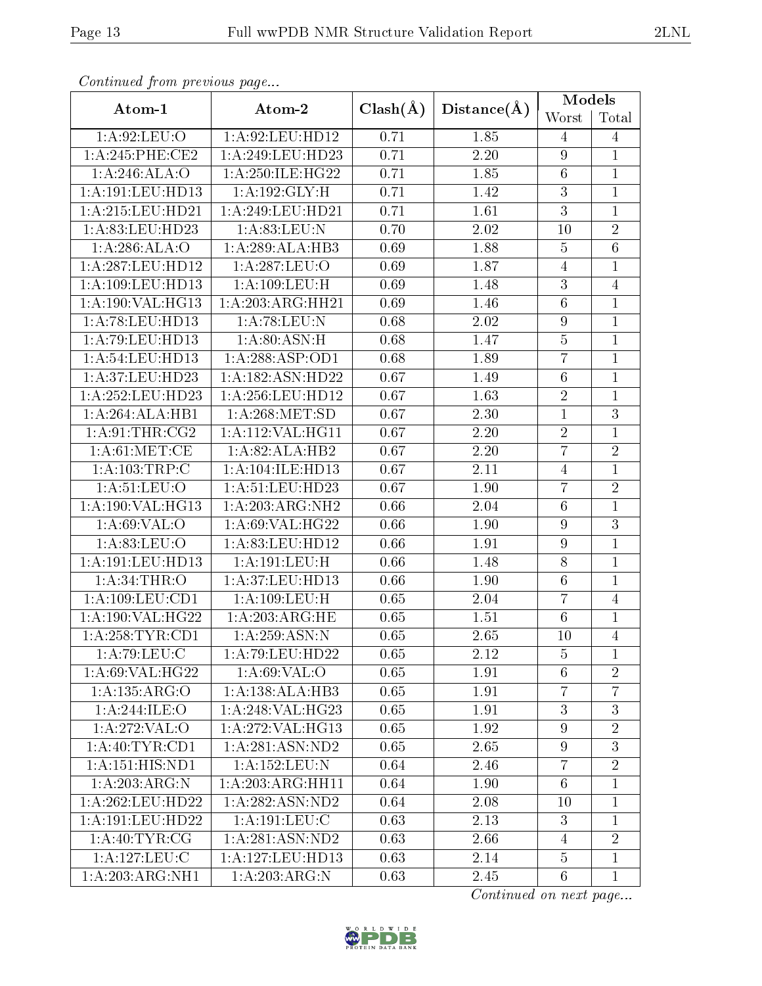| Atom-1               | Atom-2              |              |                   | Models           |                |
|----------------------|---------------------|--------------|-------------------|------------------|----------------|
|                      |                     | $Clash(\AA)$ | Distance(A)       | Worst            | Total          |
| 1: A:92: LEU:O       | 1:A:92:LEU:HD12     | 0.71         | 1.85              | 4                | 4              |
| 1: A:245:PHE:CE2     | 1:A:249:LEU:HD23    | 0.71         | $\overline{2.20}$ | $\boldsymbol{9}$ | $\mathbf{1}$   |
| 1:A:246:ALA:O        | 1:A:250:ILE:HG22    | 0.71         | 1.85              | $\,6\,$          | $\mathbf{1}$   |
| 1:A:191:LEU:HD13     | 1:A:192:GLY:H       | 0.71         | 1.42              | $\overline{3}$   | $\mathbf{1}$   |
| 1:A:215:LEU:HD21     | 1:A:249:LEU:HD21    | 0.71         | 1.61              | $\overline{3}$   | $\mathbf{1}$   |
| 1:A:83:LEU:HD23      | 1: A:83: LEU: N     | 0.70         | 2.02              | 10               | $\overline{2}$ |
| 1: A:286: ALA:O      | 1:A:289:ALA:HB3     | 0.69         | 1.88              | $\bf 5$          | $\overline{6}$ |
| 1:A:287:LEU:HD12     | 1:A:287:LEU:O       | 0.69         | 1.87              | $\overline{4}$   | $\mathbf{1}$   |
| 1:A:109:LEU:HD13     | 1: A: 109: LEU:H    | 0.69         | 1.48              | $\overline{3}$   | $\overline{4}$ |
| 1:A:190:VAL:HG13     | 1:A:203:ARG:HH21    | 0.69         | 1.46              | $\,6$            | $\mathbf{1}$   |
| 1:A:78:LEU:HD13      | 1: A:78:LEU:N       | 0.68         | 2.02              | $\boldsymbol{9}$ | $\mathbf{1}$   |
| 1: A:79: LEU: HD13   | 1: A:80: ASN:H      | 0.68         | 1.47              | $\bf 5$          | $\mathbf{1}$   |
| 1: A:54:LEU:HD13     | 1: A:288:ASP:OD1    | 0.68         | 1.89              | $\overline{7}$   | $\mathbf{1}$   |
| 1:A:37:LEU:HD23      | 1:A:182:ASN:HD22    | 0.67         | 1.49              | $\,6\,$          | $\mathbf{1}$   |
| 1:A:252:LEU:HD23     | 1:A:256:LEU:HD12    | 0.67         | 1.63              | $\overline{2}$   | $\mathbf{1}$   |
| 1:A:264:ALA:HB1      | 1:A:268:MET:SD      | 0.67         | 2.30              | $\mathbf{1}$     | 3              |
| 1: A:91:THR:CG2      | 1:A:112:VAL:HG11    | 0.67         | $2.20\,$          | $\sqrt{2}$       | $\mathbf{1}$   |
| 1: A:61: MET:CE      | 1:A:82:ALA:HB2      | 0.67         | 2.20              | $\overline{7}$   | $\sqrt{2}$     |
| 1: A: 103: TRP: C    | 1:A:104:ILE:HD13    | 0.67         | 2.11              | $\overline{4}$   | $\mathbf{1}$   |
| 1:A:51:LEU:O         | 1:A:51:LEU:HD23     | 0.67         | 1.90              | $\overline{7}$   | $\overline{2}$ |
| 1:A:190:VAL:HG13     | 1:A:203:ARG:NH2     | 0.66         | 2.04              | $\overline{6}$   | $\mathbf{1}$   |
| 1: A:69: VAL:O       | 1: A:69: VAL:HG22   | 0.66         | 1.90              | $\boldsymbol{9}$ | 3              |
| 1:A:83:LEU:O         | 1:A:83:LEU:HD12     | 0.66         | 1.91              | $\overline{9}$   | $\mathbf{1}$   |
| 1:A:191:LEU:HD13     | 1:A:191:LEU:H       | 0.66         | 1.48              | $8\,$            | $\mathbf{1}$   |
| 1:A:34:THR:O         | 1:A:37:LEU:HD13     | 0.66         | 1.90              | $\,6\,$          | $\mathbf{1}$   |
| 1:A:109:LEU:CD1      | 1: A:109: LEU:H     | 0.65         | 2.04              | $\overline{7}$   | $\overline{4}$ |
| 1: A: 190: VAL: HG22 | 1:A:203:ARG:HE      | 0.65         | 1.51              | $6\,$            | $\mathbf{1}$   |
| 1:A:258:TYR:CD1      | 1: A:259: ASN:N     | 0.65         | 2.65              | 10               | $\overline{4}$ |
| 1: A:79: LEU: C      | 1:A:79:LEU:HD22     | 0.65         | 2.12              | 5                | 1              |
| 1: A:69: VAL:HG22    | 1: A:69: VAL:O      | 0.65         | 1.91              | 6                | $\overline{2}$ |
| 1:A:135:ARG:O        | 1:A:138:ALA:HB3     | 0.65         | 1.91              | $\overline{7}$   | $\overline{7}$ |
| 1:A:244:ILE:O        | 1: A:248: VAL:HG23  | 0.65         | 1.91              | 3                | 3              |
| 1: A:272: VAL:O      | $1:$ A:272:VAL:HG13 | 0.65         | 1.92              | $\boldsymbol{9}$ | $\overline{2}$ |
| 1: A:40: TYR:CD1     | 1:A:281:ASN:ND2     | 0.65         | 2.65              | $\boldsymbol{9}$ | 3              |
| 1: A: 151: HIS: ND1  | 1: A: 152: LEU: N   | 0.64         | 2.46              | $\overline{7}$   | $\overline{2}$ |
| 1:A:203:ARG:N        | 1:A:203:ARG:HH11    | 0.64         | 1.90              | $6\phantom{.}6$  | $\mathbf{1}$   |
| 1: A:262:LEU:HD22    | 1:A:282:ASN:ND2     | 0.64         | 2.08              | 10               | 1              |
| 1:A:191:LEU:HD22     | $1:$ A:191:LEU:C    | 0.63         | 2.13              | $\overline{3}$   | $\mathbf{1}$   |
| 1:A:40:TYR:CG        | 1: A:281: ASN:ND2   | 0.63         | 2.66              | 4                | $\overline{2}$ |
| 1: A:127:LEU:C       | 1:A:127:LEU:HD13    | 0.63         | 2.14              | $\overline{5}$   | $\mathbf{1}$   |
| 1:A:203:ARG:NH1      | 1:A:203:ARG:N       | 0.63         | 2.45              | $6\phantom{.}6$  | $\mathbf{1}$   |

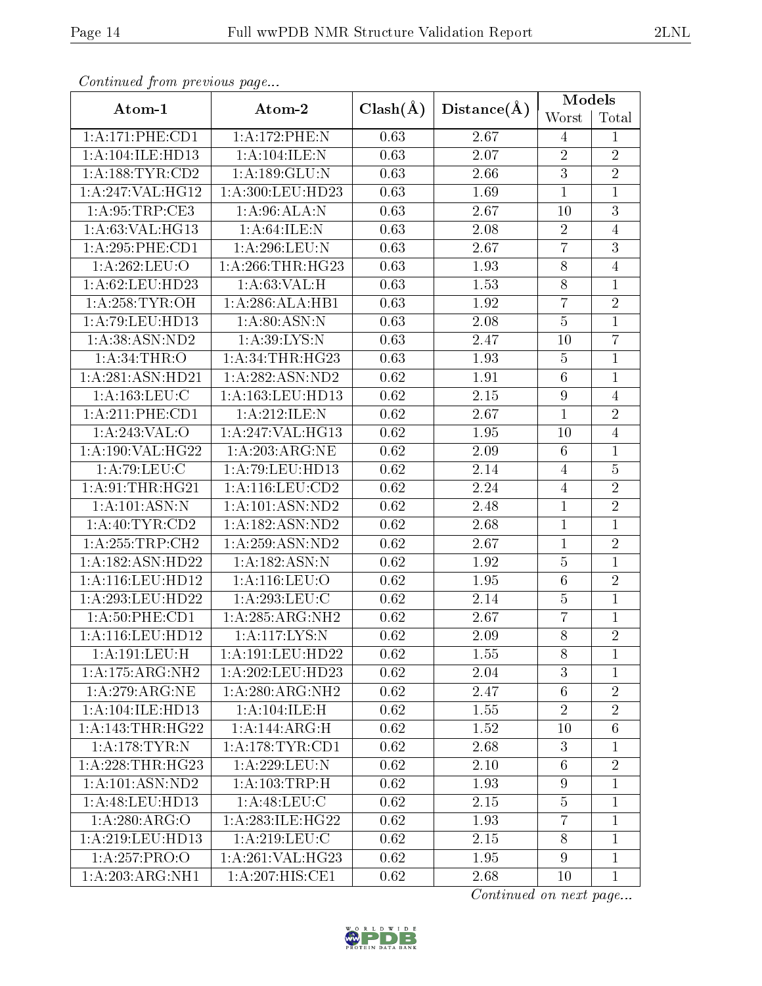| Continuaca from previous page |                                     |                   |             | Models           |                 |  |
|-------------------------------|-------------------------------------|-------------------|-------------|------------------|-----------------|--|
| Atom-1                        | Atom-2                              | $Clash(\AA)$      | Distance(A) | Worst            | Total           |  |
| 1: A:171:PHE:CD1              | 1:A:172:PHE:N                       | 0.63              | 2.67        | $\overline{4}$   | $\mathbf{1}$    |  |
| 1:A:104:ILE:HD13              | 1:A:104:ILE:N                       | 0.63              | 2.07        | $\overline{2}$   | $\overline{2}$  |  |
| 1: A: 188: TYR: CD2           | 1:A:189:GLU:N                       | 0.63              | 2.66        | $\sqrt{3}$       | $\overline{2}$  |  |
| 1:A:247:VAL:HG12              | 1:A:300:LEU:HD23                    | 0.63              | 1.69        | $\mathbf{1}$     | $\mathbf{1}$    |  |
| 1: A:95:TRP:CE3               | 1: A:96:ALA:N                       | 0.63              | 2.67        | 10               | $\overline{3}$  |  |
| 1:A:63:VAL:HG13               | 1: A:64: ILE:N                      | 0.63              | 2.08        | $\overline{2}$   | $\overline{4}$  |  |
| 1: A:295:PHE:CD1              | $1:$ A:296:LEU:N                    | 0.63              | 2.67        | $\overline{7}$   | $\overline{3}$  |  |
| 1:A:262:LEU:O                 | 1: A:266:THR:HG23                   | 0.63              | 1.93        | $8\,$            | $\overline{4}$  |  |
| 1: A:62:LEU:HD23              | 1: A:63:VAL:HI                      | 0.63              | 1.53        | $\overline{8}$   | $\overline{1}$  |  |
| 1: A:258:TYR:OH               | 1:A:286:ALA:HB1                     | 0.63              | 1.92        | $\overline{7}$   | $\overline{2}$  |  |
| 1:A:79:LEU:HD13               | 1: A:80: ASN: N                     | 0.63              | 2.08        | $\overline{5}$   | $\overline{1}$  |  |
| 1: A:38: ASN:ND2              | 1: A:39: LYS:N                      | 0.63              | 2.47        | 10               | $\overline{7}$  |  |
| 1: A:34:THR:O                 | 1: A:34:THR:HG23                    | 0.63              | 1.93        | $\bf 5$          | $\overline{1}$  |  |
| 1:A:281:ASN:HD21              | 1:A:282:ASN:ND2                     | 0.62              | 1.91        | $\,6\,$          | $\mathbf{1}$    |  |
| 1: A: 163: LEU: C             | 1:A:163:LEU:HD13                    | 0.62              | $2.15\,$    | $\boldsymbol{9}$ | $\overline{4}$  |  |
| 1:A:211:PHE:CD1               | 1:A:212:ILE:N                       | 0.62              | 2.67        | $\mathbf{1}$     | $\overline{2}$  |  |
| 1:A:243:VAL:O                 | 1:A:247:VAL:HG13                    | 0.62              | 1.95        | 10               | $\overline{4}$  |  |
| 1:A:190:VAL:HG22              | 1:A:203:ARG:NE                      | 0.62              | 2.09        | $6\phantom{.}6$  | $\overline{1}$  |  |
| 1: A:79: LEU: C               | 1:A:79:LEU:HD13                     | 0.62              | 2.14        | $\overline{4}$   | $\overline{5}$  |  |
| 1:A:91:THR:HG21               | 1:A:116:LEU:CD2                     | 0.62              | 2.24        | $\overline{4}$   | $\overline{2}$  |  |
| 1:A:101:ASN:N                 | 1:A:101:ASN:ND2                     | 0.62              | 2.48        | $\mathbf 1$      | $\overline{2}$  |  |
| 1: A:40: TYR:CD2              | 1:A:182:ASN:ND2                     | 0.62              | 2.68        | $\mathbf{1}$     | $\overline{1}$  |  |
| 1: A:255:TRP:CH2              | 1:A:259:ASN:ND2                     | 0.62              | 2.67        | $\mathbf{1}$     | $\overline{2}$  |  |
| 1:A:182:ASN:HD22              | 1: A: 182: ASN: N                   | 0.62              | 1.92        | $\bf 5$          | $\overline{1}$  |  |
| 1:A:116:LEU:HD12              | 1:A:116:LEU:O                       | 0.62              | 1.95        | $\,6$            | $\overline{2}$  |  |
| 1:A:293:LEU:HD22              | 1:A:293:LEU:C                       | 0.62              | 2.14        | $\overline{5}$   | $\overline{1}$  |  |
| 1: A:50: PHE:CD1              | 1:A:285:ARG:NH2                     | 0.62              | 2.67        | $\overline{7}$   | 1               |  |
| 1:A:116:LEU:HD12              | $1:$ A:117:LYS:N                    | $\overline{0.62}$ | 2.09        | $\overline{8}$   | $\overline{2}$  |  |
| 1:A:191:LEU:H                 | 1: A: 191: LEU: HD22                | 0.62              | 1.55        | 8                | 1               |  |
| 1:A:175:ARG:NH2               | 1:A:202:LEU:HD23                    | 0.62              | 2.04        | 3                | $\overline{1}$  |  |
| 1:A:279:ARG:NE                | $1:A:280:A\overline{\text{RG:NH2}}$ | 0.62              | 2.47        | $6\phantom{.}6$  | $\overline{2}$  |  |
| 1:A:104:ILE:HD13              | 1:A:104:ILE:H                       | 0.62              | 1.55        | $\sqrt{2}$       | $\overline{2}$  |  |
| 1: A:143:THR:HG22             | 1:A:144:ARG:H                       | 0.62              | 1.52        | 10               | $6\phantom{.}6$ |  |
| 1: A:178:TYR: N               | 1: A:178: TYR: CD1                  | 0.62              | 2.68        | $\mathbf{3}$     | $\mathbf 1$     |  |
| 1:A:228:THR:HG23              | 1: A:229:LEU:N                      | 0.62              | 2.10        | $6\phantom{.}6$  | $\overline{2}$  |  |
| 1: A: 101: ASN: ND2           | 1: A: 103: TRP:H                    | 0.62              | 1.93        | 9                | $\mathbf 1$     |  |
| 1: A:48: LEU: HD13            | 1: A:48: LEU: C                     | 0.62              | 2.15        | $\overline{5}$   | 1               |  |
| 1:A:280:ARG:O                 | 1: A:283: ILE: HG22                 | 0.62              | 1.93        | $\overline{7}$   | $\mathbf{1}$    |  |
| 1: A:219: LEU: HD13           | 1: A:219:LEU: C                     | 0.62              | 2.15        | 8                | $\mathbf 1$     |  |
| 1:A:257:PRO:O                 | 1:A:261:VAL:HG23                    | 0.62              | 1.95        | $9\phantom{.}$   | $\mathbf{1}$    |  |
| 1:A:203:ARG:NH1               | 1:A:207:HIS:CE1                     | 0.62              | 2.68        | 10               | $\mathbf{1}$    |  |

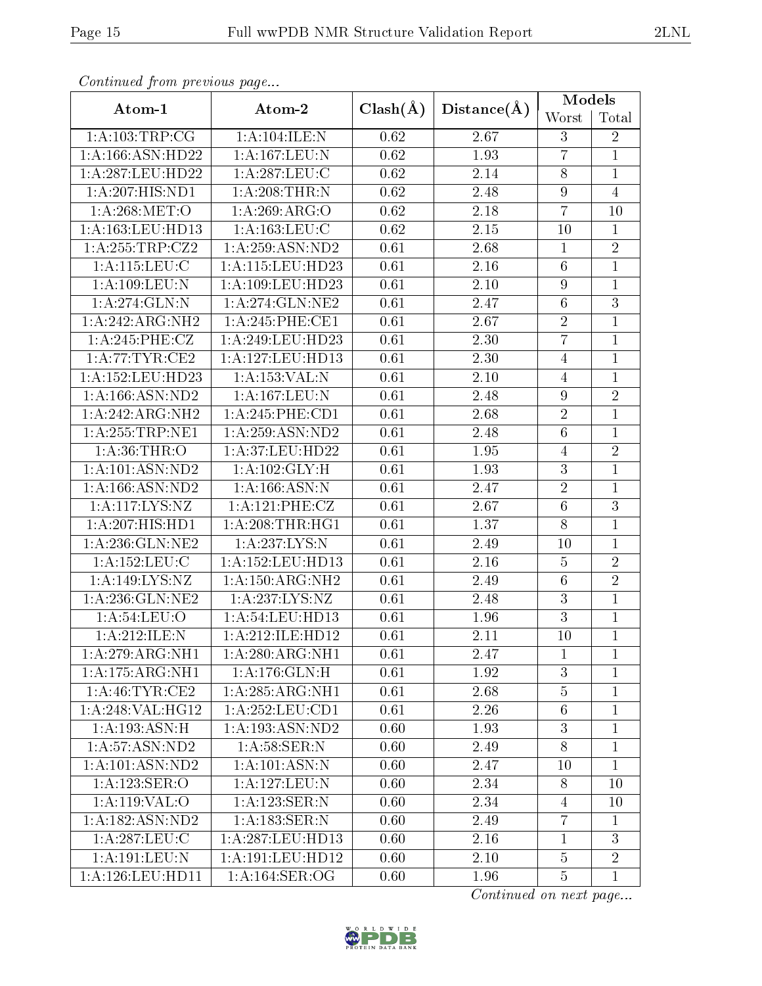| Continuata from previous page |                                      |                   |             | Models           |                |
|-------------------------------|--------------------------------------|-------------------|-------------|------------------|----------------|
| Atom-1                        | Atom-2                               | $Clash(\AA)$      | Distance(A) | Worst            | Total          |
| 1:A:103:TRP:CG                | 1:A:104:ILE:N                        | 0.62              | 2.67        | 3                | $\overline{2}$ |
| 1:A:166:ASN:HD22              | 1:A:167:LEU:N                        | 0.62              | 1.93        | $\overline{7}$   | $\mathbf{1}$   |
| 1:A:287:LEU:HD22              | $1:A:287:LE\overline{U:C}$           | 0.62              | 2.14        | $8\,$            | $\mathbf{1}$   |
| 1:A:207:HIS:ND1               | 1: A:208:THR:N                       | 0.62              | 2.48        | $\boldsymbol{9}$ | $\overline{4}$ |
| 1: A:268: MET:O               | 1:A:269:ARG:O                        | 0.62              | $2.18\,$    | $\overline{7}$   | 10             |
| 1:A:163:LEU:HD13              | 1: A: 163: LEU: C                    | 0.62              | $2.15\,$    | 10               | $\mathbf{1}$   |
| 1:A:255:TRP:CZ2               | 1:A:259:ASN:ND2                      | 0.61              | 2.68        | $\mathbf 1$      | $\overline{2}$ |
| 1: A:115: LEU: C              | 1:A:115:LEU:HD23                     | 0.61              | $2.16\,$    | $\,6\,$          | $\mathbf{1}$   |
| 1:A:109:LEU:N                 | 1:A:109:LEU:HD23                     | 0.61              | 2.10        | $\boldsymbol{9}$ | $\mathbf{1}$   |
| 1:A:274:GLN:N                 | 1: A:274: GLN:NE2                    | 0.61              | 2.47        | $\,6\,$          | $\sqrt{3}$     |
| 1:A:242:ARG:NH2               | 1:A:245:PHE:CE1                      | $\overline{0.61}$ | 2.67        | $\overline{2}$   | $\overline{1}$ |
| 1:A:245:PHE:CZ                | 1:A:249:LEU:HD23                     | 0.61              | 2.30        | $\overline{7}$   | $\mathbf{1}$   |
| 1: A:77:TYR:CE2               | 1:A:127:LEU:HD13                     | 0.61              | 2.30        | $\overline{4}$   | $\mathbf{1}$   |
| 1: A: 152: LEU: HD23          | 1:A:153:VAL:N                        | 0.61              | 2.10        | 4                | $\mathbf{1}$   |
| 1: A: 166: ASN: ND2           | 1:A:167:LEU:N                        | 0.61              | 2.48        | $\boldsymbol{9}$ | $\overline{2}$ |
| 1:A:242:ARG:NH2               | 1: A:245:PHE:CD1                     | 0.61              | 2.68        | $\overline{2}$   | $\mathbf{1}$   |
| 1: A: 255: TRP: NE1           | 1: A:259: ASN:ND2                    | 0.61              | 2.48        | $\,6$            | $\mathbf{1}$   |
| 1: A:36:THR:O                 | 1:A:37:LEU:HD22                      | 0.61              | 1.95        | $\overline{4}$   | $\overline{2}$ |
| 1: A: 101: ASN: ND2           | 1: A: 102: GLY: H                    | 0.61              | 1.93        | 3                | $\mathbf{1}$   |
| 1: A: 166: ASN: ND2           | 1: A: 166: ASN: N                    | 0.61              | 2.47        | $\sqrt{2}$       | $\mathbf{1}$   |
| 1:A:117:LYS:NZ                | 1:A:121:PHE:CZ                       | 0.61              | 2.67        | $\overline{6}$   | $\overline{3}$ |
| 1: A:207: HIS: HD1            | 1: A:208:THR:HG1                     | 0.61              | 1.37        | $8\,$            | $\mathbf{1}$   |
| 1: A:236: GLN: NE2            | 1:A:237:LYS:N                        | 0.61              | 2.49        | 10               | 1              |
| 1:A:152:LEU:C                 | 1:A:152:LEU:HD13                     | 0.61              | 2.16        | $\bf 5$          | $\overline{2}$ |
| 1:A:149:LYS:NZ                | 1:A:150:ARG:NH2                      | 0.61              | 2.49        | $\,6\,$          | $\overline{2}$ |
| 1: A:236: GLN: NE2            | 1: A: 237: LYS: NZ                   | 0.61              | 2.48        | $\overline{3}$   | $\overline{1}$ |
| 1:A:54:LEU:O                  | 1:A:54:LEU:HD13                      | 0.61              | 1.96        | 3                | $\mathbf{1}$   |
| 1:A:212:ILE:N                 | $1:A:212:I\overline{\text{LE:HD12}}$ | 0.61              | 2.11        | 10               | $\overline{1}$ |
| 1:A:279:ARG:NH1               | 1: A:280:ARG:NH1                     | 0.61              | 2.47        | $\mathbf{1}$     | $\mathbf{1}$   |
| 1:A:175:ARG:NH1               | 1:A:176:GLN:H                        | 0.61              | 1.92        | 3                | $\mathbf{1}$   |
| 1: A:46:TYR:CE2               | 1: A:285: ARG:NH1                    | 0.61              | 2.68        | $\bf 5$          | $\mathbf{1}$   |
| 1:A:248:VAL:HG12              | 1: A:252:LEU:CD1                     | 0.61              | 2.26        | $\,6\,$          | $\mathbf{1}$   |
| 1:A:193:ASN:H                 | 1:A:193:ASN:ND2                      | 0.60              | 1.93        | $\sqrt{3}$       | 1              |
| 1: A:57: ASN:ND2              | 1: A:58: SER: N                      | 0.60              | 2.49        | 8                | $\mathbf{1}$   |
| 1: A: 101: ASN: ND2           | 1: A:101: ASN: N                     | 0.60              | 2.47        | 10               | $\mathbf{1}$   |
| 1:A:123:SER:O                 | 1:A:127:LEU:N                        | 0.60              | 2.34        | 8                | 10             |
| 1:A:119:VAL:O                 | 1:A:123:SER:N                        | 0.60              | 2.34        | $\overline{4}$   | 10             |
| 1: A: 182: ASN: ND2           | 1: A: 183: SER: N                    | 0.60              | 2.49        | $\overline{7}$   | $\mathbf{1}$   |
| 1: A:287:LEU: C               | 1:A:287:LEU:HD13                     | 0.60              | 2.16        | $\mathbf{1}$     | 3              |
| $1:$ A:191:LEU:N              | 1:A:191:LEU:HD12                     | 0.60              | 2.10        | $\overline{5}$   | $\overline{2}$ |
| 1:A:126:LEU:HD11              | 1: A:164: SER:OG                     | 0.60              | 1.96        | $\bf 5$          | $\mathbf{1}$   |

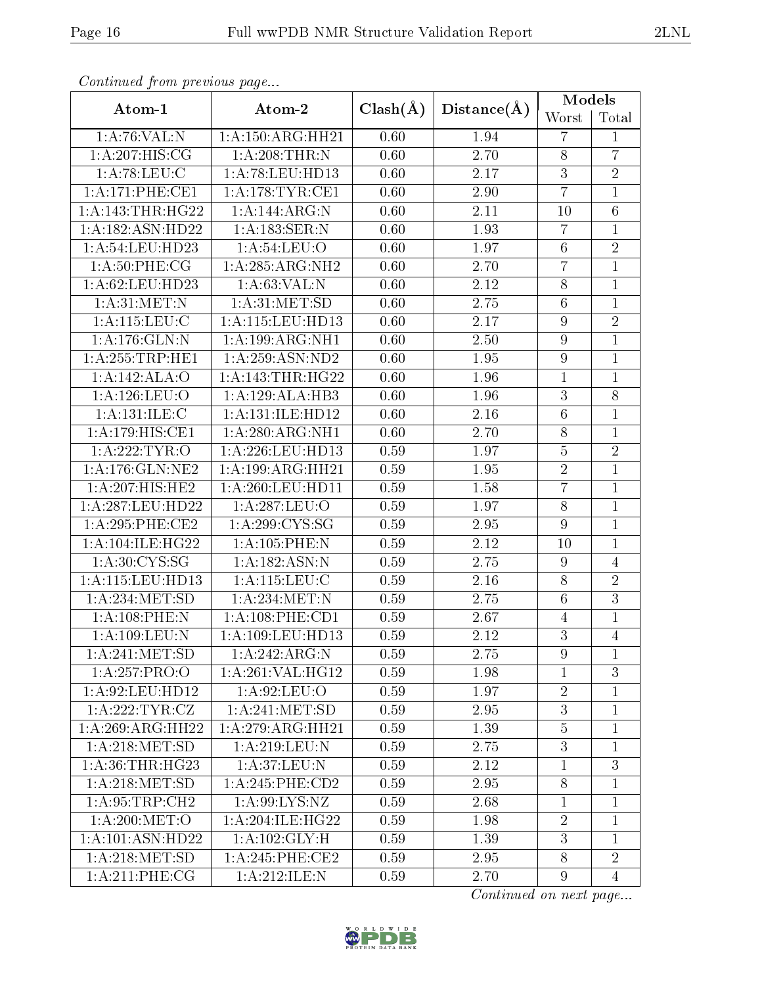| Conventata prome providas pago |                               |              | Distance(A)       | <b>Models</b>    |                |  |
|--------------------------------|-------------------------------|--------------|-------------------|------------------|----------------|--|
| Atom-1                         | Atom-2                        | $Clash(\AA)$ |                   | Worst            | Total          |  |
| 1: A:76: VAL: N                | 1:A:150:ARG:HH21              | 0.60         | 1.94              | $\overline{7}$   | $\mathbf{1}$   |  |
| 1: A:207: HIS: CG              | 1: A:208:THR:N                | 0.60         | 2.70              | $8\,$            | $\overline{7}$ |  |
| 1: A:78:LEU:C                  | 1:A:78:LEU:HD13               | 0.60         | 2.17              | $\boldsymbol{3}$ | $\overline{2}$ |  |
| 1:A:171:PHE:CE1                | 1: A:178:TYR:CE1              | 0.60         | 2.90              | $\overline{7}$   | $\mathbf{1}$   |  |
| 1: A:143:THR:HG22              | 1:A:144:ARG:N                 | 0.60         | 2.11              | 10               | $\overline{6}$ |  |
| 1:A:182:ASN:HD22               | 1:A:183:SER:N                 | 0.60         | 1.93              | $\overline{7}$   | $\overline{1}$ |  |
| 1:A:54:LEU:HD23                | 1:A:54:LEU:O                  | 0.60         | 1.97              | $\,6\,$          | $\overline{2}$ |  |
| 1: A:50:PHE:CG                 | 1:A:285:ARG:NH2               | 0.60         | 2.70              | $\overline{7}$   | $\mathbf{1}$   |  |
| 1: A:62:LEU:HD23               | 1: A:63:VAL: N                | 0.60         | 2.12              | $8\,$            | $\mathbf{1}$   |  |
| 1: A:31:MET:N                  | 1: A:31: MET:SD               | 0.60         | 2.75              | $\,6\,$          | $\mathbf 1$    |  |
| 1:A:115:LEU:C                  | 1:A:115:LEU:HD13              | 0.60         | 2.17              | $\boldsymbol{9}$ | $\overline{2}$ |  |
| 1:A:176:GLN:N                  | 1: A: 199: ARG: NH1           | 0.60         | 2.50              | $\boldsymbol{9}$ | $\mathbf{1}$   |  |
| 1: A: 255: TRP: HE1            | 1:A:259:ASN:ND2               | 0.60         | 1.95              | $\boldsymbol{9}$ | $\mathbf{1}$   |  |
| 1:A:142:ALA:O                  | 1:A:143:THR:HG22              | 0.60         | 1.96              | $\mathbf{1}$     | $\mathbf 1$    |  |
| 1:A:126:LEU:O                  | 1:A:129:ALA:HB3               | 0.60         | 1.96              | 3                | 8              |  |
| 1: A:131: ILE:C                | 1: A: 131: ILE: HD12          | 0.60         | $\overline{2.16}$ | $\overline{6}$   | $\overline{1}$ |  |
| 1:A:179:HIS:CE1                | 1:A:280:ARG:NH1               | 0.60         | 2.70              | $8\,$            | $\mathbf{1}$   |  |
| 1:A:222:TYR:O                  | 1:A:226:LEU:HD13              | 0.59         | 1.97              | $\overline{5}$   | $\overline{2}$ |  |
| 1: A:176: GLN: NE2             | 1:A:199:ARG:HH21              | 0.59         | 1.95              | $\sqrt{2}$       | $\mathbf{1}$   |  |
| 1:A:207:HIS:HE2                | 1:A:260:LEU:HD11              | 0.59         | 1.58              | $\overline{7}$   | $\mathbf{1}$   |  |
| 1:A:287:LEU:HD22               | 1:A:287:LEU:O                 | 0.59         | 1.97              | $\overline{8}$   | $\mathbf{1}$   |  |
| 1: A:295:PHE:CE2               | 1:A:299:CYS:SG                | 0.59         | 2.95              | $\overline{9}$   | $\mathbf{1}$   |  |
| 1:A:104:ILE:HG22               | 1:A:105:PHE:N                 | 0.59         | 2.12              | 10               | $\mathbf{1}$   |  |
| 1: A:30: CYS:SG                | 1: A: 182: ASN: N             | 0.59         | 2.75              | $\boldsymbol{9}$ | $\overline{4}$ |  |
| 1:A:115:LEU:HD13               | 1: A: 115: LEU: C             | 0.59         | 2.16              | $8\,$            | $\overline{2}$ |  |
| 1:A:234:MET:SD                 | 1: A:234:MET:N                | 0.59         | 2.75              | $\,6\,$          | $\overline{3}$ |  |
| $1: A:108:$ PHE:N              | 1: A:108:PHE:CD1              | 0.59         | 2.67              | 4                | 1              |  |
| 1:A:109:LEU:N                  | 1:A:109:LEU:HD13              | 0.59         | 2.12              | $\overline{3}$   | $\overline{4}$ |  |
| 1: A:241: MET:SD               | 1:A:242:ARG:N                 | 0.59         | 2.75              | 9                | 1              |  |
| 1:A:257:PRO:O                  | 1: A:261: VAL:HG12            | 0.59         | 1.98              | $\mathbf{1}$     | 3              |  |
| 1: A:92: LEU: HD12             | 1:A:92:LEU:O                  | 0.59         | 1.97              | $\sqrt{2}$       | $\mathbf 1$    |  |
| 1:A:222:TYR:CZ                 | 1: A:241: MET:SD              | 0.59         | 2.95              | 3                | $\mathbf{1}$   |  |
| 1:A:269:ARG:HH22               | $1:A:279:A\overline{RG:HH21}$ | 0.59         | 1.39              | $\bf 5$          | 1              |  |
| 1: A:218: MET:SD               | 1: A:219: LEU: N              | 0.59         | 2.75              | 3                | 1              |  |
| 1: A:36:THR:HG23               | 1: A:37: LEU: N               | 0.59         | 2.12              | $\mathbf{1}$     | $\overline{3}$ |  |
| 1: A:218: MET:SD               | $1: A:245:$ PHE:CD2           | 0.59         | 2.95              | 8                | 1              |  |
| 1: A:95:TRP:CH2                | 1: A:99: LYS: NZ              | 0.59         | 2.68              | $\mathbf{1}$     | 1              |  |
| 1: A:200:MET:O                 | 1: A:204: ILE: HG22           | 0.59         | 1.98              | $\overline{2}$   | $\mathbf{1}$   |  |
| 1: A:101: ASN:HD22             | 1: A: 102: GLY: H             | 0.59         | 1.39              | 3                | $\mathbf{1}$   |  |
| 1: A:218: MET:SD               | $1: A:245:$ PHE:CE2           | 0.59         | 2.95              | $8\,$            | $\overline{2}$ |  |
| 1: A:211:PHE:CG                | 1:A:212:ILE:N                 | 0.59         | 2.70              | $\overline{9}$   | $\overline{4}$ |  |

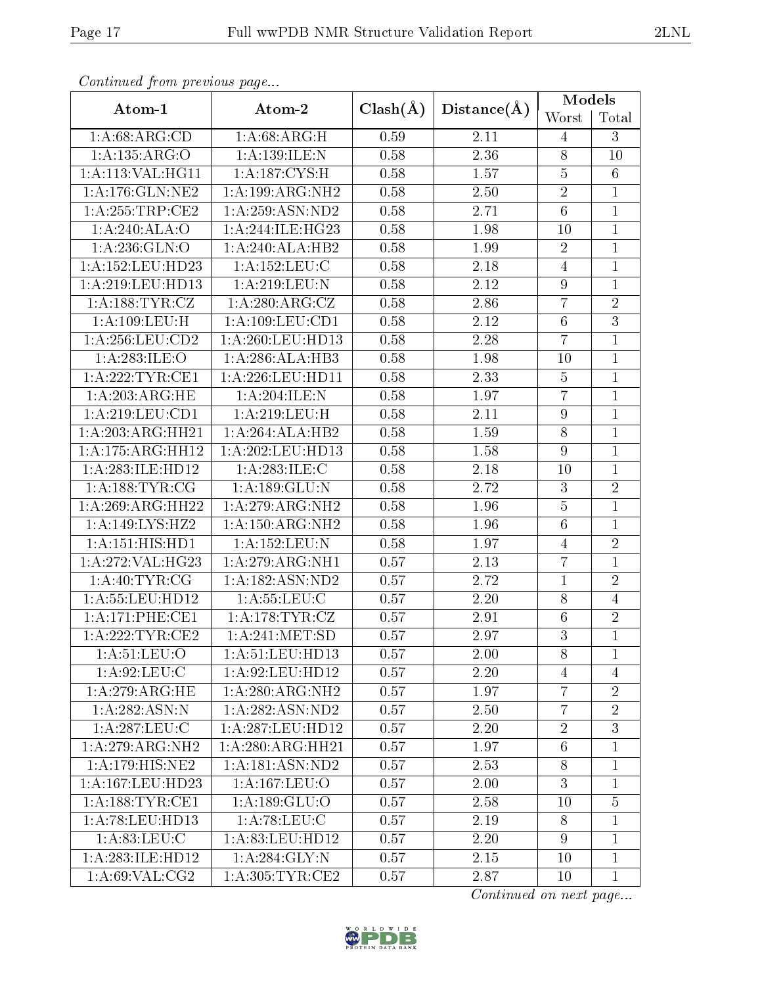| Atom-1                       | Atom-2                              | $Clash(\AA)$      | Distance(A) | Models           |                |
|------------------------------|-------------------------------------|-------------------|-------------|------------------|----------------|
|                              |                                     |                   |             | Worst            | Total          |
| 1: A:68: ARG:CD              | 1: A:68: ARG:H                      | 0.59              | 2.11        | 4                | 3              |
| 1:A:135:ARG:O                | 1:A:139:ILE:N                       | 0.58              | 2.36        | $\,$ $\,$        | 10             |
| 1: A:113: VAL:HGI1           | 1: A: 187: CYS:H                    | 0.58              | 1.57        | $\bf 5$          | 6              |
| 1: A:176: GLN: NE2           | 1:A:199:ARG:NH2                     | 0.58              | 2.50        | $\overline{2}$   | $\mathbf{1}$   |
| 1: A:255:TRP:CE2             | 1: A:259: ASN:ND2                   | 0.58              | 2.71        | $\,6$            | $\mathbf{1}$   |
| 1:A:240:ALA:O                | 1:A:244:ILE:HG23                    | 0.58              | 1.98        | 10               | $\mathbf{1}$   |
| 1: A:236: GLN:O              | 1:A:240:ALA:HB2                     | 0.58              | 1.99        | $\sqrt{2}$       | $\mathbf{1}$   |
| 1:A:152:LEU:HD23             | 1:A:152:LEU:C                       | 0.58              | 2.18        | $\overline{4}$   | $\mathbf{1}$   |
| 1:A:219:LEU:HD13             | 1: A:219: LEU: N                    | 0.58              | 2.12        | $\boldsymbol{9}$ | $\mathbf{1}$   |
| 1:A:188:TYR:CZ               | 1: A:280:ARG:CZ                     | 0.58              | 2.86        | $\overline{7}$   | $\overline{2}$ |
| 1:A:109:LEU:H                | 1: A: 109: LEU: CD1                 | 0.58              | 2.12        | $\overline{6}$   | $\overline{3}$ |
| 1: A:256:LEU:CD2             | 1:A:260:LEU:HD13                    | 0.58              | 2.28        | $\overline{7}$   | $\mathbf{1}$   |
| 1:A:283:ILE:O                | 1:A:286:ALA:HB3                     | 0.58              | 1.98        | 10               | $\mathbf{1}$   |
| 1: A:222:TYR:CE1             | 1:A:226:LEU:HD11                    | 0.58              | 2.33        | $\bf 5$          | $\mathbf{1}$   |
| 1: A:203:ARG:HE              | 1:A:204:ILE:N                       | 0.58              | 1.97        | $\overline{7}$   | $\mathbf{1}$   |
| $1:$ A:219:LEU:CD1           | 1:A:219:LEU:H                       | 0.58              | 2.11        | $\boldsymbol{9}$ | $\mathbf{1}$   |
| 1:A:203:ARG:HH21             | 1:A:264:ALA:HB2                     | 0.58              | 1.59        | $\,8\,$          | $\mathbf{1}$   |
| 1:A:175:ARG:HH12             | 1:A:202:LEU:HD13                    | 0.58              | 1.58        | $\overline{9}$   | $\mathbf{1}$   |
| 1:A:283:ILE:HD12             | 1: A: 283: ILE:C                    | 0.58              | $2.18\,$    | 10               | $\mathbf{1}$   |
| 1:A:188:TYR:CG               | 1:A:189:GLU:N                       | 0.58              | 2.72        | $\sqrt{3}$       | $\overline{2}$ |
| 1:A:269:ARG:HH22             | 1: A:279:ARG:NH2                    | 0.58              | 1.96        | $\overline{5}$   | $\mathbf{1}$   |
| 1:A:149:LYS:HZ2              | $1:$ A:150:ARG:NH2                  | 0.58              | 1.96        | $\,6$            | 1              |
| $1:A:15\overline{1:HIS:HDI}$ | 1:A:152:LEU:N                       | 0.58              | 1.97        | $\overline{4}$   | $\overline{2}$ |
| 1:A:272:VAL:HG23             | 1:A:279:ARG:NH1                     | 0.57              | 2.13        | $\overline{7}$   | 1              |
| 1:A:40:TYR:CG                | $1:$ A:182:ASN:ND2                  | 0.57              | 2.72        | $\mathbf{1}$     | $\overline{2}$ |
| 1: A: 55: LEU: HD12          | 1: A: 55: LEU: C                    | 0.57              | 2.20        | 8                | $\overline{4}$ |
| 1:A:171:PHE:CE1              | 1: A:178: TYR: CZ                   | 0.57              | 2.91        | $\boldsymbol{6}$ | $\overline{2}$ |
| 1: A:222:TYR:CE2             | 1: A:241: MET:SD                    | 0.57              | 2.97        | $\overline{3}$   | $\mathbf{1}$   |
| 1: A:51:LEU:O                | 1: A:51:LEU:HD13                    | 0.57              | 2.00        | 8                | 1              |
| 1: A:92: LEU: C              | 1:A:92:LEU:HD12                     | 0.57              | 2.20        | $\overline{4}$   | 4              |
| 1:A:279:ARG:HE               | $1:A:280:ARG:\overline{\text{NH2}}$ | 0.57              | 1.97        | $\overline{7}$   | $\overline{2}$ |
| 1:A:282:ASN:N                | 1: A:282: ASN:ND2                   | 0.57              | 2.50        | $\overline{7}$   | $\overline{2}$ |
| 1: A:287:LEU:C               | 1:A:287:LEU:HD12                    | 0.57              | 2.20        | $\overline{2}$   | 3              |
| 1:A:279:ARG:NH2              | 1:A:280:ARG:HH21                    | 0.57              | 1.97        | $\,6$            | $\mathbf{1}$   |
| 1:A:179:HIS:NE2              | 1:A:181:ASN:ND2                     | $\overline{0.57}$ | 2.53        | $8\,$            | $\mathbf{1}$   |
| 1:A:167:LEU:HD23             | 1:A:167:LEU:O                       | 0.57              | 2.00        | 3                | 1              |
| 1: A: 188: TYR: CE1          | 1: A: 189: GLU: O                   | 0.57              | 2.58        | 10               | $\overline{5}$ |
| 1: A:78: LEU: HD13           | 1: A:78: LEU: C                     | 0.57              | 2.19        | $8\,$            | $\mathbf{1}$   |
| 1: A:83:LEU: C               | 1:A:83:LEU:HD12                     | 0.57              | 2.20        | 9                | $\mathbf{1}$   |
| 1:A:283:ILE:HD12             | 1: A:284: GLY:N                     | 0.57              | 2.15        | 10               | $\mathbf{1}$   |
| 1: A:69: VAL: CG2            | 1: A:305: TYR: CE2                  | 0.57              | 2.87        | 10               | 1              |

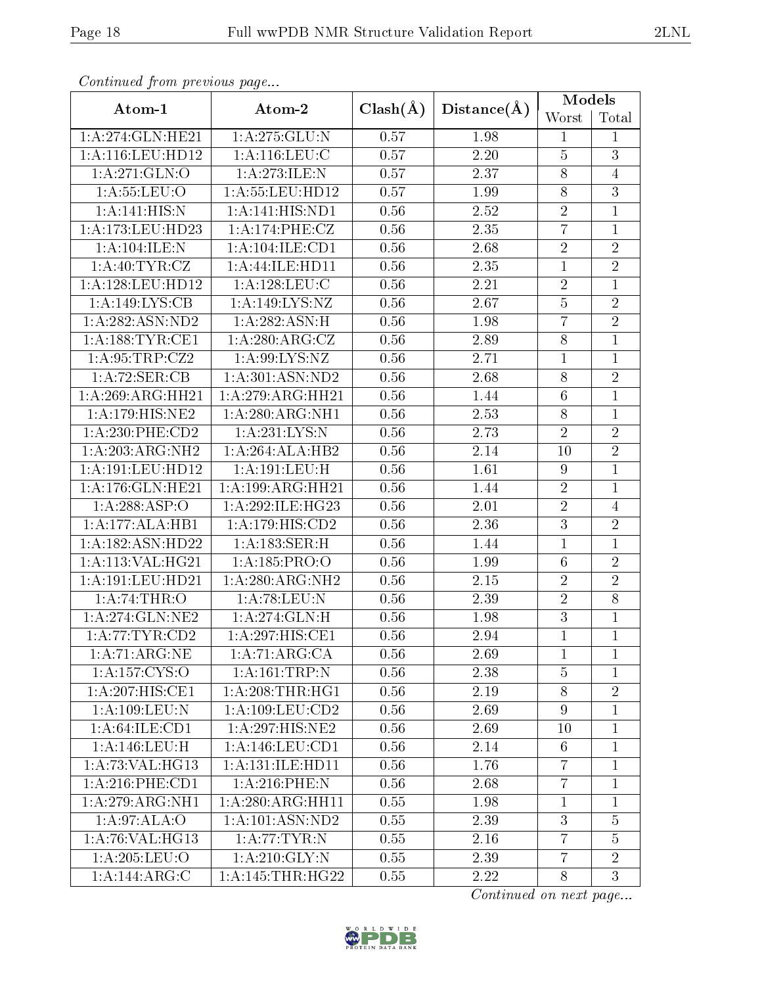|                                     |                      |              | Distance(A) | Models           |                |
|-------------------------------------|----------------------|--------------|-------------|------------------|----------------|
| Atom-1                              | Atom-2               | $Clash(\AA)$ |             | Worst            | Total          |
| 1:A:274:GLN:HE21                    | 1:A:275:GLU:N        | 0.57         | 1.98        | $\mathbf{1}$     | 1              |
| 1:A:116:LEU:HD12                    | 1: A: 116: LEU: C    | 0.57         | 2.20        | $\overline{5}$   | $\overline{3}$ |
| 1:A:271:GLN:O                       | 1:A:273:ILE:N        | 0.57         | 2.37        | $8\,$            | $\overline{4}$ |
| 1: A: 55: LEU: O                    | 1:A:55:LEU:HD12      | 0.57         | 1.99        | $\overline{8}$   | $\overline{3}$ |
| 1:A:141:HIS:N                       | 1:A:141:HIS:ND1      | 0.56         | 2.52        | $\sqrt{2}$       | $\mathbf{1}$   |
| 1:A:173:LEU:HD23                    | 1:A:174:PHE:CZ       | 0.56         | 2.35        | $\overline{7}$   | $\overline{1}$ |
| 1:A:104:ILE:N                       | 1:A:104:ILE:CD1      | 0.56         | 2.68        | $\overline{2}$   | $\sqrt{2}$     |
| 1: A:40: TYR: CZ                    | 1:A:44:ILE:HD11      | 0.56         | 2.35        | $\mathbf{1}$     | $\overline{2}$ |
| 1: A: 128: LEU: HD12                | 1: A: 128: LEU: C    | 0.56         | 2.21        | $\overline{2}$   | $\mathbf{1}$   |
| 1:A:149:LYS:CB                      | 1:A:149:LYS:NZ       | 0.56         | 2.67        | $\bf 5$          | $\overline{2}$ |
| 1:A:282:ASN:ND2                     | 1: A:282: ASN:H      | 0.56         | 1.98        | $\overline{7}$   | $\overline{2}$ |
| $1:$ A:188:TYR:CE1                  | 1:A:280:ARG:CZ       | 0.56         | 2.89        | $\,8\,$          | $\overline{1}$ |
| 1:A:95:TRP:CZ2                      | 1: A:99: LYS: NZ     | 0.56         | 2.71        | $\overline{1}$   | $\mathbf{1}$   |
| 1:A:72:SER:CB                       | 1:A:301:ASN:ND2      | 0.56         | 2.68        | $8\,$            | $\overline{2}$ |
| 1:A:269:ARG:HH21                    | 1:A:279:ARG:HH21     | 0.56         | 1.44        | $\,6$            | $\mathbf{1}$   |
| 1:A:179:HIS:NE2                     | 1:A:280:ARG:NH1      | 0.56         | 2.53        | $8\,$            | $\mathbf{1}$   |
| $1:$ A:230:PHE:CD2                  | 1:A:231:LYS:N        | 0.56         | 2.73        | $\sqrt{2}$       | $\overline{2}$ |
| 1:A:203:ARG:NH2                     | 1:A:264:ALA:HB2      | 0.56         | 2.14        | 10               | $\overline{2}$ |
| 1:A:191:LEU:HD12                    | 1:A:191:LEU:H        | 0.56         | 1.61        | $\boldsymbol{9}$ | $\mathbf{1}$   |
| 1:A:176:GLN:HE21                    | 1:A:199:ARG:HH21     | 0.56         | 1.44        | $\overline{2}$   | $\mathbf 1$    |
| 1:A:288:ASP:O                       | 1: A:292: ILE: HG23  | 0.56         | 2.01        | $\overline{2}$   | $\overline{4}$ |
| 1:A:177:ALA:HB1                     | 1:A:179:HIS:CD2      | 0.56         | 2.36        | $\overline{3}$   | $\sqrt{2}$     |
| 1:A:182:ASN:HD22                    | 1:A:183:SER:H        | 0.56         | 1.44        | $\overline{1}$   | $\overline{1}$ |
| 1:A:113:VAL:HG21                    | 1:A:185:PRO:O        | 0.56         | 1.99        | $\,6$            | $\sqrt{2}$     |
| 1: A:191:LEU:HD21                   | 1:A:280:ARG:NH2      | 0.56         | $2.15\,$    | $\sqrt{2}$       | $\overline{2}$ |
| 1: A:74:THR:O                       | 1: A:78:LEU:N        | 0.56         | 2.39        | $\overline{2}$   | $\overline{8}$ |
| 1: A:274: GLN:NE2                   | 1:A:274:GLN:H        | 0.56         | 1.98        | $\overline{3}$   | $\mathbf{1}$   |
| 1: A:77:TYR:CD2                     | 1:A:297:HIS:CE1      | 0.56         | 2.94        | $\mathbf{1}$     | $\mathbf{1}$   |
| 1:A:71:ARG:NE                       | 1: A:71: ARG:CA      | 0.56         | 2.69        | $\mathbf{1}$     | $\mathbf{1}$   |
| $1: A: 157:\overline{\text{CYS:O}}$ | 1:A:161:TRP:N        | 0.56         | 2.38        | $\overline{5}$   |                |
| $1:A:207:\overline{HIS:CE1}$        | 1: A:208:THR:HG1     | 0.56         | 2.19        | $8\,$            | $\overline{2}$ |
| 1:A:109:LEU:N                       | 1: A: 109: LEU: CD2  | 0.56         | 2.69        | $\overline{9}$   | $\mathbf{1}$   |
| 1: A:64:ILE:CD1                     | 1:A:297:HIS:NE2      | 0.56         | 2.69        | 10               | $\mathbf{1}$   |
| 1:A:146:LEU:H                       | 1:A:146:LEU:CD1      | 0.56         | 2.14        | $6\phantom{.}6$  | 1              |
| 1:A:73:VAL:HG13                     | 1: A: 131: ILE: HD11 | 0.56         | 1.76        | $\overline{7}$   | $\mathbf{1}$   |
| 1:A:216:PHE:CD1                     | $1: A:216:$ PHE:N    | 0.56         | 2.68        | $\overline{7}$   | $\mathbf{1}$   |
| 1:A:279:ARG:NH1                     | 1: A:280:ARG:HH11    | 0.55         | 1.98        | $\mathbf{1}$     | $\mathbf{1}$   |
| 1: A:97: ALA:O                      | 1:A:101:ASN:ND2      | 0.55         | 2.39        | 3                | $\overline{5}$ |
| 1: A:76: VAL:HG13                   | 1: A:77:TYR:N        | 0.55         | 2.16        | $\overline{7}$   | 5              |
| 1: A:205: LEU:O                     | $1:$ A:210:GLY:N     | 0.55         | 2.39        | $\overline{7}$   | $\overline{2}$ |
| 1:A:144:ARG:C                       | 1: A:145:THR:HG22    | 0.55         | 2.22        | 8                | 3              |

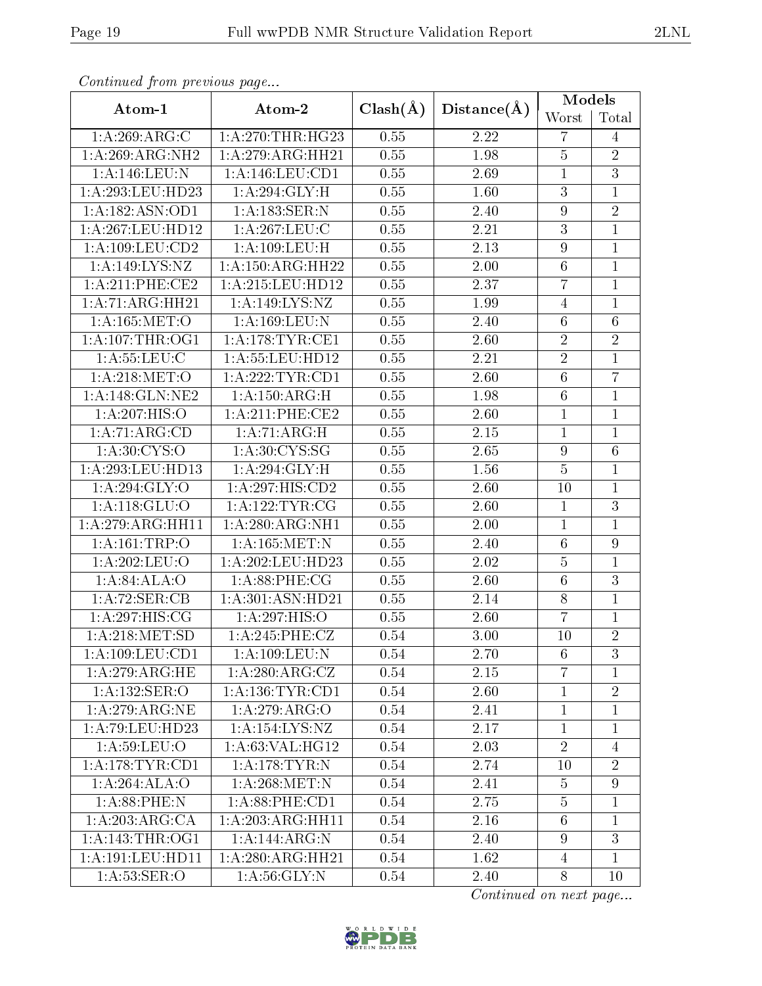| o hoofdwed Jrohn procedure page |                                    |              | Distance(A)       | <b>Models</b>    |                  |  |
|---------------------------------|------------------------------------|--------------|-------------------|------------------|------------------|--|
| Atom-1                          | Atom-2                             | $Clash(\AA)$ |                   | Worst            | Total            |  |
| 1:A:269:ARG:C                   | 1: A:270:THR:HG23                  | 0.55         | 2.22              | $\overline{7}$   | $\overline{4}$   |  |
| 1: A:269: ARG: NH2              | 1: A:279: ARG: HH21                | 0.55         | 1.98              | $\overline{5}$   | $\sqrt{2}$       |  |
| 1:A:146:LEU:N                   | 1:A:146:LEU:CD1                    | 0.55         | 2.69              | $\mathbf{1}$     | $\overline{3}$   |  |
| 1:A:293:LEU:HD23                | 1: A:294: GLY: H                   | 0.55         | 1.60              | $\overline{3}$   | $\mathbf{1}$     |  |
| 1:A:182:ASN:OD1                 | 1:A:183:SER:N                      | 0.55         | 2.40              | $\boldsymbol{9}$ | $\overline{2}$   |  |
| 1:A:267:LEU:HD12                | 1: A:267:LEU:C                     | 0.55         | $\overline{2}.21$ | $\overline{3}$   | $\mathbf{1}$     |  |
| 1:A:109:LEU:CD2                 | 1:A:109:LEU:H                      | 0.55         | 2.13              | $\boldsymbol{9}$ | $\overline{1}$   |  |
| 1:A:149:LYS:NZ                  | 1: A: 150: ARG: HH22               | 0.55         | $2.00\,$          | $\,6$            | $\mathbf{1}$     |  |
| 1: A:211:PHE:CE2                | 1:A:215:LEU:HD12                   | 0.55         | 2.37              | $\overline{7}$   | $\mathbf{1}$     |  |
| 1:A:71:ARG:HH21                 | 1:A:149:LYS:NZ                     | 0.55         | 1.99              | $\overline{4}$   | $\overline{1}$   |  |
| 1:A:165:MET:O                   | 1:A:169:LEU:N                      | 0.55         | 2.40              | $\sqrt{6}$       | $\overline{6}$   |  |
| $1:\overline{A}:107$ :THR:OG1   | 1: A:178:TYR:CE1                   | 0.55         | 2.60              | $\sqrt{2}$       | $\overline{2}$   |  |
| 1: A: 55: LEU: C                | 1:A:55:LEU:HD12                    | 0.55         | 2.21              | $\overline{2}$   | $\mathbf{1}$     |  |
| 1: A:218: MET:O                 | 1:A:222:TYR:CD1                    | 0.55         | 2.60              | $\overline{6}$   | $\overline{7}$   |  |
| 1:A:148:GLN:NE2                 | 1:A:150:ARG:H                      | 0.55         | 1.98              | $\,6\,$          | $\mathbf{1}$     |  |
| 1:A:207:HIS:O                   | 1:A:211:PHE:CE2                    | 0.55         | 2.60              | $\overline{1}$   | $\overline{1}$   |  |
| 1: A:71: ARG:CD                 | 1: A:71: ARG:H                     | 0.55         | $2.15\,$          | $\mathbf{1}$     | $\mathbf{1}$     |  |
| 1: A:30:CYS:O                   | 1: A:30:CYS:SG                     | 0.55         | 2.65              | $\boldsymbol{9}$ | $\overline{6}$   |  |
| 1:A:293:LEU:HD13                | 1: A:294: GLY: H                   | 0.55         | 1.56              | $\bf 5$          | $\mathbf{1}$     |  |
| 1:A:294:GLY:O                   | 1:A:297:HIS:CD2                    | 0.55         | 2.60              | 10               | $\overline{1}$   |  |
| 1: A: 118: GLU:O                | 1: A: 122: TYR: CG                 | 0.55         | 2.60              | $\mathbf 1$      | $\overline{3}$   |  |
| 1:A:279:ARG:HH11                | 1: A:280:ARG:NH1                   | 0.55         | 2.00              | $\mathbf{1}$     | $\overline{1}$   |  |
| 1:A:161:TRP:O                   | 1:A:165:MET:N                      | 0.55         | 2.40              | $\,6\,$          | $\boldsymbol{9}$ |  |
| 1:A:202:LEU:O                   | 1:A:202:LEU:HD23                   | 0.55         | 2.02              | $\bf 5$          | $\overline{1}$   |  |
| 1:A:84:ALA:O                    | 1: A:88:PHE:CG                     | 0.55         | 2.60              | $\,6$            | $\overline{3}$   |  |
| 1:A:72:SER:CB                   | 1:A:301:ASN:HD21                   | 0.55         | 2.14              | $8\,$            | $\overline{1}$   |  |
| 1: A:297: HIS: CG               | 1:A:297:HIS:O                      | 0.55         | 2.60              | $\overline{7}$   | $\mathbf{1}$     |  |
| 1: A:218: MET:SD                | 1: A:245:PHE:CZ                    | 0.54         | 3.00              | 10               | $\overline{2}$   |  |
| 1: A: 109: LEU: CD1             | 1: A: 109: LEU: N                  | 0.54         | 2.70              | 6                | 3                |  |
| 1: A:279:ARG:HE                 | 1: A:280:ARG:CZ                    | 0.54         | 2.15              | $\overline{7}$   | $\mathbf 1$      |  |
| 1: A: 132: SER: O               | 1: A: 136: TYR: CD1                | 0.54         | 2.60              | $\mathbf{1}$     | $\overline{2}$   |  |
| 1: A:279: ARG:NE                | 1:A:279:ARG:O                      | 0.54         | 2.41              | $\mathbf{1}$     | 1                |  |
| 1:A:79:LEU:HD23                 | 1:A:154:LYS:NZ                     | 0.54         | 2.17              | $\mathbf{1}$     | $\mathbf 1$      |  |
| 1: A:59: LEU:O                  | 1: A:63: VAL:HG12                  | 0.54         | 2.03              | $\overline{2}$   | $\overline{4}$   |  |
| 1: A:178:TYR:CD1                | $1: A:178:\overline{\text{TYR}:N}$ | 0.54         | 2.74              | 10               | $\overline{2}$   |  |
| 1:A:264:ALA:O                   | 1: A:268:MET:N                     | 0.54         | 2.41              | 5                | $9\phantom{.0}$  |  |
| 1: A:88:PHE:N                   | 1: A:88: PHE:CD1                   | 0.54         | 2.75              | $\overline{5}$   | $\mathbf 1$      |  |
| 1:A:203:ARG:CA                  | 1:A:203:ARG:HH11                   | 0.54         | 2.16              | $6\phantom{.}6$  | 1                |  |
| 1: A:143:THR:OG1                | 1:A:144:ARG:N                      | 0.54         | 2.40              | $9\phantom{.}$   | $\overline{3}$   |  |
| 1:A:191:LEU:HD11                | 1:A:280:ARG:HH21                   | 0.54         | 1.62              | $\overline{4}$   | $\mathbf{1}$     |  |
| 1: A:53: SER:O                  | 1: A:56: GLY:N                     | 0.54         | 2.40              | 8                | 10               |  |

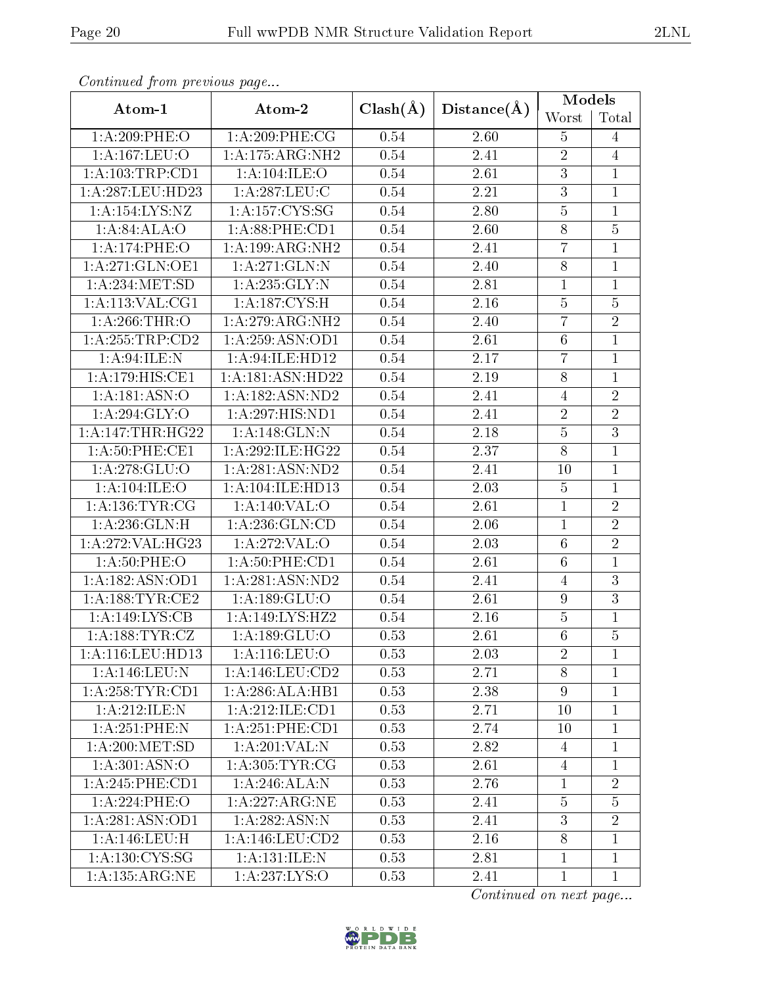|                     | sonnanda jioin picendas pago |              |                   | <b>Models</b>    |                |  |
|---------------------|------------------------------|--------------|-------------------|------------------|----------------|--|
| Atom-1              | Atom-2                       | $Clash(\AA)$ | Distance(A)       | Worst            | Total          |  |
| 1:A:209:PHE:O       | 1:A:209:PHE:CG               | 0.54         | 2.60              | $\overline{5}$   | $\overline{4}$ |  |
| 1:A:167:LEU:O       | 1:A:175:ARG:NH2              | 0.54         | 2.41              | $\sqrt{2}$       | $\overline{4}$ |  |
| 1:A:103:TRP:CD1     | 1: A: 104: ILE: O            | 0.54         | 2.61              | $\sqrt{3}$       | $\mathbf{1}$   |  |
| 1:A:287:LEU:HD23    | 1: A:287:LEU:C               | 0.54         | 2.21              | $\overline{3}$   | $\mathbf{1}$   |  |
| 1:A:154:LYS:NZ      | 1:A:157:CYS:SG               | 0.54         | 2.80              | $\overline{5}$   | $\mathbf{1}$   |  |
| 1:A:84:ALA:O        | $1: A:88:$ PHE: $CD1$        | 0.54         | 2.60              | $\overline{8}$   | $\overline{5}$ |  |
| 1:A:174:PHE:O       | 1:A:199:ARG:NH2              | 0.54         | 2.41              | $\overline{7}$   | $\overline{1}$ |  |
| 1:A:271:GLN:OE1     | 1:A:271:GLN:N                | 0.54         | 2.40              | $8\,$            | $\mathbf{1}$   |  |
| 1: A:234:MET:SD     | 1: A: 235: GLY: N            | 0.54         | 2.81              | $\mathbf{1}$     | $\mathbf{1}$   |  |
| 1: A: 113: VAL: CG1 | 1: A: 187: CYS:H             | 0.54         | 2.16              | $\overline{5}$   | $\overline{5}$ |  |
| 1: A:266:THR:O      | 1: A:279:ARG:NH2             | 0.54         | 2.40              | $\overline{7}$   | $\overline{2}$ |  |
| 1:A:255:TRP:CD2     | 1: A:259: ASN:OD1            | 0.54         | 2.61              | $\,6\,$          | $\overline{1}$ |  |
| 1: A:94: ILE:N      | 1:A:94:ILE:HD12              | 0.54         | 2.17              | $\overline{7}$   | $\mathbf{1}$   |  |
| 1:A:179:HIS:CE1     | 1:A:181:ASN:HD22             | 0.54         | 2.19              | $8\,$            | $\mathbf 1$    |  |
| 1:A:181:ASN:O       | 1:A:182:ASN:ND2              | 0.54         | 2.41              | $\overline{4}$   | $\overline{2}$ |  |
| 1: A:294: GLY:O     | 1:A:297:HIS:ND1              | 0.54         | 2.41              | $\overline{2}$   | $\overline{2}$ |  |
| 1:A:147:THR:HG22    | 1:A:148:GLN:N                | 0.54         | 2.18              | $\overline{5}$   | $\overline{3}$ |  |
| 1: A:50: PHE:CE1    | 1:A:292:ILE:HG22             | 0.54         | 2.37              | $\overline{8}$   | $\overline{1}$ |  |
| 1:A:278:GLU:O       | 1:A:281:ASN:ND2              | 0.54         | 2.41              | 10               | $\mathbf{1}$   |  |
| 1: A: 104: ILE: O   | 1:A:104:ILE:HD13             | 0.54         | 2.03              | $\bf 5$          | $\mathbf{1}$   |  |
| 1: A: 136: TYR: CG  | 1:A:140:VAL:O                | 0.54         | 2.61              | $\mathbf 1$      | $\overline{2}$ |  |
| 1: A:236: GLN:H     | 1: A:236: GLN:CD             | 0.54         | 2.06              | $\mathbf{1}$     | $\overline{2}$ |  |
| 1:A:272:VAL:HG23    | 1:A:272:VAL:O                | 0.54         | 2.03              | $\,6\,$          | $\overline{2}$ |  |
| 1: A:50:PHE:O       | 1: A:50: PHE:CD1             | 0.54         | 2.61              | $\,6\,$          | $\mathbf{1}$   |  |
| 1:A:182:ASN:OD1     | 1:A:281:ASN:ND2              | 0.54         | 2.41              | $\overline{4}$   | $\overline{3}$ |  |
| 1: A: 188: TYR: CE2 | 1: A: 189: GLU:O             | 0.54         | 2.61              | $\boldsymbol{9}$ | $\overline{3}$ |  |
| 1:A:149:LYS:CB      | 1:A:149:LYS:HZ2              | 0.54         | 2.16              | $\bf 5$          | $\mathbf{1}$   |  |
| 1: A: 188: TYR: CZ  | 1: A: 189: GLU:O             | 0.53         | $\overline{2.61}$ | $\overline{6}$   | $\overline{5}$ |  |
| 1: A:116:LEU:HD13   | $1:$ A:116:LEU: $O$          | 0.53         | 2.03              | $\overline{2}$   | 1              |  |
| 1:A:146:LEU:N       | 1:A:146:LEU:CD2              | 0.53         | 2.71              | 8                | 1              |  |
| 1: A:258:TYR:CD1    | 1:A:286:ALA:HB1              | 0.53         | 2.38              | $9\phantom{.}$   | $\mathbf 1$    |  |
| 1:A:212:JLE:N       | 1:A:212:ILE:CD1              | 0.53         | 2.71              | 10               | $\mathbf{1}$   |  |
| 1: A:251:PHE:N      | 1: A:251:PHE:CD1             | 0.53         | 2.74              | 10               | 1              |  |
| 1: A:200:MET:SD     | 1: A:201:VAL: N              | 0.53         | 2.82              | 4                | 1              |  |
| 1: A:301: ASN:O     | 1: A: 305: TYR: CG           | 0.53         | 2.61              | $\overline{4}$   | 1              |  |
| 1:A:245:PHE:CD1     | 1:A:246:ALA:N                | 0.53         | 2.76              | $\mathbf{1}$     | $\overline{2}$ |  |
| 1:A:224:PHE:O       | 1:A:227:ARG:NE               | 0.53         | 2.41              | $\bf 5$          | $\overline{5}$ |  |
| 1:A:281:ASN:OD1     | 1: A:282: ASN: N             | 0.53         | 2.41              | 3                | $\overline{2}$ |  |
| 1: A:146:LEU:H      | 1:A:146:LEU:CD2              | 0.53         | 2.16              | $8\,$            | $\overline{1}$ |  |
| 1: A: 130: CYS: SG  | 1:A:131:ILE:N                | 0.53         | 2.81              | $\mathbf{1}$     | $\mathbf{1}$   |  |
| 1:A:135:ARG:NE      | 1:A:237:LYS:O                | 0.53         | 2.41              | $\mathbf{1}$     | $\mathbf{1}$   |  |

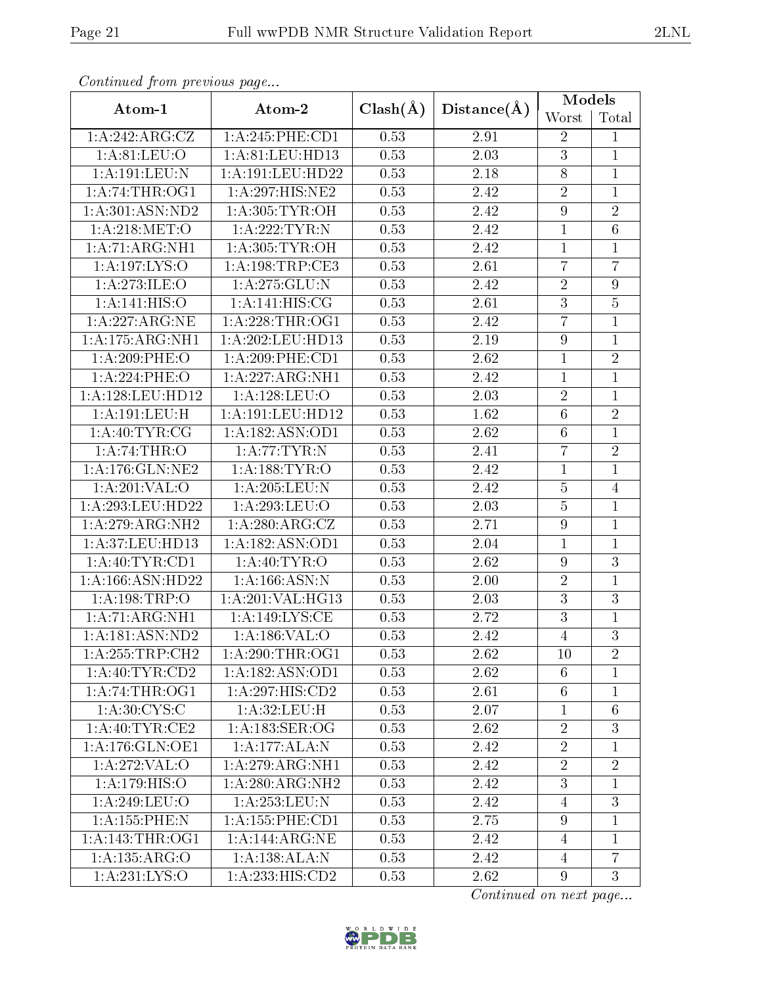| Communica from previous page |                                |              |             | Models           |                 |  |
|------------------------------|--------------------------------|--------------|-------------|------------------|-----------------|--|
| Atom-1                       | Atom-2                         | $Clash(\AA)$ | Distance(A) | Worst            | Total           |  |
| 1:A:242:ARG:CZ               | 1: A:245:PHE:CD1               | 0.53         | 2.91        | $\overline{2}$   | 1               |  |
| 1: A:81: LEU:O               | 1:A:81:LEU:HD13                | 0.53         | 2.03        | 3                | $\mathbf{1}$    |  |
| 1:A:191:LEU:N                | 1:A:191:LEU:HD22               | 0.53         | 2.18        | $8\,$            | $\mathbf{1}$    |  |
| 1: A:74:THR:OG1              | 1:A:297:HIS:NE2                | 0.53         | 2.42        | $\overline{2}$   | $\mathbf{1}$    |  |
| 1: A:301: ASN:ND2            | 1: A:305: TYR:OH               | 0.53         | 2.42        | $\boldsymbol{9}$ | $\overline{2}$  |  |
| 1: A:218: MET:O              | $1:$ A:222:TYR:N               | 0.53         | 2.42        | $\mathbf{1}$     | $\overline{6}$  |  |
| 1:A:71:ARG:NH1               | 1: A:305: TYR:OH               | 0.53         | 2.42        | $\mathbf{1}$     | 1               |  |
| 1:A:197:LYS:O                | 1: A: 198: TRP: CE3            | 0.53         | 2.61        | $\overline{7}$   | $\overline{7}$  |  |
| 1:A:273:ILE:O                | 1: A:275: GLU:N                | 0.53         | 2.42        | $\sqrt{2}$       | 9               |  |
| 1: A:141: HIS:O              | 1: A:141: HIS: CG              | 0.53         | 2.61        | $\overline{3}$   | $\overline{5}$  |  |
| 1: A:227: ARG:NE             | 1: A:228:THR:OG1               | 0.53         | 2.42        | $\overline{7}$   | $\overline{1}$  |  |
| 1:A:175:ARG:NH1              | 1:A:202:LEU:HD13               | 0.53         | 2.19        | $\boldsymbol{9}$ | $\mathbf{1}$    |  |
| 1:A:209:PHE:O                | $1: A:209:$ PHE:CD1            | 0.53         | 2.62        | $\mathbf{1}$     | $\overline{2}$  |  |
| 1:A:224:PHE:O                | 1:A:227:ARG:NH1                | 0.53         | 2.42        | $\mathbf 1$      | $\mathbf{1}$    |  |
| 1:A:128:LEU:HD12             | 1:A:128:LEU:O                  | 0.53         | 2.03        | $\sqrt{2}$       | $\mathbf{1}$    |  |
| 1:A:191:LEU:H                | 1:A:191:LEU:HD12               | 0.53         | 1.62        | $\overline{6}$   | $\overline{2}$  |  |
| 1: A:40:TYR:CG               | 1:A:182:ASN:OD1                | 0.53         | 2.62        | $\,6\,$          | $\overline{1}$  |  |
| 1: A:74:THR:O                | 1:A:77:TYR:N                   | 0.53         | 2.41        | $\overline{7}$   | $\overline{2}$  |  |
| 1: A:176: GLN: NE2           | 1:A:188:TYR:O                  | 0.53         | 2.42        | $\mathbf{1}$     | $\overline{1}$  |  |
| 1: A:201:VAL:O               | 1: A:205:LEU: N                | 0.53         | 2.42        | $\bf 5$          | $\overline{4}$  |  |
| 1:A:293:LEU:HD22             | 1:A:293:LEU:O                  | 0.53         | 2.03        | $\overline{5}$   | $\mathbf{1}$    |  |
| 1:A:279:ARG:NH2              | 1: A:280:ARG:CZ                | 0.53         | 2.71        | $\boldsymbol{9}$ | $\mathbf{1}$    |  |
| 1:A:37:LEU:HD13              | 1:A:182:ASN:OD1                | 0.53         | 2.04        | $\mathbf{1}$     | $\mathbf{1}$    |  |
| 1: A:40: TYR:CD1             | 1: A: 40: TYR: O               | 0.53         | 2.62        | $\boldsymbol{9}$ | $\overline{3}$  |  |
| 1: A: 166: ASN: HD22         | 1: A: 166: ASN: N              | 0.53         | $2.00\,$    | $\sqrt{2}$       | $\mathbf{1}$    |  |
| 1:A:198:TRP:O                | 1:A:201:VAL:HG13               | 0.53         | 2.03        | 3                | $\overline{3}$  |  |
| 1: A:71: ARG:NH1             | 1:A:149:LYS:CE                 | 0.53         | 2.72        | $\boldsymbol{3}$ | $\mathbf 1$     |  |
| 1:A:181:ASN:ND2              | 1:A:186:VAL:O                  | 0.53         | 2.42        | $\overline{4}$   | $\overline{3}$  |  |
| 1:A:255:TRP:CH2              | 1: A:290:THR:OG1               | 0.53         | 2.62        | 10               | $\overline{2}$  |  |
| 1: A:40: TYR:CD2             | 1:A:182:ASN:OD1                | 0.53         | 2.62        | $6\phantom{.}6$  | $\overline{1}$  |  |
| 1: A:74:THR:OG1              | $1: A:297: \overline{HIS:CD2}$ | 0.53         | 2.61        | $6\phantom{.}6$  | $\mathbf 1$     |  |
| 1: A:30:CYS:C                | 1: A:32: LEU:H                 | 0.53         | 2.07        | $\mathbf{1}$     | $6\phantom{.}6$ |  |
| 1: A:40: TYR: CE2            | 1: A: 183: SER: OG             | 0.53         | 2.62        | $\boldsymbol{2}$ | 3               |  |
| 1: A:176: GLN:OE1            | 1:A:177:ALA:N                  | 0.53         | 2.42        | $\overline{2}$   | $\mathbf 1$     |  |
| 1:A:272:VAL:O                | 1: A:279: ARG: NH1             | 0.53         | 2.42        | $\sqrt{2}$       | $\sqrt{2}$      |  |
| 1:A:179:HIS:O                | 1:A:280:ARG:NH2                | 0.53         | 2.42        | $\overline{3}$   | $\overline{1}$  |  |
| 1:A:249:LEU:O                | 1: A:253:LEU:N                 | 0.53         | 2.42        | 4                | 3               |  |
| 1:A:155:PHE:N                | 1:A:155:PHE:CD1                | 0.53         | 2.75        | $\boldsymbol{9}$ | $\overline{1}$  |  |
| 1: A:143:THR:OG1             | 1: A:144:ARG:NE                | 0.53         | 2.42        | $\overline{4}$   | 1               |  |
| 1:A:135:ARG:O                | 1: A: 138: ALA: N              | 0.53         | 2.42        | $\overline{4}$   | $\overline{7}$  |  |
| 1:A:231:LYS:O                | 1:A:233:HIS:CD2                | 0.53         | 2.62        | $\overline{9}$   | 3               |  |

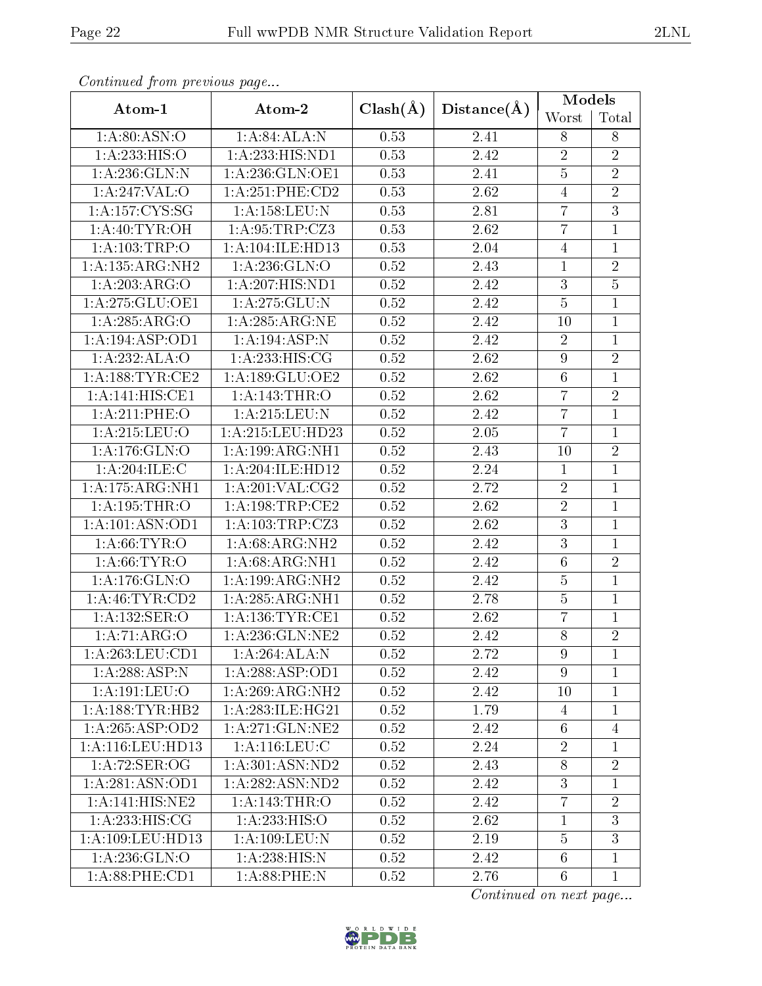| Conningea from previous page |                                      |              |             | $\overline{\text{Models}}$ |                |  |
|------------------------------|--------------------------------------|--------------|-------------|----------------------------|----------------|--|
| Atom-1                       | Atom-2                               | $Clash(\AA)$ | Distance(A) | Worst                      | Total          |  |
| 1: A:80: ASN:O               | 1: A:84: ALA: N                      | 0.53         | 2.41        | 8                          | $8\,$          |  |
| 1:A:233:HIS:O                | 1:A:233:HIS:ND1                      | 0.53         | 2.42        | $\overline{2}$             | $\overline{2}$ |  |
| 1: A: 236: GLN:N             | 1:A:236:GLN:OE1                      | 0.53         | 2.41        | $\bf 5$                    | $\overline{2}$ |  |
| 1: A:247: VAL:O              | $1: A:251:$ PHE: $CD2$               | 0.53         | 2.62        | $\overline{4}$             | $\overline{2}$ |  |
| 1: A: 157: CYS: SG           | 1:A:158:LEU:N                        | 0.53         | 2.81        | $\overline{7}$             | $\overline{3}$ |  |
| 1: A:40: TYR:OH              | 1:A:95:TRP:CZ3                       | 0.53         | 2.62        | $\overline{7}$             | $\mathbf{1}$   |  |
| 1:A:103:TRP:O                | 1:A:104:ILE:HD13                     | 0.53         | 2.04        | $\overline{4}$             | $\mathbf{1}$   |  |
| 1:A:135:ARG:NH2              | 1: A:236: GLN:O                      | 0.52         | 2.43        | $\mathbf{1}$               | $\sqrt{2}$     |  |
| 1:A:203:ARG:O                | 1:A:207:HIS:ND1                      | 0.52         | 2.42        | $\overline{3}$             | $\overline{5}$ |  |
| 1: A:275: GLU:OE1            | 1:A:275:GLU:N                        | 0.52         | 2.42        | $\bf 5$                    | 1              |  |
| 1:A:285:ARG:O                | 1:A:285:ARG:NE                       | 0.52         | 2.42        | 10                         | $\mathbf{1}$   |  |
| 1:A:194:ASP:OD1              | 1:A:194:ASP:N                        | 0.52         | 2.42        | $\sqrt{2}$                 | $\mathbf{1}$   |  |
| 1:A:232:ALA:O                | 1:A:233:HIS:CG                       | 0.52         | 2.62        | $\boldsymbol{9}$           | $\overline{2}$ |  |
| 1: A: 188: TYR: CE2          | 1:A:189:GLU:OE2                      | 0.52         | 2.62        | $\,6\,$                    | $\overline{1}$ |  |
| 1:A:141:HIS:CE1              | 1:A:143:THR:O                        | 0.52         | 2.62        | $\overline{7}$             | $\overline{2}$ |  |
| 1:A:211:PHE:O                | $1: A:215:$ LEU:N                    | 0.52         | 2.42        | $\overline{7}$             | $\mathbf{1}$   |  |
| 1:A:215:LEU:O                | 1:A:215:LEU:HD23                     | 0.52         | 2.05        | $\overline{7}$             | $\mathbf{1}$   |  |
| 1: A:176: GLN:O              | 1: A: 199: ARG: NH1                  | 0.52         | 2.43        | $10\,$                     | $\overline{2}$ |  |
| 1:A:204:ILE:C                | $1:A:204:\overline{\text{ILE:HD12}}$ | 0.52         | 2.24        | $\mathbf{1}$               | 1              |  |
| 1:A:175:ARG:NH1              | 1: A:201:VAL: CG2                    | 0.52         | 2.72        | $\sqrt{2}$                 | $\mathbf{1}$   |  |
| 1:A:195:THR:O                | 1: A:198:TRP:CE2                     | 0.52         | 2.62        | $\overline{2}$             | $\mathbf{1}$   |  |
| 1:A:101:ASN:OD1              | 1:A:103:TRP:CZ3                      | 0.52         | 2.62        | $\overline{3}$             | $\mathbf{1}$   |  |
| 1: A:66:TYR:O                | 1:A:68:ARG:NH2                       | 0.52         | 2.42        | $\overline{3}$             | $\mathbf{1}$   |  |
| 1: A:66:TYR:O                | 1: A:68:ARG:NH1                      | 0.52         | 2.42        | $\sqrt{6}$                 | $\overline{2}$ |  |
| 1:A:176:GLN:O                | 1:A:199:ARG:NH2                      | 0.52         | 2.42        | $5\,$                      | $\mathbf{1}$   |  |
| 1: A:46:TYR:CD2              | 1: A:285:ARG:NH1                     | 0.52         | 2.78        | $\overline{5}$             | $\mathbf{1}$   |  |
| 1:A:132:SER:O                | 1: A: 136: TYR: CE1                  | 0.52         | 2.62        | $\overline{7}$             | 1              |  |
| $1:\overline{A:71:ARG:O}$    | 1:A:236:GLN:NE2                      | 0.52         | 2.42        | $\overline{8}$             | $\overline{2}$ |  |
| 1: A:263:LEU:CD1             | 1:A:264:ALA:N                        | 0.52         | 2.72        | 9                          | 1              |  |
| 1:A:288:ASP:N                | 1:A:288:ASP:OD1                      | 0.52         | 2.42        | $9\phantom{.}$             | $\overline{1}$ |  |
| 1: A: 191: LEU: O            | $1:A:269:ARG:\overline{NH2}$         | 0.52         | 2.42        | 10                         | $\mathbf{1}$   |  |
| 1: A: 188: TYR: HB2          | 1: A:283: ILE: HG21                  | 0.52         | 1.79        | $\overline{4}$             | $\mathbf{1}$   |  |
| 1:A:265:ASP:OD2              | 1: A:271: GLN:NE2                    | 0.52         | 2.42        | $6\phantom{.}6$            | $\overline{4}$ |  |
| 1:A:116:LEU:HD13             | 1:A:116:LEU:C                        | 0.52         | 2.24        | $\overline{2}$             | 1              |  |
| 1: A:72: SER:OG              | 1:A:301:ASN:ND2                      | 0.52         | 2.43        | $8\,$                      | $\overline{2}$ |  |
| 1:A:281:ASN:OD1              | 1:A:282:ASN:ND2                      | 0.52         | 2.42        | 3                          | $\mathbf{1}$   |  |
| 1:A:141:HIS:NE2              | 1: A:143:THR:O                       | 0.52         | 2.42        | $\overline{7}$             | $\overline{2}$ |  |
| 1: A: 233: HIS: CG           | 1: A: 233: HIS: O                    | 0.52         | 2.62        | $\mathbf{1}$               | 3              |  |
| 1: A:109: LEU: HD13          | 1: A:109: LEU: N                     | 0.52         | 2.19        | $\overline{5}$             | 3              |  |
| 1: A:236: GLN:O              | 1:A:238:HIS:N                        | 0.52         | 2.42        | $\sqrt{6}$                 | $\mathbf 1$    |  |
| 1:A:88:PHE:CD1               | 1: A:88:PHE:N                        | 0.52         | 2.76        | $\,6\,$                    | $\mathbf{1}$   |  |

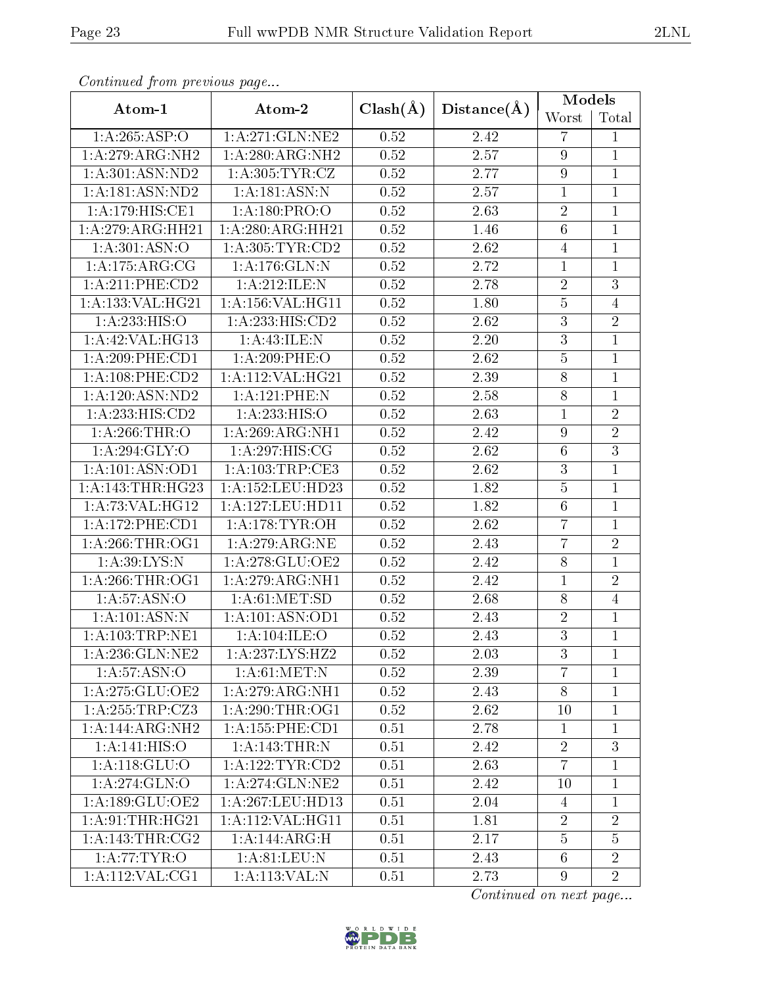| Continuata from previous page |                      |              |                   | Models           |                |  |
|-------------------------------|----------------------|--------------|-------------------|------------------|----------------|--|
| Atom-1                        | Atom-2               | $Clash(\AA)$ | Distance(A)       | Worst            | Total          |  |
| 1:A:265:ASP:O                 | 1: A:271: GLN:NE2    | 0.52         | 2.42              | $\overline{7}$   | 1              |  |
| 1:A:279:ARG:NH2               | 1: A:280:ARG:NH2     | 0.52         | 2.57              | $9\phantom{.0}$  | 1              |  |
| 1: A:301: ASN:ND2             | 1: A:305: TYR: CZ    | 0.52         | 2.77              | $\boldsymbol{9}$ | $\mathbf{1}$   |  |
| 1: A: 181: ASN: ND2           | 1: A:181: ASN:N      | 0.52         | 2.57              | $\mathbf{1}$     | $\mathbf{1}$   |  |
| 1:A:179:HIS:CE1               | 1: A: 180: PRO: O    | 0.52         | 2.63              | $\sqrt{2}$       | $\mathbf{1}$   |  |
| 1:A:279:ARG:HH21              | 1:A:280:ARG:HH21     | 0.52         | 1.46              | $\overline{6}$   | $\mathbf{1}$   |  |
| 1:A:301:ASN:O                 | 1: A:305: TYR:CD2    | 0.52         | 2.62              | $\overline{4}$   | $\mathbf{1}$   |  |
| 1:A:175:ARG:CG                | 1:A:176:GLN:N        | 0.52         | 2.72              | $\mathbf 1$      | $\mathbf{1}$   |  |
| 1:A:211:PHE:CD2               | 1:A:212:ILE:N        | 0.52         | 2.78              | $\overline{2}$   | $\overline{3}$ |  |
| 1:A:133:VAL:HG21              | 1:A:156:VAL:HG11     | 0.52         | 1.80              | $\overline{5}$   | $\overline{4}$ |  |
| 1:A:233:HIS:O                 | 1: A: 233: HIS: CD2  | 0.52         | 2.62              | $\overline{3}$   | $\overline{2}$ |  |
| 1:A:42:VAL:HG13               | 1:A:43:ILE:N         | 0.52         | 2.20              | $\overline{3}$   | $\mathbf 1$    |  |
| 1:A:209:PHE:CD1               | 1:A:209:PHE:O        | 0.52         | 2.62              | $\overline{5}$   | $\mathbf 1$    |  |
| 1: A: 108: PHE: CD2           | 1:A:112:VAL:HG21     | 0.52         | 2.39              | $\overline{8}$   | $\overline{1}$ |  |
| 1: A: 120: ASN: ND2           | 1:A:121:PHE:N        | 0.52         | 2.58              | $8\,$            | $\mathbf{1}$   |  |
| 1:A:233:HIS:CD2               | 1:A:233:HIS:O        | 0.52         | 2.63              | $\mathbf{1}$     | $\overline{2}$ |  |
| 1: A:266:THR:O                | 1: A:269:ARG:NH1     | 0.52         | 2.42              | $\boldsymbol{9}$ | $\overline{2}$ |  |
| 1: A:294: GLY:O               | 1:A:297:HIS:CG       | 0.52         | $\overline{2.62}$ | $\,6\,$          | $\overline{3}$ |  |
| 1:A:101:ASN:OD1               | 1: A: 103: TRP: CE3  | 0.52         | 2.62              | $\sqrt{3}$       | $\mathbf 1$    |  |
| 1: A:143:THR:HG23             | 1: A: 152: LEU: HD23 | 0.52         | 1.82              | $\overline{5}$   | $\mathbf 1$    |  |
| 1: A:73: VAL:HG12             | 1: A: 127: LEU: HD11 | 0.52         | 1.82              | $6\phantom{.}6$  | $\mathbf 1$    |  |
| 1:A:172:PHE:CD1               | 1: A:178: TYR: OH    | 0.52         | 2.62              | $\overline{7}$   | $\mathbf{1}$   |  |
| 1: A:266:THR:OG1              | 1:A:279:ARG:NE       | 0.52         | 2.43              | $\overline{7}$   | $\overline{2}$ |  |
| 1:A:39:LYS:N                  | 1:A:278:GLU:OE2      | 0.52         | 2.42              | $8\,$            | $\overline{1}$ |  |
| 1: A:266:THR:OG1              | 1:A:279:ARG:NH1      | 0.52         | 2.42              | $\mathbf{1}$     | $\overline{2}$ |  |
| 1: A:57: ASN:O                | 1: A:61: MET:SD      | 0.52         | 2.68              | $8\,$            | $\overline{4}$ |  |
| 1:A:101:ASN:N                 | 1: A: 101: ASN: OD1  | 0.52         | 2.43              | $\sqrt{2}$       | 1              |  |
| $1:$ A:103:TRP:NE1            | 1:A:104:ILE:O        | 0.52         | 2.43              | $\overline{3}$   | $\overline{1}$ |  |
| 1: A:236: GLN: NE2            | 1: A: 237: LYS: HZ2  | 0.52         | 2.03              | 3                | 1              |  |
| 1: A:57: ASN:O                | 1: A:61: MET: N      | 0.52         | 2.39              | $\overline{7}$   | $\overline{1}$ |  |
| 1:A:275:GLU:OE2               | 1: A:279: ARG: NH1   | 0.52         | 2.43              | $8\phantom{.}$   | $\mathbf 1$    |  |
| 1:A:255:TRP:CZ3               | 1:A:290:THR:OG1      | 0.52         | 2.62              | 10               | $\mathbf 1$    |  |
| 1:A:144:ARG:NH2               | 1: A: 155: PHE: CD1  | 0.51         | 2.78              | $\mathbf{1}$     | 1              |  |
| 1:A:141:HIS:O                 | 1:A:143:THR:N        | 0.51         | 2.42              | $\overline{2}$   | 3              |  |
| 1:A:118:GLU:O                 | 1: A: 122: TYR: CD2  | 0.51         | 2.63              | $\overline{7}$   | $\overline{1}$ |  |
| 1:A:274:GLN:O                 | 1:A:274:GLN:NE2      | 0.51         | 2.42              | 10               | $\mathbf{1}$   |  |
| 1:A:189:GLU:OE2               | 1:A:267:LEU:HD13     | 0.51         | 2.04              | 4                | 1              |  |
| 1: A:91:THR:HG21              | 1:A:112:VAL:HG11     | 0.51         | 1.81              | $\overline{2}$   | $\overline{2}$ |  |
| 1: A:143:THR:CG2              | 1:A:144:ARG:H        | 0.51         | 2.17              | $\overline{5}$   | $\overline{5}$ |  |
| 1: A:77:TYR:O                 | 1: A:81: LEU: N      | 0.51         | 2.43              | $6\phantom{.}6$  | $\overline{2}$ |  |
| 1:A:112:VAL:CG1               | 1: A: 113: VAL: N    | 0.51         | 2.73              | 9                | $\overline{2}$ |  |

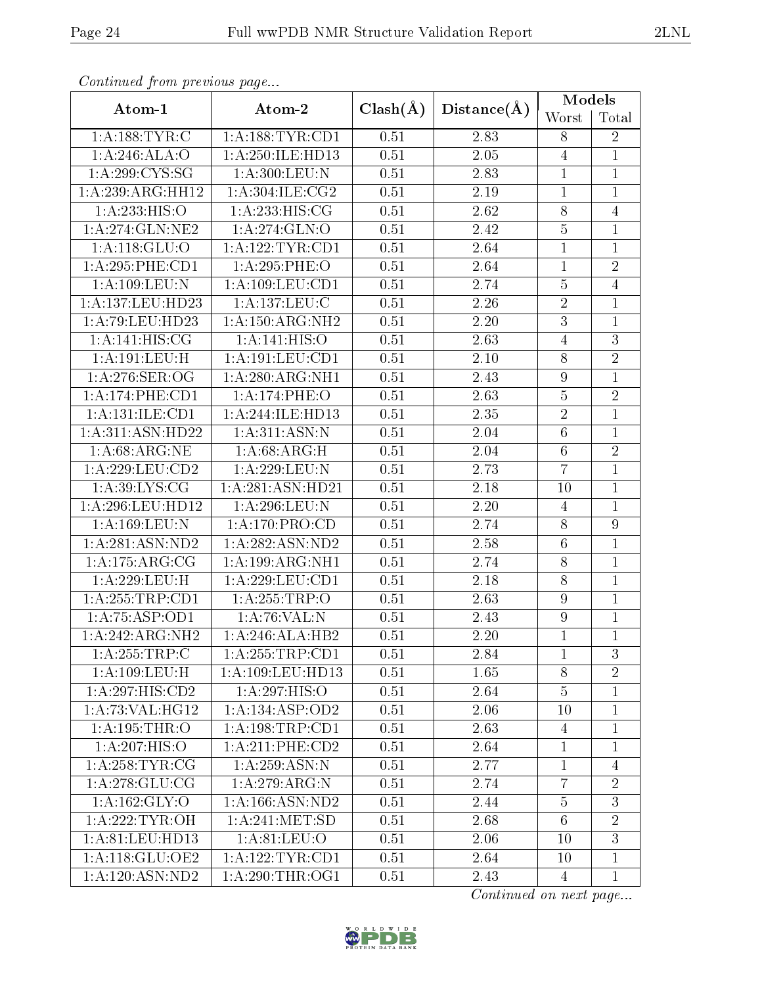| Continuata from previous page |                            |              |             | Models           |                |  |
|-------------------------------|----------------------------|--------------|-------------|------------------|----------------|--|
| Atom-1                        | Atom-2                     | $Clash(\AA)$ | Distance(A) | Worst            | Total          |  |
| 1: A: 188: TYR: C             | 1: A: 188: TYR: CD1        | 0.51         | 2.83        | 8                | $\overline{2}$ |  |
| 1:A:246:ALA:O                 | 1: A:250: ILE: HD13        | 0.51         | 2.05        | $\overline{4}$   | $\mathbf{1}$   |  |
| 1: A:299:CYS:SG               | 1: A:300: LEU:N            | 0.51         | 2.83        | $\mathbf{1}$     | $\mathbf{1}$   |  |
| 1:A:239:ARG:HH12              | 1: A:304: ILE: CG2         | 0.51         | 2.19        | $\mathbf{1}$     | $\mathbf{1}$   |  |
| 1:A:233:HIS:O                 | 1:A:233:HIS:CG             | 0.51         | 2.62        | $8\,$            | $\overline{4}$ |  |
| 1:A:274:GLN:NE2               | $1:\overline{A:274:GLN:O}$ | 0.51         | 2.42        | $\overline{5}$   | $\mathbf{1}$   |  |
| 1: A:118: GLU:O               | 1: A: 122: TYR: CD1        | 0.51         | 2.64        | $\mathbf 1$      | $\overline{1}$ |  |
| 1:A:295:PHE:CD1               | 1:A:295:PHE:O              | 0.51         | 2.64        | $\mathbf{1}$     | $\overline{2}$ |  |
| 1:A:109:LEU:N                 | 1: A: 109: LEU: CD1        | 0.51         | 2.74        | $\bf 5$          | $\overline{4}$ |  |
| 1:A:137:LEU:HD23              | 1: A: 137: LEU: C          | 0.51         | 2.26        | $\sqrt{2}$       | $\mathbf{1}$   |  |
| 1:A:79:LEU:HD23               | 1: A: 150: ARG: NH2        | 0.51         | $2.20\,$    | $\overline{3}$   | $\mathbf{1}$   |  |
| $1:A:141:H\overline{IS:CG}$   | 1:A:141:HIS:O              | 0.51         | 2.63        | $\overline{4}$   | $\overline{3}$ |  |
| 1:A:191:LEU:H                 | 1:A:191:LEU:CD1            | 0.51         | $2.10\,$    | $8\,$            | $\overline{2}$ |  |
| 1: A:276: SER:OG              | 1: A:280:ARG:NH1           | 0.51         | 2.43        | $\boldsymbol{9}$ | $\mathbf{1}$   |  |
| 1:A:174:PHE:CD1               | 1:A:174:PHE:O              | 0.51         | 2.63        | $\bf 5$          | $\overline{2}$ |  |
| 1:A:131:ILE:CD1               | 1:A:244:ILE:HD13           | 0.51         | 2.35        | $\overline{2}$   | $\mathbf{1}$   |  |
| 1:A:311:ASN:HD22              | 1: A:311: ASN:N            | 0.51         | 2.04        | $\,6$            | $\mathbf{1}$   |  |
| 1: A:68: ARG: NE              | 1: A:68: ARG:H             | 0.51         | 2.04        | $\overline{6}$   | $\overline{2}$ |  |
| 1:A:229:LEU:CD2               | 1:A:229:LEU:N              | 0.51         | 2.73        | $\overline{7}$   | $\overline{1}$ |  |
| 1: A:39: LYS: CG              | 1:A:281:ASN:HD21           | 0.51         | 2.18        | 10               | $\mathbf{1}$   |  |
| 1:A:296:LEU:HD12              | 1:A:296:LEU:N              | 0.51         | 2.20        | $\overline{4}$   | $\mathbf{1}$   |  |
| 1:A:169:LEU:N                 | 1: A:170: PRO:CD           | 0.51         | 2.74        | $8\,$            | $\overline{9}$ |  |
| 1: A:281: ASN:ND2             | 1:A:282:ASN:ND2            | 0.51         | 2.58        | $\,6$            | $\mathbf{1}$   |  |
| 1: A:175:ARG:CG               | 1:A:199:ARG:NH1            | 0.51         | 2.74        | $8\,$            | $\overline{1}$ |  |
| 1:A:229:LEU:H                 | 1: A:229:LEU:CD1           | 0.51         | 2.18        | $8\,$            | $\mathbf{1}$   |  |
| 1: A: 255: TRP: CD1           | 1:A:255:TRP:O              | 0.51         | 2.63        | $\boldsymbol{9}$ | $\mathbf{1}$   |  |
| 1:A:75:ASP:OD1                | 1:A:76:VAL:N               | 0.51         | 2.43        | $\overline{9}$   | $\mathbf 1$    |  |
| 1:A:242:ARG:NH2               | 1:A:246:ALA:HB2            | 0.51         | 2.20        | $\mathbf{1}$     | $\overline{1}$ |  |
| 1: A:255:TRP:C                | 1:A:255:TRP:CD1            | 0.51         | 2.84        | $\mathbf{1}$     | 3              |  |
| 1:A:109:LEU:H                 | 1:A:109:LEU:HD13           | 0.51         | 1.65        | 8                | $\overline{2}$ |  |
| 1:A:297:HIS:CD2               | 1:A:297:HIS:O              | 0.51         | 2.64        | $\overline{5}$   | $\mathbf 1$    |  |
| 1:A:73:VAL:HG12               | 1: A: 134: ASP: OD2        | 0.51         | 2.06        | 10               | $\mathbf{1}$   |  |
| 1:A:195:THR:O                 | 1: A: 198: TRP: CD1        | 0.51         | 2.63        | $\overline{4}$   | 1              |  |
| 1:A:207:HIS:O                 | $1: A:211:$ PHE: $CD2$     | 0.51         | 2.64        | $\mathbf{1}$     | $\mathbf{1}$   |  |
| 1: A:258:TYR:CG               | 1: A:259: ASN:N            | 0.51         | 2.77        | $\mathbf{1}$     | $\overline{4}$ |  |
| 1: A:278: GLU:CG              | 1:A:279:ARG:N              | 0.51         | 2.74        | $\overline{7}$   | $\overline{2}$ |  |
| 1:A:162:GLY:O                 | 1:A:166:ASN:ND2            | 0.51         | 2.44        | $\bf 5$          | 3              |  |
| 1: A:222:TYR:OH               | 1: A:241: MET:SD           | 0.51         | 2.68        | $6\phantom{.}6$  | $\overline{2}$ |  |
| 1: A:81: LEU: HD13            | 1: A:81: LEU:O             | 0.51         | 2.06        | 10               | $\overline{3}$ |  |
| 1: A:118: GLU:OE2             | 1:A:122:TYR:CD1            | 0.51         | 2.64        | 10               | $\mathbf{1}$   |  |
| 1: A: 120: ASN: ND2           | 1: A:290:THR:OG1           | 0.51         | 2.43        | 4                | $\mathbf{1}$   |  |

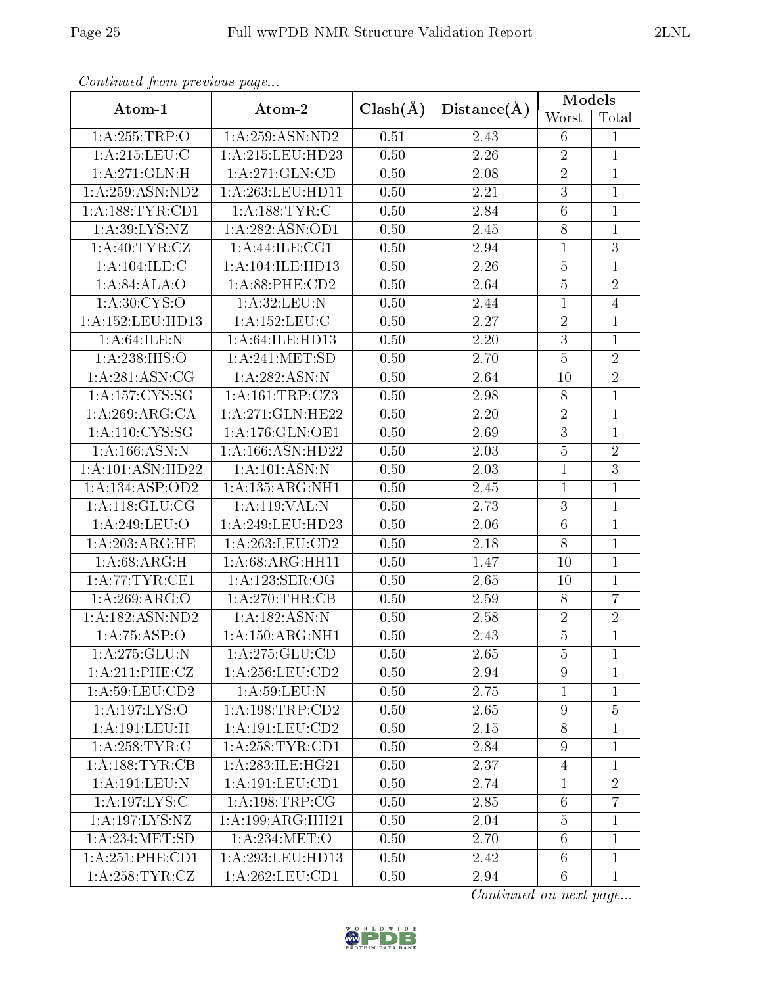| Conningea from previous page                          |                      |              | Distance(A)       | Models           |                |  |
|-------------------------------------------------------|----------------------|--------------|-------------------|------------------|----------------|--|
| Atom-1                                                | Atom-2               | $Clash(\AA)$ |                   | Worst            | Total          |  |
| 1:A:255:TRP:O                                         | 1:A:259:ASN:ND2      | 0.51         | 2.43              | $6\phantom{.}6$  | $\mathbf{1}$   |  |
| 1: A:215:LEU:C                                        | 1:A:215:LEU:HD23     | 0.50         | 2.26              | $\overline{2}$   | $\mathbf{1}$   |  |
| 1: A:271: GLN:H                                       | 1: A:271: GLN:CD     | 0.50         | $2.08\,$          | $\overline{2}$   | $\overline{1}$ |  |
| $1:$ A:259:ASN:ND2                                    | 1:A:263:LEU:HD11     | 0.50         | 2.21              | $\overline{3}$   | $\mathbf{1}$   |  |
| 1: A: 188: TYR: CD1                                   | 1: A: 188: TYR: C    | 0.50         | 2.84              | $\sqrt{6}$       | $\mathbf{1}$   |  |
| 1: A:39: LYS: NZ                                      | 1:A:282:ASN:OD1      | 0.50         | 2.45              | 8                | $\mathbf{1}$   |  |
| 1: A:40: TYR: CZ                                      | 1:A:44:ILE:CG1       | 0.50         | 2.94              | $\mathbf{1}$     | $\overline{3}$ |  |
| 1:A:104:ILE:C                                         | 1:A:104:ILE:HD13     | 0.50         | 2.26              | $\bf 5$          | $\mathbf{1}$   |  |
| 1: A:84: ALA:O                                        | 1:A:88:PHE:CD2       | 0.50         | 2.64              | $\overline{5}$   | $\overline{2}$ |  |
| 1:A:30:CYS:O                                          | 1: A:32: LEU: N      | 0.50         | 2.44              | $\mathbf{1}$     | $\overline{4}$ |  |
| 1:A:152:LEU:HD13                                      | 1: A: 152: LEU: C    | 0.50         | $\overline{2.27}$ | $\overline{2}$   | $\overline{1}$ |  |
| 1: A:64: ILE:N                                        | 1:A:64:ILE:HD13      | 0.50         | 2.20              | $\overline{3}$   | $\overline{1}$ |  |
| 1:A:238:HIS:O                                         | 1: A:241: MET:SD     | 0.50         | 2.70              | $\overline{5}$   | $\overline{2}$ |  |
| 1: A:281: ASN:CG                                      | 1: A:282:ASN:N       | 0.50         | 2.64              | 10               | $\overline{2}$ |  |
| $1: A: 157: \overline{\text{C} \text{YS}: \text{SG}}$ | 1:A:161:TRP:CZ3      | 0.50         | 2.98              | $8\,$            | $\mathbf{1}$   |  |
| 1:A:269:ARG:CA                                        | 1:A:271:GLN:HE22     | 0.50         | 2.20              | $\overline{2}$   | $\overline{1}$ |  |
| 1: A: 110: CYS: SG                                    | 1: A:176: GLN:OE1    | 0.50         | 2.69              | $\overline{3}$   | $\mathbf{1}$   |  |
| 1:A:166:ASN:N                                         | 1:A:166:ASN:HD22     | 0.50         | 2.03              | $\overline{5}$   | $\overline{2}$ |  |
| 1:A:101:ASN:HD22                                      | 1: A:101: ASN:N      | 0.50         | 2.03              | $\mathbf{1}$     | $\overline{3}$ |  |
| 1:A:134:ASP:OD2                                       | 1:A:135:ARG:NH1      | 0.50         | $2.45\,$          | $\mathbf 1$      | $\mathbf{1}$   |  |
| 1: A:118: GLU:CG                                      | 1:A:119:VAL:N        | 0.50         | 2.73              | $\overline{3}$   | $\mathbf{1}$   |  |
| 1:A:249:LEU:O                                         | 1:A:249:LEU:HD23     | 0.50         | 2.06              | $\sqrt{6}$       | $\overline{1}$ |  |
| 1:A:203:ARG:HE                                        | 1:A:263:LEU:CD2      | 0.50         | 2.18              | $8\,$            | $\mathbf{1}$   |  |
| 1:A:68:ARG:H                                          | 1:A:68:ARG:HH11      | 0.50         | 1.47              | 10               | $\mathbf{1}$   |  |
| 1: A:77:TYR:CE1                                       | 1:A:123:SER:OG       | 0.50         | 2.65              | 10               | $\mathbf{1}$   |  |
| 1:A:269:ARG:O                                         | 1: A:270:THR:CB      | 0.50         | 2.59              | 8                | $\overline{7}$ |  |
| 1:A:182:ASN:ND2                                       | 1: A: 182: ASN: N    | 0.50         | 2.58              | $\sqrt{2}$       | $\overline{2}$ |  |
| 1: A:75:ASP:O                                         | 1:A:150:ARG:NH1      | 0.50         | 2.43              | $\overline{5}$   | $\overline{1}$ |  |
| 1: A:275: GLU:N                                       | 1: A:275: GLU:CD     | 0.50         | 2.65              | 5                | 1              |  |
| 1: A:211:PHE: CZ                                      | 1:A:256:LEU:CD2      | 0.50         | 2.94              | $\overline{9}$   | 1              |  |
| 1:A:59:LEU:CD2                                        | 1: A:59: LEU: N      | 0.50         | 2.75              | 1                | $\mathbf{1}$   |  |
| 1:A:197:LYS:O                                         | 1:A:198:TRP:CD2      | 0.50         | 2.65              | $\boldsymbol{9}$ | $\overline{5}$ |  |
| 1:A:191:LEU:H                                         | 1: A: 191: LEU: CD2  | 0.50         | 2.15              | $8\,$            | $\mathbf{1}$   |  |
| 1:A:258:TYR:C                                         | 1: A:258:TYR:CD1     | 0.50         | 2.84              | $\boldsymbol{9}$ | $\mathbf{1}$   |  |
| 1: A: 188: TYR: CB                                    | 1: A:283: ILE: HG21  | 0.50         | 2.37              | $\overline{4}$   | $\mathbf{1}$   |  |
| $1:A:191:\overline{\text{LEU:N}}$                     | 1:A:191:LEU:CD1      | 0.50         | 2.74              | $\mathbf{1}$     | $\overline{2}$ |  |
| 1: A: 197: LYS: C                                     | 1: A: 198: TRP: CG   | 0.50         | 2.85              | $\sqrt{6}$       | $\overline{7}$ |  |
| 1: A: 197: LYS: NZ                                    | 1: A: 199: ARG: HH21 | 0.50         | 2.04              | 5                | $\mathbf{1}$   |  |
| 1: A:234: MET:SD                                      | 1: A:234:MET:O       | 0.50         | 2.70              | $6\phantom{.}6$  | $\mathbf{1}$   |  |
| 1:A:251:PHE:CD1                                       | 1: A:293:LEU:HD13    | 0.50         | 2.42              | 6                | $\mathbf{1}$   |  |
| 1:A:258:TYR:CZ                                        | 1: A:262:LEU:CD1     | 0.50         | 2.94              | $6\phantom{.}6$  | $\mathbf{1}$   |  |

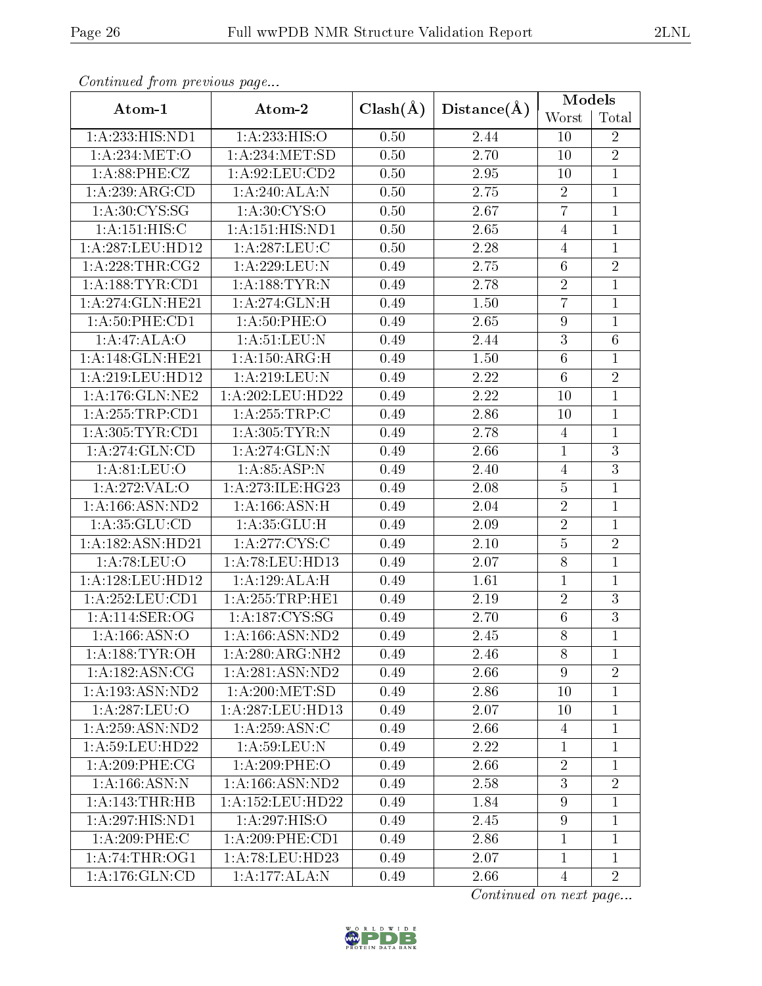|                     |                            |              | Distance(A)       | <b>Models</b>    |                 |  |
|---------------------|----------------------------|--------------|-------------------|------------------|-----------------|--|
| Atom-1              | Atom-2                     | $Clash(\AA)$ |                   | Worst            | Total           |  |
| 1:A:233:HIS:ND1     | 1: A: 233: HIS: O          | 0.50         | 2.44              | 10               | $\overline{2}$  |  |
| 1: A:234: MET:O     | $1:$ A:234:MET:SD          | 0.50         | 2.70              | 10               | $\overline{2}$  |  |
| 1: A:88:PHE:CZ      | 1: A:92: LEU:CD2           | 0.50         | 2.95              | 10               | $\mathbf{1}$    |  |
| 1:A:239:ARG:CD      | 1:A:240:ALA:N              | 0.50         | 2.75              | $\sqrt{2}$       | $\mathbf{1}$    |  |
| 1: A:30: CYS:SG     | 1:A:30:CYS:O               | 0.50         | 2.67              | $\overline{7}$   | $\overline{1}$  |  |
| 1: A:151: HIS:C     | 1:A:151:HIS:ND1            | 0.50         | 2.65              | $\overline{4}$   | $\mathbf{1}$    |  |
| 1:A:287:LEU:HD12    | 1: A:287:LEU:C             | 0.50         | 2.28              | $\overline{4}$   | $\overline{1}$  |  |
| 1: A:228:THR:CG2    | 1:A:229:LEU:N              | 0.49         | 2.75              | $\,6$            | $\overline{2}$  |  |
| 1: A: 188: TYR: CD1 | 1: A: 188: TYR: N          | 0.49         | 2.78              | $\overline{2}$   | $\overline{1}$  |  |
| 1:A:274:GLN:HE21    | $1:A:274:GLN:\overline{H}$ | 0.49         | $1.50\,$          | $\overline{7}$   | $\mathbf 1$     |  |
| 1:A:50:PHE:CD1      | 1: A:50: PHE:O             | 0.49         | 2.65              | $\boldsymbol{9}$ | $\overline{1}$  |  |
| 1:A:47:ALA:O        | 1: A:51: LEU: N            | 0.49         | 2.44              | $\sqrt{3}$       | $6\phantom{.}6$ |  |
| 1: A:148: GLN: HE21 | $1:$ A:150:ARG:H           | 0.49         | 1.50              | $\,6\,$          | $\mathbf 1$     |  |
| 1:A:219:LEU:HD12    | 1:A:219:LEU:N              | 0.49         | 2.22              | $\overline{6}$   | $\overline{2}$  |  |
| 1: A:176: GLN: NE2  | 1:A:202:LEU:HD22           | 0.49         | 2.22              | 10               | $\mathbf{1}$    |  |
| 1: A: 255: TRP: CD1 | 1:A:255:TRP:C              | 0.49         | 2.86              | 10               | $\overline{1}$  |  |
| 1: A:305: TYR: CD1  | 1: A:305: TYR: N           | 0.49         | 2.78              | $\overline{4}$   | $\mathbf{1}$    |  |
| 1: A:274: GLN:CD    | 1:A:274:GLN:N              | 0.49         | 2.66              | $\overline{1}$   | $\overline{3}$  |  |
| 1: A:81: LEU:O      | 1: A:85:ASP:N              | 0.49         | 2.40              | $\overline{4}$   | $\overline{3}$  |  |
| 1:A:272:VAL:O       | 1:A:273:ILE:HG23           | 0.49         | 2.08              | $\bf 5$          | $\overline{1}$  |  |
| 1:A:166:ASN:ND2     | 1: A: 166: ASN:H           | 0.49         | 2.04              | $\overline{2}$   | $\mathbf{1}$    |  |
| 1: A:35: GLU:CD     | 1: A:35: GLU:H             | 0.49         | 2.09              | $\sqrt{2}$       | $\mathbf{1}$    |  |
| 1:A:182:ASN:HD21    | 1: A:277:CYS:C             | 0.49         | $2.10\,$          | $\overline{5}$   | $\overline{2}$  |  |
| 1:A:78:LEU:O        | 1:A:78:LEU:HD13            | 0.49         | 2.07              | $8\,$            | $\overline{1}$  |  |
| 1:A:128:LEU:HD12    | 1:A:129:ALA:H              | 0.49         | 1.61              | $\mathbf{1}$     | $\mathbf{1}$    |  |
| 1:A:252:LEU:CD1     | 1:A:255:TRP:HE1            | 0.49         | $\overline{2.19}$ | $\overline{2}$   | $\overline{3}$  |  |
| 1:A:114:SER:OG      | 1:A:187:CYS:SG             | 0.49         | 2.70              | $\,6$            | $\overline{3}$  |  |
| 1:A:166:ASN:O       | 1:A:166:ASN:ND2            | 0.49         | 2.45              | 8                | $\mathbf{1}$    |  |
| 1: A: 188: TYR: OH  | 1: A:280:ARG:NH2           | 0.49         | 2.46              | 8                | $\mathbf{1}$    |  |
| 1: A: 182: ASN: CG  | 1:A:281:ASN:ND2            | 0.49         | 2.66              | 9                | $\overline{2}$  |  |
| 1:A:193:ASN:ND2     | 1: A:200:MET:SD            | 0.49         | 2.86              | 10               | 1               |  |
| 1:A:287:LEU:O       | 1:A:287:LEU:HD13           | 0.49         | 2.07              | 10               | 1               |  |
| 1:A:259:ASN:ND2     | 1: A:259: ASN:C            | 0.49         | 2.66              | $\overline{4}$   | $\overline{1}$  |  |
| 1:A:59:LEU:HD22     | 1: A:59: LEU: N            | 0.49         | 2.22              | $\mathbf{1}$     | 1               |  |
| $1: A:209:$ PHE:CG  | $1: A:209:$ PHE:O          | 0.49         | 2.66              | $\overline{2}$   | $\overline{1}$  |  |
| 1:A:166:ASN:N       | 1: A: 166: ASN: ND2        | 0.49         | 2.58              | 3                | $\overline{2}$  |  |
| 1:A:143:THR:HB      | 1:A:152:LEU:HD22           | 0.49         | 1.84              | $9\phantom{.}$   | $\overline{1}$  |  |
| 1:A:297:HIS:ND1     | 1:A:297:HIS:O              | 0.49         | 2.45              | 9                | 1               |  |
| 1:A:209:PHE:C       | $1: A:209:$ PHE:CD1        | 0.49         | 2.86              | $\mathbf{1}$     | $\mathbf{1}$    |  |
| 1: A:74:THR:OG1     | 1:A:78:LEU:HD23            | 0.49         | 2.07              | $\mathbf 1$      | 1               |  |
| 1: A:176: GLN:CD    | $1:A:177:A\overline{LA:N}$ | 0.49         | 2.66              | $\overline{4}$   | $\overline{2}$  |  |

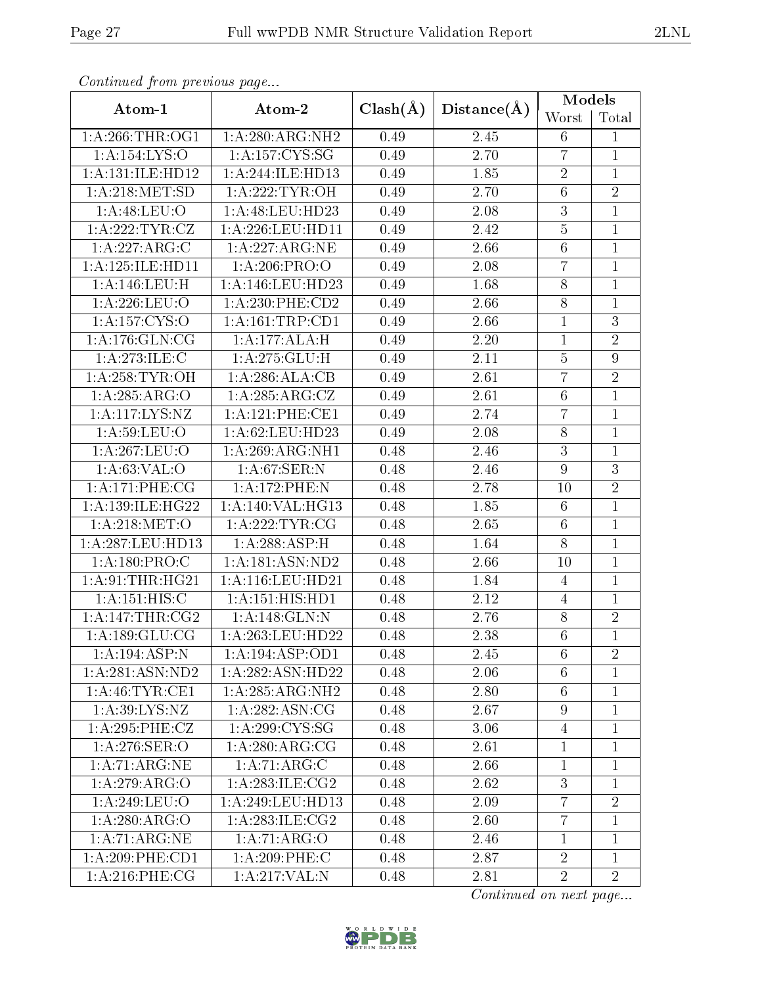|                                    |                               |              | Distance(A) | Models           |                  |  |
|------------------------------------|-------------------------------|--------------|-------------|------------------|------------------|--|
| Atom-1                             | Atom-2                        | $Clash(\AA)$ |             | Worst            | Total            |  |
| 1:A:266:THR:OG1                    | 1:A:280:ARG:NH2               | 0.49         | 2.45        | 6                | $\mathbf{1}$     |  |
| 1:A:154:LYS:O                      | 1: A: 157: CYS: SG            | 0.49         | 2.70        | $\overline{7}$   | $\mathbf{1}$     |  |
| 1:A:131:ILE:HD12                   | 1:A:244:ILE:HD13              | 0.49         | 1.85        | $\sqrt{2}$       | $\mathbf{1}$     |  |
| 1: A:218: MET:SD                   | 1:A:222:TYR:OH                | 0.49         | 2.70        | $\overline{6}$   | $\overline{2}$   |  |
| 1: A:48: LEU:O                     | 1:A:48:LEU:HD23               | 0.49         | 2.08        | 3                | $\mathbf{1}$     |  |
| 1: A:222:TYR:CZ                    | 1:A:226:LEU:HD11              | 0.49         | 2.42        | $\overline{5}$   | $\mathbf{1}$     |  |
| 1:A:227:ARG:C                      | 1:A:227:ARG:NE                | 0.49         | 2.66        | $6\phantom{.}6$  | $\overline{1}$   |  |
| 1:A:125:ILE:HD11                   | 1: A:206:PRO:O                | 0.49         | 2.08        | $\overline{7}$   | $\mathbf{1}$     |  |
| 1:A:146:LEU:H                      | 1:A:146:LEU:HD23              | 0.49         | 1.68        | $8\,$            | $\mathbf{1}$     |  |
| 1: A:226:LEU:O                     | $1: A:230:$ PHE: $CD2$        | 0.49         | 2.66        | $8\,$            | $\overline{1}$   |  |
| 1:A:157:CYS:O                      | 1: A: 161: TRP: CD1           | 0.49         | 2.66        | $\mathbf{1}$     | $\overline{3}$   |  |
| 1: A:176: GLN:CG                   | 1:A:177:ALA:H                 | 0.49         | $2.20\,$    | $\mathbf 1$      | $\overline{2}$   |  |
| 1:A:273:JLE:C                      | 1:A:275:GLU:H                 | 0.49         | 2.11        | $\bf 5$          | $\boldsymbol{9}$ |  |
| 1: A:258:TYR:OH                    | 1:A:286:ALA:CB                | 0.49         | 2.61        | $\overline{7}$   | $\overline{2}$   |  |
| 1:A:285:ARG:O                      | 1: A:285:ARG:CZ               | 0.49         | 2.61        | $\,6\,$          | $\mathbf{1}$     |  |
| 1: A:117: LYS:NZ                   | 1:A:121:PHE:CE1               | 0.49         | 2.74        | $\overline{7}$   | $\overline{1}$   |  |
| 1: A:59: LEU:O                     | 1:A:62:LEU:HD23               | 0.49         | 2.08        | $8\,$            | $\mathbf{1}$     |  |
| 1:A:267:LEU:O                      | 1: A:269:ARG:NH1              | 0.48         | 2.46        | $\overline{3}$   | $\overline{1}$   |  |
| 1: A:63:VAL:O                      | 1:A:67:SER:N                  | 0.48         | 2.46        | $\boldsymbol{9}$ | $\overline{3}$   |  |
| 1:A:171:PHE:CG                     | 1:A:172:PHE:N                 | 0.48         | 2.78        | 10               | $\overline{2}$   |  |
| 1: A: 139: ILE: HG22               | 1:A:140:VAL:HG13              | 0.48         | 1.85        | $\,6\,$          | $\overline{1}$   |  |
| 1: A:218: MET:O                    | $1:$ A:222:TYR:CG             | 0.48         | 2.65        | $\,6\,$          | $\overline{1}$   |  |
| 1:A:287:LEU:HD13                   | 1:A:288:ASP:H                 | 0.48         | 1.64        | $\overline{8}$   | $\mathbf{1}$     |  |
| $1: A:180:\overline{\text{PRO:C}}$ | 1:A:181:ASN:ND2               | 0.48         | 2.66        | 10               | $\overline{1}$   |  |
| 1: A:91:THR:HG21                   | 1:A:116:LEU:HD21              | 0.48         | 1.84        | $\overline{4}$   | $\mathbf{1}$     |  |
| 1: A:151: HIS:C                    | 1:A:151:HIS:HD1               | 0.48         | 2.12        | $\overline{4}$   | $\overline{1}$   |  |
| 1: A:147:THR:CG2                   | 1:A:148:GLN:N                 | 0.48         | 2.76        | $8\,$            | $\overline{2}$   |  |
| 1: A: 189: GLU: CG                 | 1: A:263:LEU:HD22             | 0.48         | 2.38        | $6\phantom{.}6$  | $\overline{1}$   |  |
| 1:A:194:ASP:N                      | 1: A:194: ASP:OD1             | 0.48         | 2.45        | 6                | $\overline{2}$   |  |
| 1: A:281: ASN:ND2                  | 1:A:282:ASN:HD22              | 0.48         | 2.06        | 6                | $\mathbf 1$      |  |
| 1: A:46:TYR:CE1                    | 1:A:285:ARG:NH2               | 0.48         | 2.80        | 6                | 1                |  |
| 1: A:39: LYS: NZ                   | 1: A:282: ASN:CG              | 0.48         | 2.67        | 9                | 1                |  |
| 1: A:295:PHE:CZ                    | 1: A:299:CYS:SG               | 0.48         | 3.06        | $\overline{4}$   | $\overline{1}$   |  |
| 1:A:276:SER:O                      | 1:A:280:ARG:CG                | 0.48         | 2.61        | $\mathbf 1$      | 1                |  |
| 1: A:71: ARG:NE                    | 1:A:71:ARG:C                  | 0.48         | 2.66        | $\mathbf{1}$     | $\overline{1}$   |  |
| 1:A:279:ARG:O                      | 1: A:283: ILE:CG2             | 0.48         | 2.62        | 3                | 1                |  |
| 1:A:249:LEU:O                      | 1:A:249:LEU:HD13              | 0.48         | 2.09        | $\overline{7}$   | $\overline{2}$   |  |
| 1:A:280:ARG:O                      | $1:A:283:ILE: \overline{CG2}$ | 0.48         | 2.60        | $\overline{7}$   | 1                |  |
| 1: A:71: ARG:NE                    | 1:A:71:ARG:O                  | 0.48         | 2.46        | $\mathbf{1}$     | $\mathbf{1}$     |  |
| 1:A:209:PHE:CD1                    | 1:A:209:PHE:C                 | 0.48         | 2.87        | $\sqrt{2}$       | $\overline{1}$   |  |
| $1: A:216:$ PHE:CG                 | 1:A:217:VAL:N                 | 0.48         | 2.81        | $\overline{2}$   | $\overline{2}$   |  |

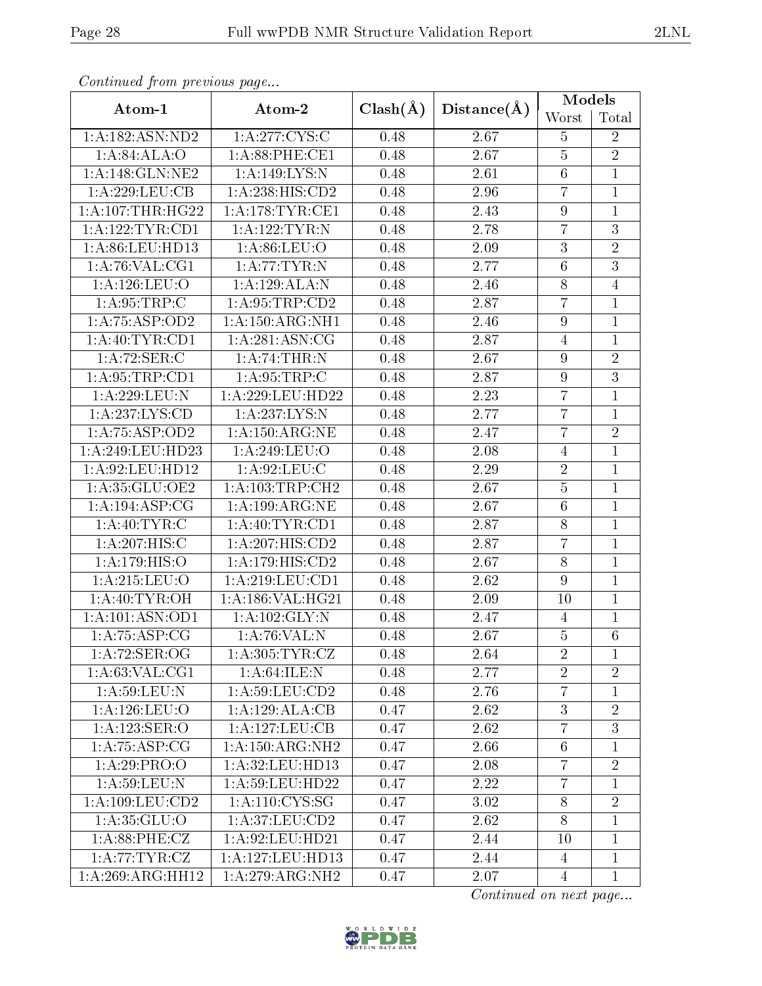|                               | -- <i>r</i> - <i>J</i> - |              |             | <b>Models</b>    |                 |  |
|-------------------------------|--------------------------|--------------|-------------|------------------|-----------------|--|
| Atom-1                        | Atom-2                   | $Clash(\AA)$ | Distance(A) | Worst            | Total           |  |
| 1:A:182:ASN:ND2               | 1:A:277:CYS:C            | 0.48         | 2.67        | $\overline{5}$   | $\overline{2}$  |  |
| 1: A:84: ALA:O                | 1: A:88: PHE:CE1         | 0.48         | 2.67        | $\bf 5$          | $\overline{2}$  |  |
| 1:A:148:GLN:NE2               | 1:A:149:LYS:N            | 0.48         | 2.61        | $\,6\,$          | $\mathbf{1}$    |  |
| 1:A:229:LEU:CB                | 1:A:238:HIS:CD2          | 0.48         | 2.96        | $\overline{7}$   | $\mathbf{1}$    |  |
| 1: A:107:THR:HG22             | 1: A:178:TYR:CE1         | 0.48         | 2.43        | $\boldsymbol{9}$ | $\mathbf{1}$    |  |
| 1: A: 122: TYR: CD1           | 1:A:122:TYR:N            | 0.48         | 2.78        | $\overline{7}$   | $\overline{3}$  |  |
| 1:A:86:LEU:HD13               | 1:A:86:LEU:O             | 0.48         | $2.09\,$    | $\boldsymbol{3}$ | $\overline{2}$  |  |
| 1: A:76: VAL:CG1              | 1: A:77:TYR:N            | 0.48         | 2.77        | $\,6\,$          | $\overline{3}$  |  |
| 1: A:126: LEU:O               | 1:A:129:ALA:N            | 0.48         | 2.46        | $8\,$            | $\overline{4}$  |  |
| 1: A:95:TRP:C                 | 1:A:95:TRP:CD2           | 0.48         | 2.87        | $\overline{7}$   | $\mathbf{1}$    |  |
| 1:A:75:ASP:OD2                | 1: A: 150: ARG: NH1      | 0.48         | 2.46        | $\boldsymbol{9}$ | $\mathbf{1}$    |  |
| 1: A:40:TYR:CD1               | 1:A:281:ASN:CG           | 0.48         | 2.87        | $\overline{4}$   | $\mathbf{1}$    |  |
| 1:A:72:SER:C                  | 1:A:74:THR:N             | 0.48         | 2.67        | $\boldsymbol{9}$ | $\sqrt{2}$      |  |
| 1: A:95:TRP:CD1               | 1: A:95:TRP:C            | 0.48         | 2.87        | $\boldsymbol{9}$ | $\overline{3}$  |  |
| 1:A:229:LEU:N                 | 1:A:229:LEU:HD22         | 0.48         | 2.23        | $\overline{7}$   | $\mathbf{1}$    |  |
| 1: A: 237: LYS: CD            | 1: A: 237: LYS: N        | 0.48         | 2.77        | $\overline{7}$   | $\overline{1}$  |  |
| $1: A:75: \overline{A}SP:OD2$ | 1: A: 150: ARG: NE       | 0.48         | 2.47        | $\overline{7}$   | $\sqrt{2}$      |  |
| 1:A:249:LEU:HD23              | 1:A:249:LEU:O            | 0.48         | 2.08        | $\overline{4}$   | $\overline{1}$  |  |
| 1: A:92: LEU: HD12            | 1:A:92:LEU:C             | 0.48         | 2.29        | $\sqrt{2}$       | $\mathbf{1}$    |  |
| 1:A:35:GLU:OE2                | 1:A:103:TRP:CH2          | 0.48         | 2.67        | $\bf 5$          | $\mathbf{1}$    |  |
| 1: A:194: ASP:CG              | 1:A:199:ARG:NE           | 0.48         | 2.67        | $\overline{6}$   | $\overline{1}$  |  |
| 1:A:40:TYR:C                  | 1: A:40: TYR:CD1         | 0.48         | 2.87        | $8\,$            | $\mathbf{1}$    |  |
| 1:A:207:HIS:C                 | 1:A:207:HIS:CD2          | 0.48         | 2.87        | $\overline{7}$   | $\overline{1}$  |  |
| 1:A:179:HIS:O                 | 1:A:179:HIS:CD2          | 0.48         | 2.67        | $8\,$            | $\mathbf{1}$    |  |
| 1: A:215: LEU:O               | 1: A:219:LEU:CD1         | 0.48         | 2.62        | $\boldsymbol{9}$ | $\mathbf{1}$    |  |
| 1:A:40:TYR:OH                 | 1: A: 186: VAL: HG21     | 0.48         | 2.09        | 10               | $\mathbf{1}$    |  |
| 1:A:101:ASN:OD1               | 1: A: 102: GLY: N        | 0.48         | 2.47        | $\overline{4}$   | 1               |  |
| 1: A:75: ASP:CG               | 1:A:76:VAL:N             | 0.48         | 2.67        | $\bf 5$          | $6\phantom{.}6$ |  |
| 1: A:72: SER:OG               | 1: A:305: TYR: CZ        | 0.48         | 2.64        | $\overline{2}$   | $\mathbf{1}$    |  |
| 1: A:63: VAL:CG1              | 1: A:64: ILE:N           | 0.48         | 2.77        | $\overline{2}$   | $\overline{2}$  |  |
| 1: A:59: LEU: N               | 1: A:59: LEU:CD2         | 0.48         | 2.76        | $\overline{7}$   | $\mathbf 1$     |  |
| 1:A:126:LEU:O                 | 1:A:129:ALA:CB           | 0.47         | 2.62        | 3                | $\overline{2}$  |  |
| 1:A:123:SER:O                 | 1:A:127:LEU:CB           | 0.47         | 2.62        | $\overline{7}$   | $\overline{3}$  |  |
| 1:A:75:ASP:CG                 | 1:A:150:ARG:NH2          | 0.47         | 2.66        | $6\,$            | 1               |  |
| $1:A:29:P\overline{RO:O}$     | 1:A:32:LEU:HD13          | 0.47         | 2.08        | $\overline{7}$   | $\overline{2}$  |  |
| 1: A:59: LEU: N               | 1: A:59: LEU: HD22       | 0.47         | 2.22        | $\overline{7}$   | 1               |  |
| $1:A:109:LE\overline{U:CD2}$  | 1:A:110:CYS:SG           | 0.47         | 3.02        | 8                | $\overline{2}$  |  |
| 1: A:35: GLU:O                | 1:A:37:LEU:CD2           | 0.47         | 2.62        | $8\,$            | $\mathbf 1$     |  |
| 1: A:88:PHE: CZ               | 1:A:92:LEU:HD21          | 0.47         | 2.44        | 10               | $\overline{1}$  |  |
| 1: A:77:TYR:CZ                | 1: A: 127: LEU: HD13     | 0.47         | 2.44        | 4                | $\mathbf 1$     |  |
| 1:A:269:ARG:HH12              | 1:A:279:ARG:NH2          | 0.47         | 2.07        | $\overline{4}$   | $\mathbf{1}$    |  |

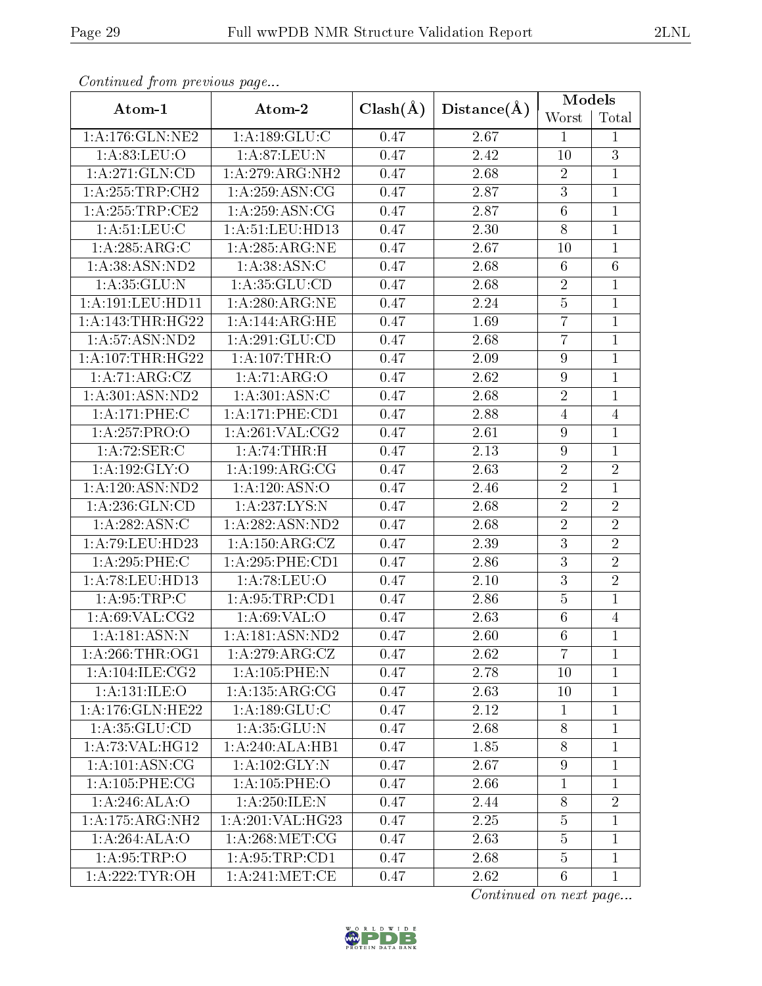| Atom-1                     | Atom-2                                | $Clash(\AA)$ | Distance(A)       | Models          |                |
|----------------------------|---------------------------------------|--------------|-------------------|-----------------|----------------|
|                            |                                       |              |                   | Worst           | Total          |
| $1:$ A:176: $GLN:NE2$      | 1:A:189:GLU:C                         | 0.47         | 2.67              | $\mathbf{1}$    | $\mathbf{1}$   |
| 1: A:83:LEU:O              | 1: A:87: LEU: N                       | 0.47         | 2.42              | 10              | 3              |
| 1:A:271:GLN:CD             | 1:A:279:ARG:NH2                       | 0.47         | 2.68              | $\overline{2}$  | $\mathbf{1}$   |
| 1:A:255:TRP:CH2            | 1: A:259: ASN:CG                      | 0.47         | 2.87              | $\overline{3}$  | $\mathbf{1}$   |
| 1: A:255:TRP:CE2           | 1: A:259: ASN:CG                      | 0.47         | 2.87              | $6\phantom{.}6$ | $\mathbf{1}$   |
| 1: A:51: LEU: C            | 1: A:51:LEU:HD13                      | 0.47         | $\overline{2.30}$ | 8               | $\mathbf{1}$   |
| 1:A:285:ARG:C              | 1:A:285:ARG:NE                        | 0.47         | 2.67              | 10              | 1              |
| 1: A:38: ASN:ND2           | 1: A:38: ASN: C                       | 0.47         | 2.68              | $6\phantom{.}6$ | 6              |
| 1: A:35: GLU:N             | 1: A:35: GLU:CD                       | 0.47         | 2.68              | $\overline{2}$  | $\mathbf{1}$   |
| 1:A:191:LEU:HD11           | 1:A:280:ARG:NE                        | 0.47         | 2.24              | $\overline{5}$  | $\mathbf{1}$   |
| 1:A:143:THR:HG22           | 1:A:144:ARG:HE                        | 0.47         | 1.69              | $\overline{7}$  | $\mathbf{1}$   |
| 1: A:57: ASN:ND2           | 1: A:291: GLU:CD                      | 0.47         | 2.68              | $\overline{7}$  | $\mathbf{1}$   |
| 1:A:107:THR:HG22           | 1:A:107:THR:O                         | 0.47         | 2.09              | 9               | $\mathbf{1}$   |
| 1:A:71:ARG:CZ              | 1:A:71:ARG:O                          | 0.47         | 2.62              | $\overline{9}$  | $\mathbf{1}$   |
| 1: A:301: ASN:ND2          | 1: A:301: ASN: C                      | 0.47         | 2.68              | $\overline{2}$  | $\mathbf{1}$   |
| 1:A:171:PHE:C              | 1: A:171:PHE:CD1                      | 0.47         | 2.88              | $\overline{4}$  | $\overline{4}$ |
| 1:A:257:PRO:O              | 1: A:261:VAL: CG2                     | 0.47         | 2.61              | $\overline{9}$  | $\mathbf{1}$   |
| 1: A:72: SER: C            | 1:A:74:THR:H                          | 0.47         | 2.13              | 9               | $\mathbf{1}$   |
| 1: A: 192: GLY: O          | 1:A:199:ARG:CG                        | 0.47         | 2.63              | $\overline{2}$  | $\overline{2}$ |
| 1: A: 120: ASN: ND2        | 1:A:120:ASN:O                         | 0.47         | 2.46              | $\overline{2}$  | $\mathbf{1}$   |
| 1:A:236:GLN:CD             | 1:A:237:LYS:N                         | 0.47         | 2.68              | $\overline{2}$  | $\overline{2}$ |
| 1: A:282: ASN: C           | 1:A:282:ASN:ND2                       | 0.47         | 2.68              | $\overline{2}$  | $\overline{2}$ |
| 1: A:79: LEU: HD23         | $1: A: 150: \overline{\text{ARG:CZ}}$ | 0.47         | 2.39              | $\overline{3}$  | $\overline{2}$ |
| 1:A:295:PHE:C              | 1: A:295:PHE:CD1                      | 0.47         | 2.86              | 3               | $\overline{2}$ |
| 1:A:78:LEU:HD13            | 1: A:78:LEU:O                         | 0.47         | 2.10              | 3               | $\overline{2}$ |
| 1: A:95:TRP:C              | 1: A:95:TRP:CD1                       | 0.47         | 2.86              | $\overline{5}$  | 1              |
| 1:A:69:VAL:CG2             | 1: A:69: VAL:O                        | 0.47         | 2.63              | 6               | 4              |
| $1:A:181:A\overline{SN:N}$ | 1:A:181:ASN:ND2                       | $0.47\,$     | 2.60              | $6\,$           | $\mathbf{1}$   |
| 1: A:266:THR:OG1           | 1:A:279:ARG:CZ                        | 0.47         | 2.62              | $\overline{7}$  | $\mathbf{1}$   |
| 1: A:104: ILE: CG2         | 1:A:105:PHE:N                         | 0.47         | 2.78              | 10              | $\mathbf{1}$   |
| 1: A:131: ILE:O            | 1:A:135:ARG:CG                        | 0.47         | 2.63              | 10              | $\mathbf{1}$   |
| 1:A:176:GLN:HE22           | 1: A: 189: GLU: C                     | 0.47         | 2.12              | $\mathbf{1}$    | $\mathbf 1$    |
| 1: A:35: GLU:CD            | 1: A:35: GLU:N                        | 0.47         | 2.68              | $8\,$           | $\mathbf{1}$   |
| 1:A:73:VAL:HG12            | 1:A:240:ALA:HB1                       | 0.47         | 1.85              | $8\,$           | $\mathbf{1}$   |
| 1: A: 101: ASN: CG         | 1:A:102:GLY:N                         | 0.47         | 2.67              | $\overline{9}$  | $\mathbf{1}$   |
| 1: A:105: PHE:CG           | 1:A:105:PHE:O                         | 0.47         | 2.66              | 1               | 1              |
| 1: A:246: ALA:O            | 1:A:250:ILE:N                         | 0.47         | 2.44              | $8\,$           | $\overline{2}$ |
| 1:A:175:ARG:NH2            | 1:A:201:VAL:HG23                      | 0.47         | 2.25              | $\overline{5}$  | 1              |
| 1:A:264:ALA:O              | 1: A:268:MET:CG                       | 0.47         | 2.63              | $\overline{5}$  | $\mathbf{1}$   |
| 1: A:95:TRP:O              | 1: A:95:TRP:CD1                       | 0.47         | 2.68              | $\overline{5}$  | $\mathbf{1}$   |
| 1: A:222:TYR:OH            | 1: A:241:MET:CE                       | 0.47         | 2.62              | $6\phantom{.}6$ | $\mathbf{1}$   |

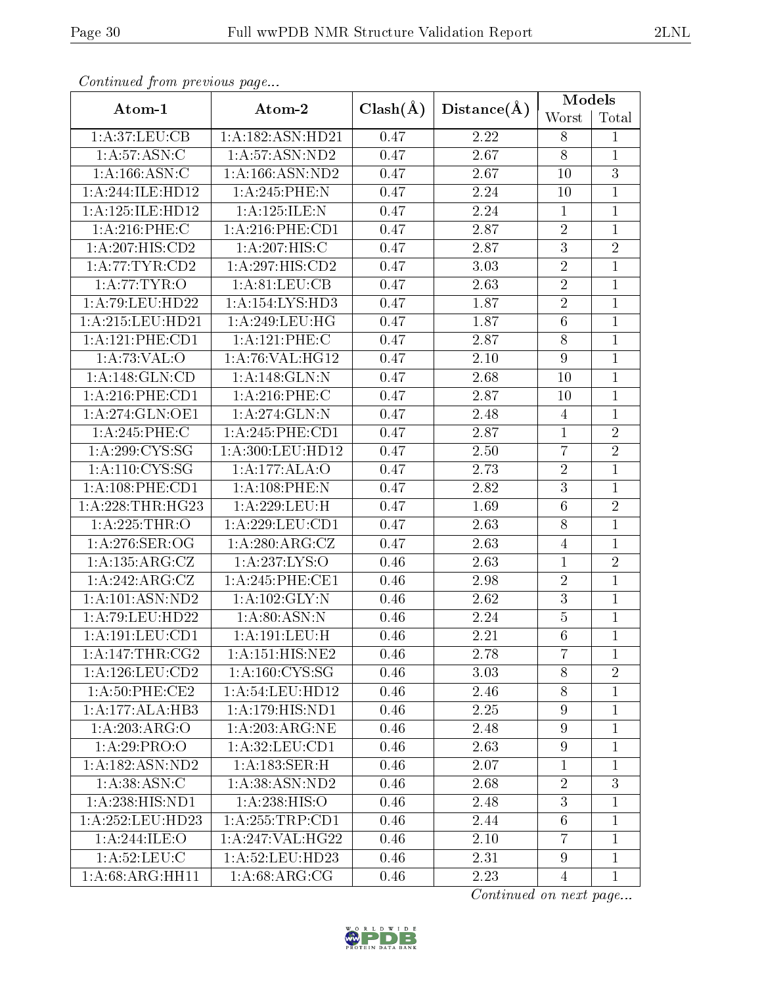|                     | Conventaca prome providuo pago |              |             | Models           |                |  |
|---------------------|--------------------------------|--------------|-------------|------------------|----------------|--|
| Atom-1              | Atom-2                         | $Clash(\AA)$ | Distance(A) | Worst            | Total          |  |
| 1: A:37: LEU: CB    | 1:A:182:ASN:HD21               | 0.47         | 2.22        | 8                | $\mathbf{1}$   |  |
| 1: A:57: ASN: C     | 1: A:57:ASN:ND2                | 0.47         | 2.67        | $8\,$            | $\mathbf{1}$   |  |
| 1: A: 166: ASN: C   | 1:A:166:ASN:ND2                | 0.47         | 2.67        | 10               | $\overline{3}$ |  |
| 1:A:244:ILE:HD12    | 1:A:245:PHE:N                  | 0.47         | 2.24        | 10               | $\mathbf{1}$   |  |
| 1:A:125:ILE:HD12    | 1:A:125:ILE:N                  | 0.47         | 2.24        | $\mathbf{1}$     | $\mathbf{1}$   |  |
| 1:A:216:PHE:C       | $1: A:216:$ PHE:CD1            | 0.47         | 2.87        | $\sqrt{2}$       | $\mathbf{1}$   |  |
| 1:A:207:HIS:CD2     | 1:A:207:HIS:C                  | 0.47         | 2.87        | $\overline{3}$   | $\overline{2}$ |  |
| 1: A:77:TYR:CD2     | 1: A:297: HIS:CD2              | 0.47         | 3.03        | $\overline{2}$   | $\mathbf{1}$   |  |
| 1: A:77:TYR:O       | 1:A:81:LEU:CB                  | 0.47         | 2.63        | $\overline{2}$   | $\mathbf{1}$   |  |
| 1: A:79: LEU: HD22  | 1:A:154:LYS:HD3                | 0.47         | 1.87        | $\sqrt{2}$       | $\mathbf{1}$   |  |
| 1:A:215:LEU:HD21    | 1:A:249:LEU:HG                 | 0.47         | 1.87        | $6\phantom{.}6$  | $\overline{1}$ |  |
| 1:A:121:PHE:CD1     | 1:A:121:PHE:C                  | 0.47         | 2.87        | $8\,$            | $\mathbf{1}$   |  |
| 1:A:73:VAL:O        | 1: A:76: VAL:HG12              | 0.47         | $2.10\,$    | $\boldsymbol{9}$ | $\mathbf{1}$   |  |
| 1:A:148:GLN:CD      | 1:A:148:GLN:N                  | 0.47         | 2.68        | 10               | $\mathbf{1}$   |  |
| 1: A:216: PHE:CD1   | 1: A:216:PHE:C                 | 0.47         | 2.87        | 10               | $\mathbf{1}$   |  |
| 1: A:274: GLN:OE1   | 1:A:274:GLN:N                  | 0.47         | 2.48        | $\overline{4}$   | $\mathbf{1}$   |  |
| 1:A:245:PHE:C       | 1:A:245:PHE:CD1                | 0.47         | 2.87        | $\mathbf{1}$     | $\overline{2}$ |  |
| 1: A:299:CYS:SG     | 1:A:300:LEU:HD12               | 0.47         | 2.50        | $\overline{7}$   | $\overline{2}$ |  |
| 1: A: 110: CYS: SG  | 1:A:177:ALA:O                  | 0.47         | 2.73        | $\overline{2}$   | $\mathbf{1}$   |  |
| 1: A:108: PHE:CD1   | 1:A:108:PHE:N                  | 0.47         | 2.82        | $\overline{3}$   | $\mathbf{1}$   |  |
| 1: A:228:THR:HG23   | 1:A:229:LEU:H                  | 0.47         | 1.69        | $\overline{6}$   | $\overline{2}$ |  |
| 1:A:225:THR:O       | 1:A:229:LEU:CD1                | 0.47         | 2.63        | 8                | $\mathbf{1}$   |  |
| 1: A:276: SER:OG    | 1: A:280:ARG:CZ                | 0.47         | 2.63        | $\overline{4}$   | $\mathbf{1}$   |  |
| 1:A:135:ARG:CZ      | 1: A: 237: LYS: O              | 0.46         | 2.63        | $\overline{1}$   | $\overline{2}$ |  |
| 1:A:242:ARG:CZ      | 1:A:245:PHE:CE1                | 0.46         | $2.98\,$    | $\sqrt{2}$       | $\overline{1}$ |  |
| 1: A: 101: ASN: ND2 | 1:A:102:GLY:N                  | 0.46         | 2.62        | $\overline{3}$   | $\mathbf{1}$   |  |
| 1: A:79: LEU: HD22  | 1: A:80: ASN: N                | 0.46         | 2.24        | $\bf 5$          | $\mathbf 1$    |  |
| 1: A: 191: LEU: CD1 | 1: A:191:LEU:H                 | 0.46         | 2.21        | $6\phantom{.}6$  | $\overline{1}$ |  |
| 1: A:147:THR:CG2    | 1: A:151: HIS: NE2             | 0.46         | 2.78        | $\overline{7}$   | 1              |  |
| 1: A: 126: LEU: CD2 | 1: A: 160: CYS: SG             | 0.46         | 3.03        | 8                | $\overline{2}$ |  |
| $1: A:50:$ PHE:CE2  | 1: A:54:LEU:HD12               | 0.46         | 2.46        | $8\,$            | $\mathbf{1}$   |  |
| 1:A:177:ALA:HB3     | 1:A:179:HIS:ND1                | 0.46         | 2.25        | $\overline{9}$   | $\mathbf{1}$   |  |
| 1:A:203:ARG:O       | 1: A:203:ARG:NE                | 0.46         | 2.48        | $\boldsymbol{9}$ | $\mathbf{1}$   |  |
| 1:A:29:PRO:O        | 1: A:32: LEU: CD1              | 0.46         | 2.63        | $9\phantom{.0}$  | $\mathbf{1}$   |  |
| 1:A:182:ASN:ND2     | 1: A: 183: SER:H               | 0.46         | 2.07        | $\mathbf{1}$     | $\mathbf{1}$   |  |
| 1: A:38: ASN: C     | 1: A: 38: ASN: ND2             | 0.46         | 2.68        | $\overline{2}$   | 3              |  |
| 1: A: 238: HIS: ND1 | 1: A: 238: HIS: O              | 0.46         | 2.48        | $\boldsymbol{3}$ | $\mathbf 1$    |  |
| 1: A:252:LEU:HD23   | 1: A:255:TRP:CD1               | 0.46         | 2.44        | 6                | $\mathbf{1}$   |  |
| 1:A:244:ILE:O       | 1:A:247:VAL:HG22               | 0.46         | 2.10        | $\overline{7}$   | $\mathbf{1}$   |  |
| 1: A:52:LEU: C      | 1:A:52:LEU:HD23                | 0.46         | 2.31        | $\overline{9}$   | $\mathbf{1}$   |  |
| 1:A:68:ARG:HH11     | 1: A:68: ARG:CG                | 0.46         | 2.23        | $\overline{4}$   | $\mathbf{1}$   |  |

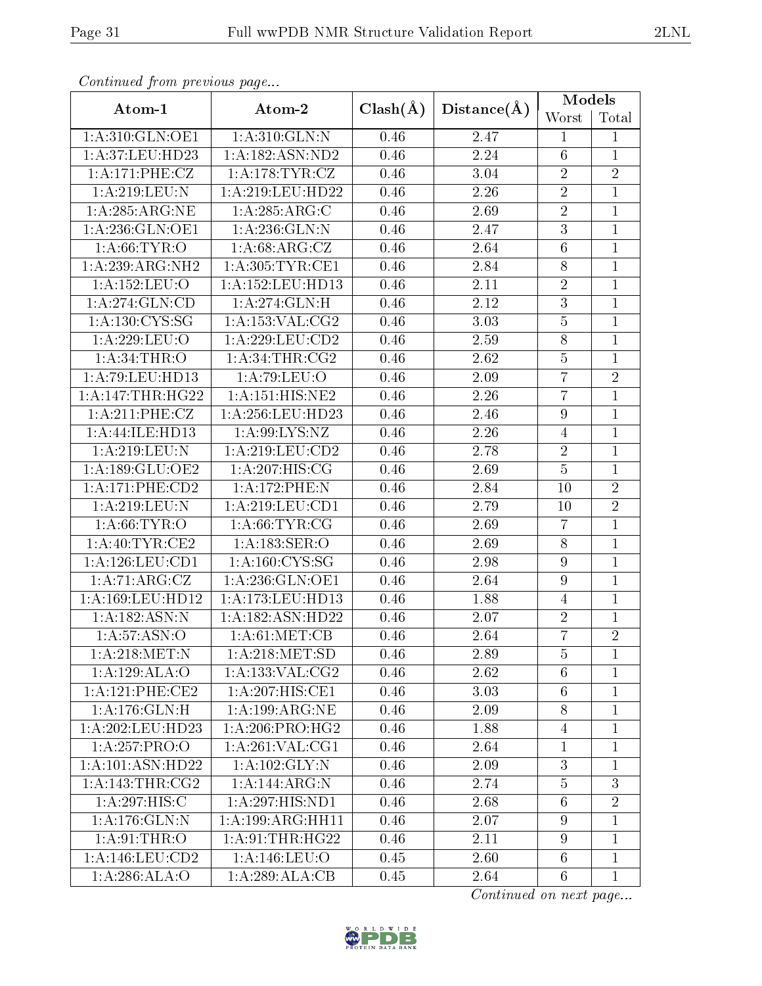| Continuata from previous page |                     |              |             | Models           |                |  |
|-------------------------------|---------------------|--------------|-------------|------------------|----------------|--|
| Atom-1                        | Atom-2              | $Clash(\AA)$ | Distance(A) | Worst            | Total          |  |
| 1:A:310:GLN:OE1               | 1:A:310:GLN:N       | 0.46         | 2.47        | $\mathbf{1}$     | 1              |  |
| 1: A:37: LEU: HD23            | 1:A:182:ASN:ND2     | 0.46         | 2.24        | 6                | 1              |  |
| 1:A:171:PHE:CZ                | 1: A:178:TYR:CZ     | 0.46         | 3.04        | $\sqrt{2}$       | $\overline{2}$ |  |
| 1:A:219:LEU:N                 | 1:A:219:LEU:HD22    | 0.46         | 2.26        | $\overline{2}$   | $\mathbf{1}$   |  |
| 1: A:285: ARG:NE              | 1:A:285:ARG:C       | 0.46         | 2.69        | $\sqrt{2}$       | $\overline{1}$ |  |
| 1: A:236: GLN:OE1             | 1:A:236:GLN:N       | 0.46         | 2.47        | $\overline{3}$   | $\mathbf{1}$   |  |
| 1: A:66:TYR:O                 | 1: A:68: ARG: CZ    | 0.46         | 2.64        | $\overline{6}$   | $\mathbf{1}$   |  |
| 1:A:239:ARG:NH2               | 1: A:305: TYR: CE1  | 0.46         | 2.84        | $8\,$            | $\mathbf{1}$   |  |
| 1:A:152:LEU:O                 | 1:A:152:LEU:HD13    | 0.46         | 2.11        | $\overline{2}$   | $\mathbf{1}$   |  |
| 1: A:274: GLN:CD              | 1:A:274:GLN:H       | 0.46         | 2.12        | $\mathbf{3}$     | $\mathbf 1$    |  |
| 1: A: 130: CYS: SG            | 1: A: 153: VAL: CG2 | 0.46         | 3.03        | $\overline{5}$   | $\overline{1}$ |  |
| 1:A:229:LEU:O                 | 1: A:229:LEU:CD2    | 0.46         | 2.59        | 8                | $\mathbf{1}$   |  |
| 1: A:34:THR:O                 | 1: A:34:THR:CG2     | 0.46         | 2.62        | $\overline{5}$   | $\overline{1}$ |  |
| 1:A:79:LEU:HD13               | 1:A:79:LEU:O        | 0.46         | 2.09        | $\overline{7}$   | $\overline{2}$ |  |
| 1:A:147:THR:HG22              | 1:A:151:HIS:NE2     | 0.46         | 2.26        | $\overline{7}$   | $\mathbf{1}$   |  |
| 1:A:211:PHE:CZ                | 1:A:256:LEU:HD23    | 0.46         | 2.46        | $\boldsymbol{9}$ | $\mathbf{1}$   |  |
| 1:A:44:ILE:HD13               | 1: A:99: LYS: NZ    | 0.46         | 2.26        | $\overline{4}$   | $\mathbf{1}$   |  |
| 1:A:219:LEU:N                 | 1:A:219:LEU:CD2     | 0.46         | 2.78        | $\sqrt{2}$       | $\mathbf 1$    |  |
| 1:A:189:GLU:OE2               | 1:A:207:HIS:CG      | 0.46         | 2.69        | $\overline{5}$   | $\mathbf{1}$   |  |
| 1:A:171:PHE:CD2               | 1:A:172:PHE:N       | 0.46         | 2.84        | 10               | $\overline{2}$ |  |
| 1:A:219:LEU:N                 | 1: A:219:LEU:CD1    | 0.46         | 2.79        | 10               | $\overline{2}$ |  |
| 1: A:66:TYR:O                 | 1: A:66:TYR:CG      | 0.46         | 2.69        | $\overline{7}$   | $\overline{1}$ |  |
| 1: A:40: TYR: CE2             | 1:A:183:SER:O       | 0.46         | 2.69        | $8\,$            | $\mathbf{1}$   |  |
| 1:A:126:LEU:CD1               | 1:A:160:CYS:SG      | 0.46         | 2.98        | $\boldsymbol{9}$ | $\mathbf{1}$   |  |
| 1:A:71:ARG:CZ                 | 1:A:236:GLN:OE1     | 0.46         | 2.64        | $\overline{9}$   | $\mathbf{1}$   |  |
| 1:A:169:LEU:HD12              | 1:A:173:LEU:HD13    | 0.46         | 1.88        | $\overline{4}$   | $\mathbf{1}$   |  |
| 1: A: 182: ASN: N             | 1:A:182:ASN:HD22    | 0.46         | 2.07        | $\sqrt{2}$       | 1              |  |
| 1: A:57: ASN:O                | 1: A:61: MET:CB     | 0.46         | 2.64        | $\overline{7}$   | $\overline{2}$ |  |
| 1: A:218:MET:N                | 1: A:218: MET:SD    | 0.46         | 2.89        | $\overline{5}$   | $\mathbf{1}$   |  |
| 1:A:129:ALA:O                 | 1:A:133:VAL:CG2     | 0.46         | 2.62        | $6\phantom{.}6$  | $\overline{1}$ |  |
| 1: A:121:PHE:CE2              | 1:A:207:HIS:CE1     | 0.46         | 3.03        | $6\phantom{.}6$  | $\mathbf 1$    |  |
| $1: A:176:$ GLN: H            | 1:A:199:ARG:NE      | 0.46         | 2.09        | $8\,$            | $\overline{1}$ |  |
| 1:A:202:LEU:HD23              | 1: A:206:PRO:HG2    | 0.46         | 1.88        | 4                | 1              |  |
| 1:A:257:PRO:O                 | 1: A:261:VAL:CG1    | 0.46         | 2.64        | $\mathbf{1}$     | $\overline{1}$ |  |
| 1:A:101:ASN:HD22              | 1:A:102:GLY:N       | 0.46         | 2.09        | $\sqrt{3}$       | $\overline{1}$ |  |
| 1: A:143:THR:CG2              | 1:A:144:ARG:N       | 0.46         | 2.74        | $\overline{5}$   | 3              |  |
| 1:A:297:HIS:C                 | 1:A:297:HIS:ND1     | 0.46         | 2.68        | $6\phantom{.}6$  | $\overline{2}$ |  |
| 1:A:176:GLN:N                 | 1:A:199:ARG:HH11    | 0.46         | 2.07        | $9\phantom{.0}$  | $\mathbf 1$    |  |
| 1: A:91:THR:O                 | 1: A:91:THR:HG22    | 0.46         | 2.11        | $\boldsymbol{9}$ | $\mathbf 1$    |  |
| 1: A: 146: LEU: CD2           | 1:A:146:LEU:O       | 0.45         | 2.60        | $6\phantom{.}6$  | $\mathbf{1}$   |  |
| 1: A:286:ALA:O                | 1:A:289:ALA:CB      | 0.45         | 2.64        | $6\phantom{.}6$  | $\mathbf{1}$   |  |

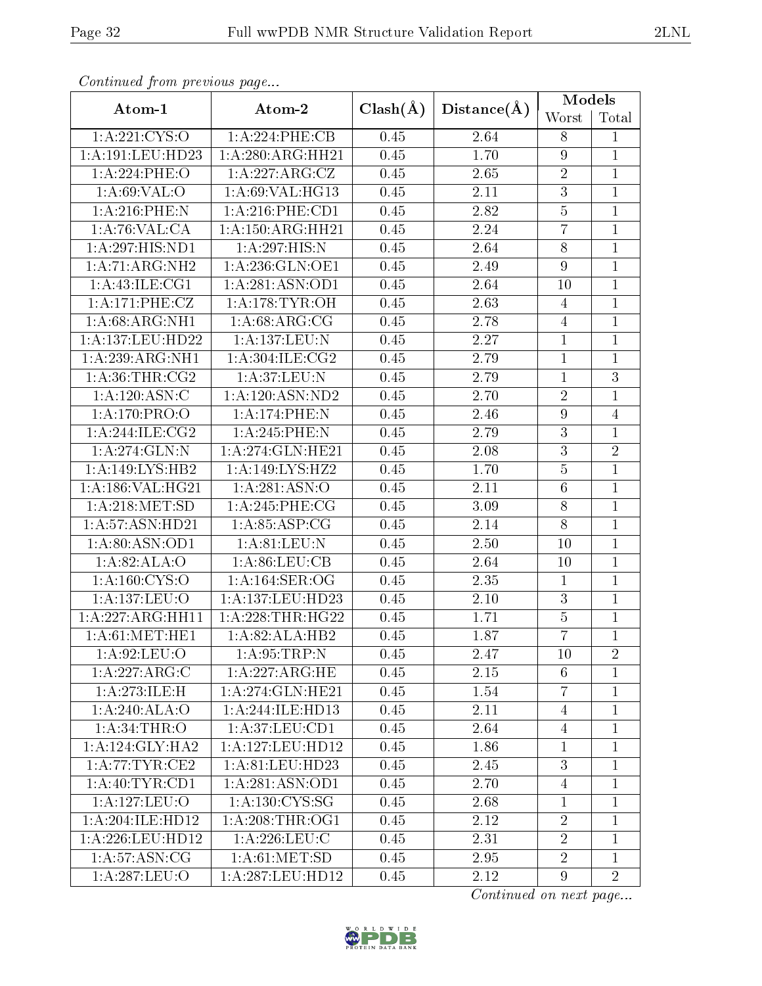|                    |                     |              | Distance(A)       | Models           |                |
|--------------------|---------------------|--------------|-------------------|------------------|----------------|
| Atom-1             | Atom-2              | $Clash(\AA)$ |                   | Worst            | Total          |
| 1: A:221:CYS:O     | 1:A:224:PHE:CB      | 0.45         | 2.64              | 8                | $\mathbf{1}$   |
| 1: A:191:LEU:HD23  | 1:A:280:ARG:HH21    | 0.45         | 1.70              | $\boldsymbol{9}$ | $\overline{1}$ |
| 1:A:224:PHE:O      | 1:A:227:ARG:CZ      | 0.45         | 2.65              | $\sqrt{2}$       | $\mathbf{1}$   |
| 1: A:69: VAL:O     | 1: A:69: VAL:HGI3   | 0.45         | $2.11\,$          | $\overline{3}$   | $\overline{1}$ |
| 1:A:216:PHE:N      | $1: A:216:$ PHE:CD1 | 0.45         | 2.82              | $\overline{5}$   | $\mathbf{1}$   |
| 1:A:76:VAL:CA      | 1:A:150:ARG:HH21    | 0.45         | 2.24              | $\overline{7}$   | $\overline{1}$ |
| 1:A:297:HIS:ND1    | 1:A:297:HIS:N       | 0.45         | 2.64              | $8\,$            | $\mathbf{1}$   |
| 1:A:71:ARG:NH2     | 1:A:236:GLN:OE1     | 0.45         | 2.49              | $\boldsymbol{9}$ | $\overline{1}$ |
| 1: A:43: ILE:CG1   | 1:A:281:ASN:OD1     | 0.45         | 2.64              | 10               | $\overline{1}$ |
| 1:A:171:PHE:CZ     | 1: A:178: TYR: OH   | 0.45         | 2.63              | $\overline{4}$   | $\mathbf{1}$   |
| 1:A:68:ARG:NH1     | 1: A:68: ARG:CG     | 0.45         | 2.78              | $\overline{4}$   | $\mathbf{1}$   |
| 1:A:137:LEU:HD22   | 1:A:137:LEU:N       | 0.45         | $2.27\,$          | $\mathbf{1}$     | $\overline{1}$ |
| 1:A:239:ARG:NH1    | 1: A:304: ILE: CG2  | 0.45         | 2.79              | $\,1\,$          | $\overline{1}$ |
| 1: A:36:THR:CG2    | 1:A:37:LEU:N        | 0.45         | 2.79              | $\mathbf{1}$     | $\overline{3}$ |
| 1:A:120:ASN:C      | 1:A:120:ASN:ND2     | 0.45         | 2.70              | $\sqrt{2}$       | $\mathbf{1}$   |
| 1:A:170:PRO:O      | 1:A:174:PHE:N       | 0.45         | 2.46              | $\boldsymbol{9}$ | $\overline{4}$ |
| 1: A:244: ILE: CG2 | 1:A:245:PHE:N       | 0.45         | 2.79              | $\sqrt{3}$       | $\mathbf{1}$   |
| 1: A:274: GLN:N    | 1:A:274:GLN:HE21    | 0.45         | 2.08              | $\overline{3}$   | $\overline{2}$ |
| 1:A:149:LYS:HB2    | 1:A:149:LYS:HZ2     | 0.45         | 1.70              | $\overline{5}$   | $\mathbf{1}$   |
| 1:A:186:VAL:HG21   | 1:A:281:ASN:O       | 0.45         | 2.11              | $\,6\,$          | $\mathbf{1}$   |
| 1: A:218: MET:SD   | 1: A:245:PHE:CG     | 0.45         | $\overline{3}.09$ | $\overline{8}$   | $\overline{1}$ |
| 1:A:57:ASN:HD21    | 1: A:85:ASP:CG      | 0.45         | 2.14              | $8\,$            | $\overline{1}$ |
| 1:A:80:ASN:OD1     | 1: A:81: LEU: N     | 0.45         | 2.50              | 10               | $\mathbf{1}$   |
| 1:A:82:ALA:O       | 1: A:86: LEU: CB    | 0.45         | 2.64              | 10               | $\mathbf{1}$   |
| 1: A: 160: CYS:O   | 1: A:164: SER:OG    | 0.45         | 2.35              | $\mathbf{1}$     | $\mathbf{1}$   |
| 1:A:137:LEU:O      | 1:A:137:LEU:HD23    | 0.45         | 2.10              | $\overline{3}$   | $\mathbf{1}$   |
| 1:A:227:ARG:HH11   | 1: A:228:THR:HG22   | 0.45         | 1.71              | $\bf 5$          | $\overline{1}$ |
| 1: A:61: MET:HE1   | 1:A:82:ALA:HB2      | 0.45         | 1.87              | $\overline{7}$   | $\overline{1}$ |
| 1: A:92: LEU:O     | 1: A:95:TRP:N       | 0.45         | 2.47              | 10               | $\overline{2}$ |
| 1:A:227:ARG:C      | 1:A:227:ARG:HE      | 0.45         | 2.15              | 6                | 1              |
| 1:A:273:ILE:H      | 1:A:274:GLN:HE21    | 0.45         | 1.54              | $\overline{7}$   | $\mathbf{1}$   |
| 1:A:240:ALA:O      | 1:A:244:ILE:HD13    | 0.45         | 2.11              | $\overline{4}$   | $\mathbf{1}$   |
| 1: A:34:THR:O      | 1: A:37: LEU:CD1    | 0.45         | 2.64              | $\overline{4}$   | $\mathbf{1}$   |
| 1:A:124:GLY:HA2    | 1:A:127:LEU:HD12    | 0.45         | 1.86              | 1                | 1              |
| 1: A:77:TYR:CE2    | 1: A:81: LEU:HD23   | 0.45         | 2.45              | 3                | $\mathbf{1}$   |
| 1: A:40: TYR:CD1   | 1:A:281:ASN:OD1     | 0.45         | 2.70              | 4                | $\mathbf{1}$   |
| 1:A:127:LEU:O      | 1: A: 130: CYS: SG  | 0.45         | 2.68              | $\mathbf{1}$     | $\mathbf{1}$   |
| 1:A:204:ILE:HD12   | 1: A:208:THR:OG1    | 0.45         | 2.12              | $\sqrt{2}$       | $\mathbf{1}$   |
| 1:A:226:LEU:HD12   | 1: A:226:LEU:C      | 0.45         | 2.31              | $\overline{2}$   | $\mathbf{1}$   |
| 1: A:57: ASN:CG    | 1: A:61: MET:SD     | 0.45         | 2.95              | $\overline{2}$   | $\mathbf 1$    |
| 1:A:287:LEU:O      | 1:A:287:LEU:HD12    | 0.45         | 2.12              | $9\phantom{.}$   | $\overline{2}$ |

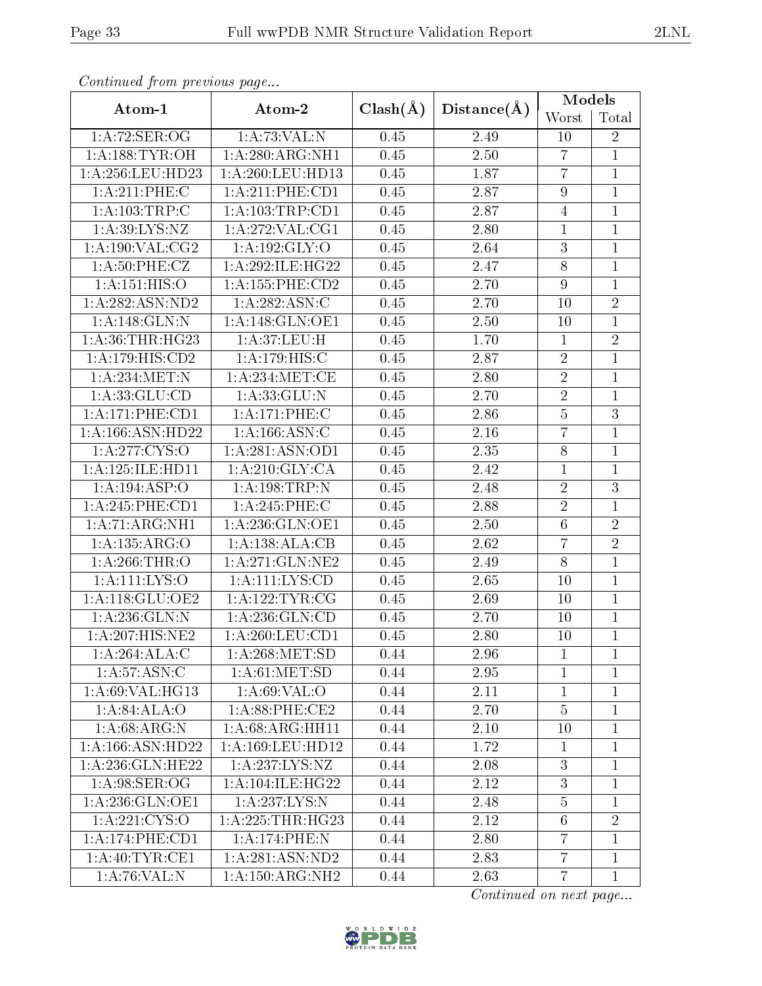|                    | Atom-2              | $Clash(\AA)$ | Distance(A)        | Models         |                  |
|--------------------|---------------------|--------------|--------------------|----------------|------------------|
| Atom-1             |                     |              |                    | Worst          | Total            |
| 1: A:72: SER:OG    | 1: A:73:VAL: N      | 0.45         | 2.49               | 10             | $\overline{2}$   |
| 1: A:188: TYR:OH   | 1:A:280:ARG:NH1     | 0.45         | 2.50               | $\overline{7}$ | $\mathbf{1}$     |
| 1:A:256:LEU:HD23   | 1:A:260:LEU:HD13    | 0.45         | 1.87               | $\overline{7}$ | $\mathbf{1}$     |
| 1:A:211:PHE:C      | 1:A:211:PHE:CD1     | 0.45         | 2.87               | $\overline{9}$ | $\mathbf{1}$     |
| 1: A: 103: TRP: C  | 1: A: 103: TRP: CD1 | 0.45         | 2.87               | 4              | $\mathbf{1}$     |
| 1: A:39: LYS: NZ   | 1: A:272: VAL:CG1   | 0.45         | 2.80               | 1              | $\mathbf 1$      |
| $1:$ A:190:VAL:CG2 | 1: A:192: GLY:O     | 0.45         | 2.64               | $\overline{3}$ | $\mathbf{1}$     |
| 1: A:50:PHE:CZ     | 1:A:292:ILE:HG22    | 0.45         | 2.47               | $8\,$          | $\mathbf{1}$     |
| 1: A:151: HIS:O    | 1:A:155:PHE:CD2     | 0.45         | 2.70               | $\overline{9}$ | $\mathbf{1}$     |
| 1: A:282: ASN:ND2  | 1:A:282:ASN:C       | 0.45         | 2.70               | 10             | $\sqrt{2}$       |
| 1:A:148:GLN:N      | 1: A:148: GLN:OE1   | 0.45         | 2.50               | 10             | $\mathbf{1}$     |
| 1: A:36:THR:HG23   | 1: A:37: LEU:H      | 0.45         | 1.70               | $\mathbf{1}$   | $\sqrt{2}$       |
| 1:A:179:HIS:CD2    | 1: A:179:HIS:C      | 0.45         | 2.87               | $\overline{2}$ | $\mathbf{1}$     |
| 1:A:234:MET:N      | 1: A:234:MET:CE     | 0.45         | 2.80               | $\overline{2}$ | $\mathbf{1}$     |
| 1: A: 33: GLU: CD  | 1:A:33:GLU:N        | 0.45         | 2.70               | $\overline{2}$ | $\mathbf{1}$     |
| 1:A:171:PHE:CD1    | 1:A:171:PHE:C       | 0.45         | $\overline{2}$ .86 | $\overline{5}$ | $\overline{3}$   |
| 1: A:166: ASN:HD22 | 1: A: 166: ASN: C   | 0.45         | 2.16               | $\overline{7}$ | $\mathbf{1}$     |
| 1: A:277:CYS:O     | 1:A:281:ASN:OD1     | 0.45         | 2.35               | 8              | $\mathbf{1}$     |
| 1:A:125:ILE:HD11   | 1: A:210: GLY: CA   | 0.45         | 2.42               | $\mathbf 1$    | $\mathbf{1}$     |
| 1:A:194:ASP:O      | 1: A: 198: TRP: N   | 0.45         | 2.48               | $\sqrt{2}$     | $\boldsymbol{3}$ |
| 1: A:245:PHE:CD1   | 1:A:245:PHE:C       | 0.45         | 2.88               | $\overline{2}$ | $\mathbf{1}$     |
| 1: A:71: ARG:NH1   | 1: A: 236: GLN: OE1 | 0.45         | 2.50               | $\overline{6}$ | $\overline{2}$   |
| 1:A:135:ARG:O      | 1:A:138:ALA:CB      | 0.45         | 2.62               | $\overline{7}$ | $\overline{2}$   |
| 1:A:266:THR:O      | 1: A:271: GLN:NE2   | 0.45         | 2.49               | $8\,$          | $\mathbf{1}$     |
| 1:A:111:LYS:O      | 1: A: 111: LYS: CD  | 0.45         | 2.65               | 10             | $\mathbf{1}$     |
| 1:A:118:GLU:OE2    | 1: A: 122: TYR: CG  | 0.45         | 2.69               | 10             | $\mathbf{1}$     |
| 1: A:236: GLN:N    | 1: A:236: GLN:CD    | 0.45         | 2.70               | 10             | $\mathbf{1}$     |
| 1:A:207:HIS:NE2    | 1: A:260:LEU:CD1    | 0.45         | 2.80               | 10             | $\overline{1}$   |
| 1:A:264:ALA:C      | 1: A:268: MET:SD    | 0.44         | 2.96               | 1              | 1                |
| 1: A:57: ASN: C    | 1: A:61: MET:SD     | 0.44         | 2.95               | 1              | 1                |
| 1:A:69:VAL:HG13    | 1: A:69: VAL:O      | 0.44         | 2.11               | $\mathbf 1$    | $\mathbf{1}$     |
| 1:A:84:ALA:O       | 1: A:88: PHE:CE2    | 0.44         | 2.70               | $\overline{5}$ | $\mathbf{1}$     |
| 1: A:68: ARG: N    | 1: A:68: ARG:HH11   | 0.44         | 2.10               | 10             | $\mathbf{1}$     |
| 1: A:166: ASN:HD22 | 1:A:169:LEU:HD12    | 0.44         | 1.72               | 1              | 1                |

Continued from previous page.

Continued on next page...



1:A:236:GLN:HE22 | 1:A:237:LYS:NZ | 0.44 | 2.08 | 3 | 1 1:A:98:SER:OG | 1:A:104:ILE:HG22 | 0.44 | 2.12 | 3 | 1 1:A:236:GLN:OE1 1:A:237:LYS:N 0.44 2.48 5 1 1:A:221:CYS:O | 1:A:225:THR:HG23 | 0.44 | 2.12 | 6 | 2 1:A:174:PHE:CD1 | 1:A:174:PHE:N | 0.44 | 2.80 | 7 | 1 1:A:40:TYR:CE1 | 1:A:281:ASN:ND2 | 0.44 | 2.83 | 7 | 1 1:A:76:VAL:N | 1:A:150:ARG:NH2 | 0.44 | 2.63 | 7 | 1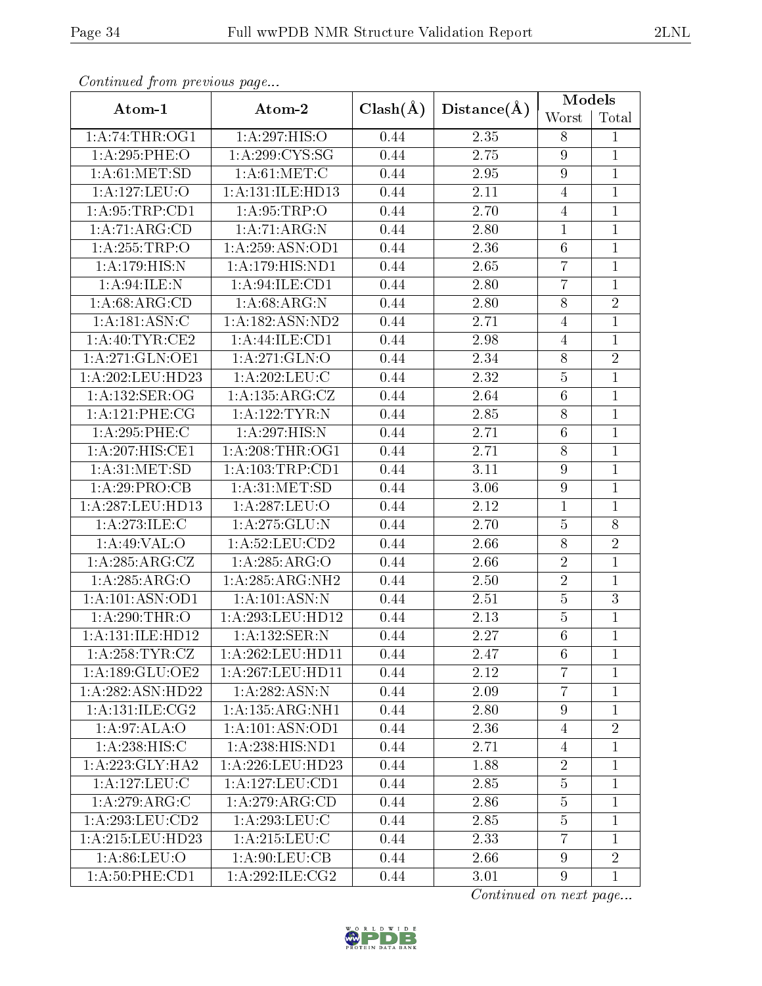|                     |                               |              |                   | <b>Models</b>    |                |  |
|---------------------|-------------------------------|--------------|-------------------|------------------|----------------|--|
| Atom-1              | Atom-2                        | $Clash(\AA)$ | Distance(A)       | Worst            | Total          |  |
| 1:A:74:THR:OG1      | 1:A:297:HIS:O                 | 0.44         | 2.35              | 8                | $\mathbf{1}$   |  |
| 1:A:295:PHE:O       | 1: A:299: CYS:SG              | 0.44         | 2.75              | $\boldsymbol{9}$ | $\mathbf{1}$   |  |
| 1: A:61: MET:SD     | 1: A:61: MET:C                | 0.44         | 2.95              | $\boldsymbol{9}$ | $\mathbf{1}$   |  |
| 1:A:127:LEU:O       | 1: A: 131: ILE: HD13          | 0.44         | $2.11\,$          | $\overline{4}$   | $\mathbf{1}$   |  |
| 1: A:95:TRP:CD1     | 1: A:95:TRP:O                 | 0.44         | 2.70              | $\overline{4}$   | $\mathbf{1}$   |  |
| 1:A:71:ARG:CD       | 1: A:71: ARG:N                | 0.44         | 2.80              | $\mathbf{1}$     | $\mathbf{1}$   |  |
| 1:A:255:TRP:O       | 1:A:259:ASN:OD1               | 0.44         | 2.36              | 6                | $\mathbf{1}$   |  |
| 1:A:179:HIS:N       | 1:A:179:HIS:ND1               | 0.44         | 2.65              | $\overline{7}$   | $\mathbf{1}$   |  |
| 1: A:94: ILE:N      | 1: A:94: ILE: CD1             | 0.44         | 2.80              | $\overline{7}$   | $\mathbf{1}$   |  |
| 1: A:68: ARG:CD     | 1: A:68: ARG: N               | 0.44         | 2.80              | 8                | $\overline{2}$ |  |
| 1:A:181:ASN:C       | $1:\overline{A:182:ASN:ND2}$  | 0.44         | 2.71              | $\overline{4}$   | $\overline{1}$ |  |
| 1: A:40:TYR:CE2     | 1:A:44:ILE:CD1                | 0.44         | 2.98              | $\overline{4}$   | $\mathbf{1}$   |  |
| 1:A:271:GLN:OE1     | 1: A:271: GLN:O               | 0.44         | 2.34              | 8                | $\overline{2}$ |  |
| 1:A:202:LEU:HD23    | 1:A:202:LEU:C                 | 0.44         | 2.32              | $\overline{5}$   | $\overline{1}$ |  |
| 1: A: 132: SER: OG  | 1:A:135:ARG:CZ                | 0.44         | 2.64              | $\,6\,$          | $\mathbf{1}$   |  |
| 1: A: 121: PHE: CG  | $1:$ A:122:TYR:N              | 0.44         | 2.85              | $8\,$            | $\overline{1}$ |  |
| 1:A:295:PHE:C       | 1:A:297:HIS:N                 | 0.44         | 2.71              | $\,6$            | $\mathbf{1}$   |  |
| 1:A:207:HIS:CE1     | 1: A:208:THR:OG1              | 0.44         | 2.71              | 8                | $\mathbf{1}$   |  |
| 1: A:31: MET:SD     | 1: A: 103: TRP: CD1           | 0.44         | 3.11              | $\overline{9}$   | $\mathbf{1}$   |  |
| 1:A:29:PRO:CB       | 1: A:31: MET:SD               | 0.44         | 3.06              | $\boldsymbol{9}$ | $\mathbf{1}$   |  |
| 1:A:287:LEU:HD13    | 1:A:287:LEU:O                 | 0.44         | 2.12              | $\mathbf{1}$     | $\mathbf{1}$   |  |
| 1:A:273:ILE:C       | 1:A:275:GLU:N                 | 0.44         | 2.70              | $\bf 5$          | 8              |  |
| 1:A:49:VAL:O        | 1:A:52:LEU:CD2                | 0.44         | $\overline{2}.66$ | $\overline{8}$   | $\overline{2}$ |  |
| 1:A:285:ARG:CZ      | 1:A:285:ARG:O                 | 0.44         | 2.66              | $\sqrt{2}$       | $\mathbf{1}$   |  |
| 1:A:285:ARG:O       | 1:A:285:ARG:NH2               | 0.44         | 2.50              | $\sqrt{2}$       | $\mathbf{1}$   |  |
| 1:A:101:ASN:OD1     | 1: A:101: ASN:N               | 0.44         | 2.51              | $\overline{5}$   | $\overline{3}$ |  |
| 1:A:290:THR:O       | $1:A:293:L\overline{EU:HD12}$ | 0.44         | 2.13              | $\bf 5$          | $\mathbf{1}$   |  |
| 1:A:131:ILE:HD12    | 1:A:132:SER:N                 | 0.44         | 2.27              | $6\phantom{.}6$  | $\mathbf{1}$   |  |
| 1: A:258:TYR:CZ     | 1:A:262:LEU:HD11              | 0.44         | 2.47              | 6                | $\mathbf{1}$   |  |
| 1: A: 189: GLU: OE2 | 1:A:267:LEU:HD11              | 0.44         | 2.12              | $\overline{7}$   | 1              |  |
| 1:A:282:ASN:HD22    | 1:A:282:ASN:N                 | 0.44         | 2.09              | $\overline{7}$   | $\mathbf{1}$   |  |
| 1: A:131: ILE: CG2  | 1:A:135:ARG:NH1               | 0.44         | 2.80              | 9                | 1              |  |
| 1: A:97: ALA:O      | 1: A: 101: ASN: OD1           | 0.44         | 2.36              | $\overline{4}$   | $\overline{2}$ |  |
| 1: A:238: HIS:C     | 1:A:238:HIS:ND1               | 0.44         | 2.71              | 4                | $\mathbf{1}$   |  |
| 1:A:223:GLY:HA2     | 1:A:226:LEU:HD23              | 0.44         | 1.88              | $\overline{2}$   | $\mathbf{1}$   |  |
| 1: A: 127: LEU: C   | 1:A:127:LEU:CD1               | 0.44         | 2.85              | $\overline{5}$   | 1              |  |
| 1:A:279:ARG:C       | 1:A:279:ARG:CD                | 0.44         | 2.86              | $\bf 5$          | $\mathbf{1}$   |  |
| 1: A:293:LEU:CD2    | 1:A:293:LEU:C                 | 0.44         | 2.85              | $\bf 5$          | $\mathbf{1}$   |  |
| 1:A:215:LEU:HD23    | 1: A:215:LEU:C                | 0.44         | 2.33              | $\overline{7}$   | $\mathbf{1}$   |  |
| 1: A:86: LEU:O      | 1: A:90: LEU: CB              | 0.44         | 2.66              | $\boldsymbol{9}$ | $\overline{2}$ |  |
| 1: A:50: PHE:CD1    | 1: A:292: ILE: CG2            | 0.44         | 3.01              | $\overline{9}$   | $\mathbf{1}$   |  |

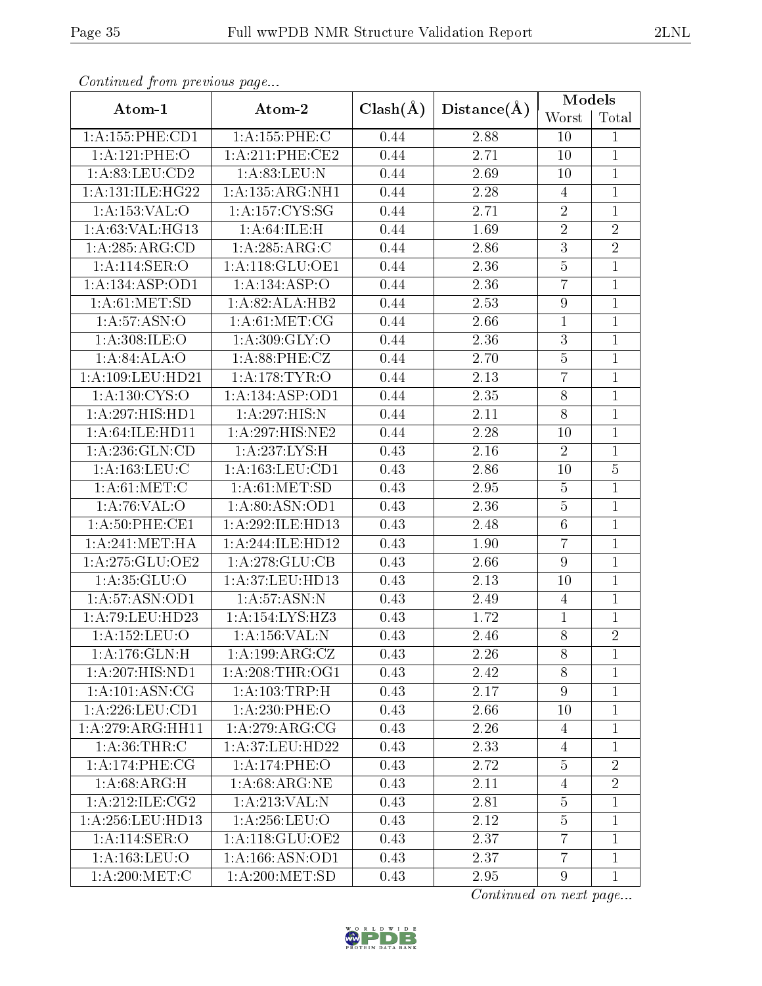|                     |                    |              | Distance(A)       | Models           |                |  |
|---------------------|--------------------|--------------|-------------------|------------------|----------------|--|
| Atom-1              | Atom-2             | $Clash(\AA)$ |                   | Worst            | Total          |  |
| 1:A:155:PHE:CD1     | 1: A: 155: PHE: C  | 0.44         | 2.88              | 10               | $\mathbf{1}$   |  |
| 1:A:121:PHE:O       | 1:A:211:PHE:CE2    | 0.44         | 2.71              | $10\,$           | $\mathbf{1}$   |  |
| 1: A:83: LEU:CD2    | 1: A:83:LEU:N      | 0.44         | 2.69              | 10               | $\mathbf{1}$   |  |
| 1:A:131:ILE:HG22    | 1:A:135:ARG:NH1    | 0.44         | 2.28              | $\overline{4}$   | $\overline{1}$ |  |
| 1:A:153:VAL:O       | 1:A:157:CYS:SG     | 0.44         | 2.71              | $\sqrt{2}$       | $\overline{1}$ |  |
| 1:A:63:VAL:HG13     | 1: A:64: ILE:H     | 0.44         | 1.69              | $\overline{2}$   | $\overline{2}$ |  |
| 1:A:285:ARG:CD      | 1: A:285: ARG: C   | 0.44         | 2.86              | $\overline{3}$   | $\overline{2}$ |  |
| 1:A:114:SER:O       | 1: A:118: GLU:OE1  | 0.44         | 2.36              | $\overline{5}$   | $\overline{1}$ |  |
| 1: A: 134: ASP: OD1 | 1:A:134:ASP:O      | 0.44         | 2.36              | $\overline{7}$   | $\overline{1}$ |  |
| 1: A:61: MET:SD     | 1:A:82:ALA:HB2     | 0.44         | 2.53              | $\boldsymbol{9}$ | $\overline{1}$ |  |
| 1: A: 57: ASN: O    | 1: A:61: MET:CG    | 0.44         | 2.66              | $\mathbf{1}$     | $\mathbf{1}$   |  |
| 1: A:308: ILE: O    | 1: A:309: GLY:O    | 0.44         | 2.36              | $\sqrt{3}$       | $\,1$          |  |
| 1:A:84:ALA:O        | 1: A:88:PHE:CZ     | 0.44         | 2.70              | $\bf 5$          | $\mathbf{1}$   |  |
| 1:A:109:LEU:HD21    | 1: A:178: TYR:O    | 0.44         | 2.13              | $\overline{7}$   | $\overline{1}$ |  |
| 1:A:130:CYS:O       | 1:A:134:ASP:OD1    | 0.44         | 2.35              | $8\,$            | $\mathbf{1}$   |  |
| 1:A:297:HIS:HD1     | 1:A:297:HIS:N      | 0.44         | $\overline{2.11}$ | $\overline{8}$   | $\overline{1}$ |  |
| 1: A:64: ILE: HDI1  | 1:A:297:HIS:NE2    | 0.44         | 2.28              | 10               | $\,1$          |  |
| 1: A:236: GLN:CD    | 1:A:237:LYS:H      | 0.43         | 2.16              | $\overline{2}$   | $\overline{1}$ |  |
| 1: A: 163: LEU: C   | 1:A:163:LEU:CD1    | 0.43         | 2.86              | 10               | $\overline{5}$ |  |
| 1: A:61:MET:C       | 1: A:61: MET:SD    | 0.43         | 2.95              | $\overline{5}$   | $\overline{1}$ |  |
| 1: A:76: VAL:O      | 1:A:80:ASN:OD1     | 0.43         | 2.36              | $\overline{5}$   | $\mathbf{1}$   |  |
| 1: A:50: PHE:CE1    | 1:A:292:ILE:HD13   | 0.43         | 2.48              | $\,6\,$          | $\overline{1}$ |  |
| 1: A:241: MET:HA    | 1:A:244:ILE:HD12   | 0.43         | 1.90              | $\overline{7}$   | $\mathbf{1}$   |  |
| 1:A:275:GLU:OE2     | 1: A:278: GLU:CB   | 0.43         | 2.66              | $9\phantom{.}$   | $\overline{1}$ |  |
| 1:A:35:GLU:O        | 1:A:37:LEU:HD13    | 0.43         | $\overline{2}.13$ | 10               | $\mathbf{1}$   |  |
| 1:A:57:ASN:OD1      | 1: A:57: ASN:N     | 0.43         | 2.49              | $\overline{4}$   | $\overline{1}$ |  |
| 1:A:79:LEU:HD23     | 1:A:154:LYS:HZ3    | 0.43         | 1.72              | $\mathbf{1}$     | $\mathbf{1}$   |  |
| 1:A:152:LEU:O       | 1: A: 156: VAL: N  | 0.43         | 2.46              | 8                | $\overline{2}$ |  |
| 1: A:176: GLN:H     | 1: A: 199: ARG: CZ | 0.43         | 2.26              | 8                | $\mathbf{1}$   |  |
| 1:A:207:HIS:ND1     | 1: A:208:THR:OG1   | 0.43         | 2.42              | 8                | $\mathbf{1}$   |  |
| 1: A:101: ASN:CG    | 1: A: 103: TRP:H   | 0.43         | 2.17              | $9\phantom{.}$   | $\mathbf{1}$   |  |
| 1:A:226:LEU:CD1     | $1: A:230:$ PHE:O  | 0.43         | 2.66              | 10               | $\mathbf 1$    |  |
| 1:A:279:ARG:HH11    | 1:A:279:ARG:CG     | 0.43         | 2.26              | $\overline{4}$   | $\mathbf{1}$   |  |
| 1: A:36:THR:C       | 1:A:37:LEU:HD22    | 0.43         | 2.33              | 4                | $\mathbf{1}$   |  |
| 1: A:174:PHE:CG     | 1:A:174:PHE:O      | 0.43         | 2.72              | $\overline{5}$   | $\overline{2}$ |  |
| 1:A:68:ARG:H        | 1: A:68:ARG:NE     | 0.43         | 2.11              | $\overline{4}$   | $\overline{2}$ |  |
| 1: A:212: ILE: CG2  | 1:A:213:VAL:N      | 0.43         | 2.81              | $\bf 5$          | $\mathbf{1}$   |  |
| 1: A:256:LEU:HD13   | 1: A:256:LEU:O     | 0.43         | 2.12              | $\overline{5}$   | 1              |  |
| 1: A:114: SER:O     | 1: A:118: GLU:OE2  | 0.43         | 2.37              | $\overline{7}$   | $\mathbf{1}$   |  |
| 1: A: 163: LEU: O   | 1:A:166:ASN:OD1    | 0.43         | 2.37              | $\overline{7}$   | $\mathbf{1}$   |  |
| 1: A:200:MET:C      | 1: A:200:MET:SD    | 0.43         | 2.95              | $9\phantom{.}$   | $\mathbf{1}$   |  |

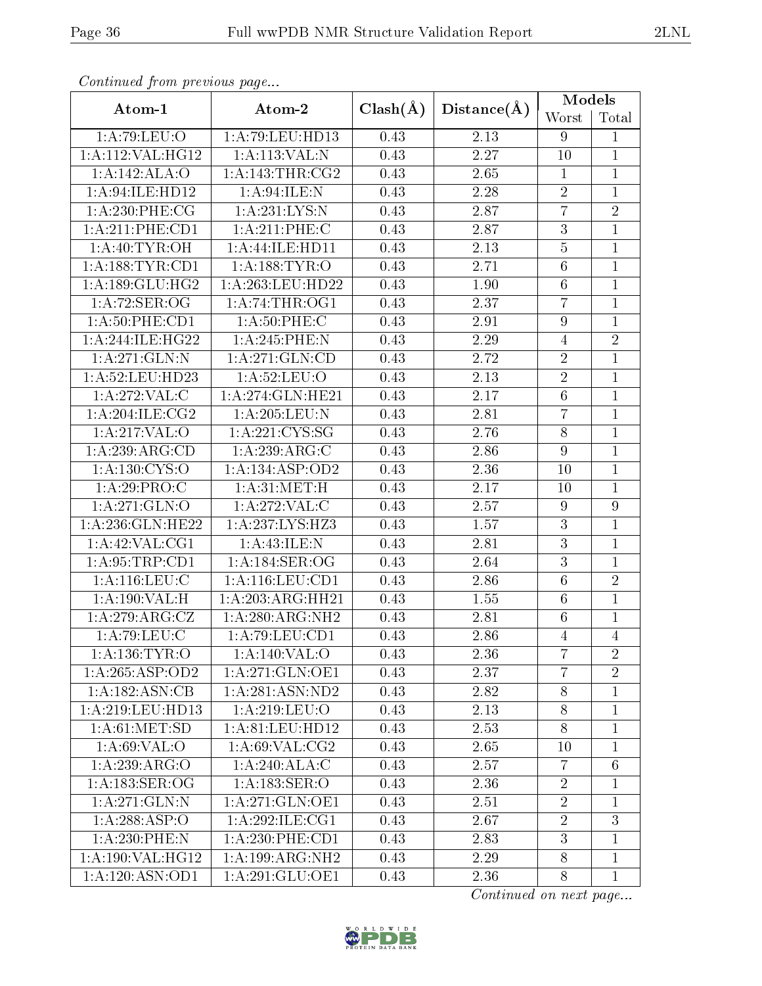| Conventaca prome providuo pago |                     |              | Distance(A)       | Models           |                |  |
|--------------------------------|---------------------|--------------|-------------------|------------------|----------------|--|
| Atom-1                         | Atom-2              | $Clash(\AA)$ |                   | Worst            | Total          |  |
| 1:A:79:LEU:O                   | 1: A:79:LEU:HD13    | 0.43         | 2.13              | 9                | $\mathbf{1}$   |  |
| 1:A:112:VAL:HG12               | 1:A:113:VAL:N       | 0.43         | 2.27              | 10               | $\mathbf{1}$   |  |
| 1:A:142:ALA:O                  | 1: A:143:THR:CG2    | 0.43         | 2.65              | $\mathbf{1}$     | $\mathbf{1}$   |  |
| 1: A:94: ILE: HD12             | 1: A:94: ILE:N      | 0.43         | 2.28              | $\sqrt{2}$       | $\mathbf{1}$   |  |
| 1: A:230: PHE: CG              | 1:A:231:LYS:N       | 0.43         | 2.87              | $\overline{7}$   | $\overline{2}$ |  |
| 1:A:211:PHE:CD1                | 1: A:211:PHE:C      | 0.43         | 2.87              | $\overline{3}$   | $\mathbf{1}$   |  |
| 1: A:40: TYR:OH                | 1:A:44:ILE:HD11     | 0.43         | 2.13              | $\overline{5}$   | $\mathbf{1}$   |  |
| 1: A: 188: TYR: CD1            | 1: A:188: TYR:O     | 0.43         | 2.71              | $\,6$            | $\mathbf{1}$   |  |
| 1:A:189:GLU:HG2                | 1:A:263:LEU:HD22    | 0.43         | 1.90              | $6\phantom{.}6$  | $\mathbf{1}$   |  |
| 1: A:72: SER:OG                | 1: A:74:THR:OG1     | 0.43         | 2.37              | $\overline{7}$   | $\mathbf{1}$   |  |
| 1: A:50: PHE:CD1               | 1: A:50:PHE: C      | 0.43         | 2.91              | $\boldsymbol{9}$ | $\overline{1}$ |  |
| 1:A:244:ILE:HG22               | 1:A:245:PHE:N       | 0.43         | $2.29\,$          | $\overline{4}$   | $\overline{2}$ |  |
| 1:A:271:GLN:N                  | 1: A:271: GLN:CD    | 0.43         | 2.72              | $\sqrt{2}$       | $\mathbf{1}$   |  |
| 1: A:52:LEU:HD23               | 1: A:52:LEU:O       | 0.43         | $\overline{2}.13$ | $\overline{2}$   | $\mathbf{1}$   |  |
| 1:A:272:VAL:CC                 | 1:A:274:GLN:HE21    | 0.43         | $2.17\,$          | $\,6$            | $\mathbf{1}$   |  |
| 1: A:204:ILE:CG2               | 1: A:205:LEU: N     | 0.43         | 2.81              | $\overline{7}$   | $\mathbf{1}$   |  |
| 1:A:217:VAL:O                  | 1: A:221: CYS:SG    | 0.43         | 2.76              | $8\,$            | $\mathbf{1}$   |  |
| 1:A:239:ARG:CD                 | 1:A:239:ARG:C       | 0.43         | 2.86              | 9                | $\overline{1}$ |  |
| $1:\overline{A:130:CYS:O}$     | 1:A:134:ASP:OD2     | 0.43         | 2.36              | 10               | $\mathbf{1}$   |  |
| 1:A:29:PRO:C                   | 1: A:31:MET:H       | 0.43         | 2.17              | 10               | $\overline{1}$ |  |
| 1:A:271:GLN:O                  | 1:A:272:VAL:CD      | 0.43         | 2.57              | $\boldsymbol{9}$ | $\overline{9}$ |  |
| 1:A:236:GLN:HE22               | 1:A:237:LYS:HZ3     | 0.43         | 1.57              | $\overline{3}$   | $\overline{1}$ |  |
| 1:A:42:VAL:CG1                 | 1: A:43: ILE:N      | 0.43         | 2.81              | $\overline{3}$   | $\mathbf{1}$   |  |
| 1: A:95:TRP:CD1                | 1:A:184:SER:OG      | 0.43         | 2.64              | $\overline{3}$   | $\overline{1}$ |  |
| 1: A:116: LEU: C               | 1: A: 116: LEU: CD1 | 0.43         | 2.86              | $\overline{6}$   | $\overline{2}$ |  |
| 1:A:190:VAL:H                  | 1: A:203:ARG:HH21   | 0.43         | 1.55              | $\,6$            | $\mathbf{1}$   |  |
| 1: A:279: ARG: CZ              | 1:A:280:ARG:NH2     | 0.43         | 2.81              | 6                | $\mathbf 1$    |  |
| 1: A:79: LEU: C                | 1:A:79:LEU:CD1      | 0.43         | 2.86              | $\overline{4}$   | $\overline{4}$ |  |
| 1: A: 136: TYR: O              | 1:A:140:VAL:O       | 0.43         | 2.36              | $\overline{7}$   | $\overline{2}$ |  |
| 1: A:265: ASP:OD2              | 1:A:271:GLN:OE1     | 0.43         | 2.37              | $\overline{7}$   | $\overline{2}$ |  |
| 1: A: 182: ASN: CB             | 1:A:281:ASN:ND2     | 0.43         | 2.82              | 8                | $\mathbf{1}$   |  |
| 1: A:219:LEU:HD13              | 1:A:219:LEU:O       | 0.43         | 2.13              | $8\,$            | $\mathbf{1}$   |  |
| 1: A:61: MET:SD                | 1:A:81:LEU:HD12     | 0.43         | 2.53              | $8\,$            | $\mathbf{1}$   |  |
| 1: A:69: VAL:O                 | 1: A:69: VAL:CG2    | 0.43         | 2.65              | 10               | $\mathbf{1}$   |  |
| 1:A:239:ARG:O                  | 1:A:240:ALA:C       | 0.43         | 2.57              | $\overline{7}$   | $\overline{6}$ |  |
| 1:A:183:SER:OG                 | 1: A: 183: SER: O   | 0.43         | 2.36              | $\overline{2}$   | 1              |  |
| 1: A:271: GLN:N                | 1:A:271:GLN:OE1     | 0.43         | 2.51              | $\overline{2}$   | $\mathbf 1$    |  |
| 1:A:288:ASP:O                  | 1:A:292:ILE:CG1     | 0.43         | 2.67              | $\overline{2}$   | 3              |  |
| $1: A:230:$ PHE:N              | $1: A:230:$ PHE:CD1 | 0.43         | 2.83              | 3                | $\mathbf{1}$   |  |
| 1:A:190:VAL:HG12               | 1:A:199:ARG:NH2     | 0.43         | 2.29              | 8                | $\mathbf{1}$   |  |
| 1:A:120:ASN:OD1                | 1:A:291:GLU:OE1     | 0.43         | 2.36              | 8                | $\mathbf{1}$   |  |

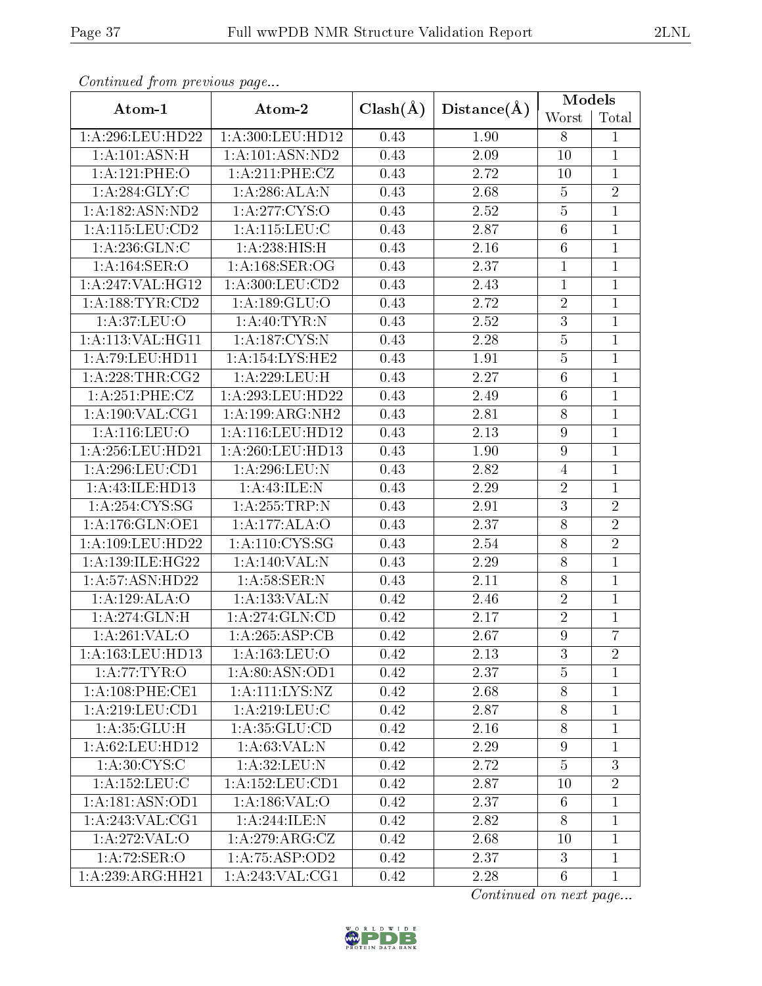| Conningea from previous page |                                      |              |             | Models           |                |
|------------------------------|--------------------------------------|--------------|-------------|------------------|----------------|
| Atom-1                       | Atom-2                               | $Clash(\AA)$ | Distance(A) | Worst            | Total          |
| 1:A:296:LEU:HD22             | 1:A:300:LEU:HD12                     | 0.43         | 1.90        | 8                | $\mathbf{1}$   |
| 1:A:101:ASN:H                | 1:A:101:ASN:ND2                      | 0.43         | 2.09        | 10               | $\mathbf{1}$   |
| 1:A:121:PHE:O                | 1: A:211: PHE: CZ                    | 0.43         | 2.72        | 10               | $\overline{1}$ |
| 1: A:284: GLY: C             | 1: A:286:ALA:N                       | 0.43         | 2.68        | $\bf 5$          | $\overline{2}$ |
| 1:A:182:ASN:ND2              | 1: A:277:CYS:O                       | 0.43         | 2.52        | $\overline{5}$   | $\overline{1}$ |
| 1: A: 115: LEU: CD2          | $1: A: 115: \overline{\text{LEU:C}}$ | 0.43         | 2.87        | $\overline{6}$   | $\mathbf{1}$   |
| 1: A:236: GLN: C             | 1:A:238:HIS:H                        | 0.43         | 2.16        | $6\,$            | $\overline{1}$ |
| 1: A: 164: SER: O            | 1: A:168: SER:OG                     | 0.43         | 2.37        | $\mathbf{1}$     | $\mathbf{1}$   |
| 1:A:247:VAL:HG12             | 1: A:300: LEU:CD2                    | 0.43         | 2.43        | $\overline{1}$   | $\mathbf{1}$   |
| 1: A: 188: TYR: CD2          | 1:A:189:GLU:O                        | 0.43         | 2.72        | $\sqrt{2}$       | $\mathbf 1$    |
| 1:A:37:LEU:O                 | 1:A:40:TYR:N                         | 0.43         | 2.52        | $\overline{3}$   | $\mathbf{1}$   |
| 1:A:113:VAL:HG11             | 1:A:187:CYS:N                        | 0.43         | 2.28        | $\bf 5$          | $\mathbf{1}$   |
| 1: A:79: LEU: HD11           | 1:A:154:LYS:HE2                      | 0.43         | 1.91        | $\bf 5$          | $\mathbf{1}$   |
| 1:A:228:THR:CG2              | 1:A:229:LEU:H                        | 0.43         | 2.27        | $\sqrt{6}$       | $\mathbf{1}$   |
| 1:A:251:PHE:CZ               | 1:A:293:LEU:HD22                     | 0.43         | 2.49        | $6\phantom{.}6$  | $\mathbf{1}$   |
| 1: A: 190: VAL: CG1          | 1:A:199:ARG:NH2                      | 0.43         | 2.81        | $\overline{8}$   | $\mathbf{1}$   |
| 1: A:116: LEU:O              | $1:\overline{A}:116:\text{LEU}:HD12$ | 0.43         | 2.13        | $\boldsymbol{9}$ | $\mathbf{1}$   |
| 1: A:256:LEU:HD21            | 1: A:260:LEU:HD13                    | 0.43         | 1.90        | $\overline{9}$   | $\mathbf{1}$   |
| 1:A:296:LEU:CD1              | 1:A:296:LEU:N                        | 0.43         | 2.82        | $\overline{4}$   | $\mathbf 1$    |
| 1:A:43:ILE:HD13              | 1: A:43: ILE:N                       | 0.43         | 2.29        | $\sqrt{2}$       | $\mathbf 1$    |
| 1:A:254:CYS:SG               | 1: A:255:TRP:N                       | 0.43         | 2.91        | $\overline{3}$   | $\overline{2}$ |
| 1: A:176: GLN: OE1           | 1:A:177:ALA:O                        | 0.43         | 2.37        | 8                | $\overline{2}$ |
| 1:A:109:LEU:HD22             | 1: A: 110: CYS: SG                   | 0.43         | 2.54        | 8                | $\overline{2}$ |
| 1:A:139:ILE:HG22             | 1:A:140:VAL:N                        | 0.43         | 2.29        | 8                | $\mathbf{1}$   |
| 1: A:57: ASN:HD22            | 1:A:58:SER:N                         | 0.43         | 2.11        | 8                | $\mathbf 1$    |
| 1:A:129:ALA:O                | 1:A:133:VAL:N                        | 0.42         | 2.46        | $\sqrt{2}$       | $\mathbf{1}$   |
| 1:A:274:GLN:H                | 1: A:274: GLN:CD                     | 0.42         | 2.17        | $\sqrt{2}$       | $\mathbf{1}$   |
| $1:\overline{A:261:VAL:O}$   | 1:A:265:ASP:CB                       | 0.42         | 2.67        | $\overline{9}$   | $\overline{7}$ |
| 1:A:163:LEU:HD13             | 1:A:163:LEU:O                        | 0.42         | 2.13        | 3                | $\overline{2}$ |
| 1: A:77:TYR:O                | 1:A:80:ASN:OD1                       | 0.42         | 2.37        | $\overline{5}$   | $\mathbf{1}$   |
| 1: A:108: PHE:CE1            | 1:A:111:LYS:NZ                       | 0.42         | 2.68        | 8                | $\mathbf{1}$   |
| 1:A:219:LEU:CD1              | 1:A:219:LEU:C                        | 0.42         | 2.87        | 8                | $\mathbf{1}$   |
| 1: A: 35: GLU: H             | 1: A: 35: GLU: CD                    | 0.42         | 2.16        | $8\,$            | $\mathbf 1$    |
| 1: A:62:LEU:HD12             | 1: A:63:VAL: N                       | 0.42         | 2.29        | 9                | $\mathbf 1$    |
| 1: A:30: CYS:C               | 1: A:32: LEU: N                      | 0.42         | 2.72        | $\overline{5}$   | 3              |
| 1: A: 152: LEU: C            | 1: A: 152: LEU: CD1                  | 0.42         | 2.87        | 10               | $\overline{2}$ |
| 1:A:181:ASN:OD1              | 1: A: 186: VAL: O                    | 0.42         | 2.37        | $6\phantom{.}6$  | $\mathbf{1}$   |
| 1: A:243: VAL:CG1            | 1: A:244: ILE:N                      | 0.42         | 2.82        | 8                | $\mathbf{1}$   |
| 1:A:272:VAL:O                | 1:A:279:ARG:CZ                       | 0.42         | 2.68        | 10               | $\mathbf{1}$   |
| 1:A:72:SER:O                 | 1: A:75:ASP:OD2                      | 0.42         | 2.37        | 3                | $\mathbf{1}$   |
| 1:A:239:ARG:HH21             | 1:A:243:VAL:CG1                      | 0.42         | 2.28        | $6\phantom{.}6$  | $\mathbf{1}$   |

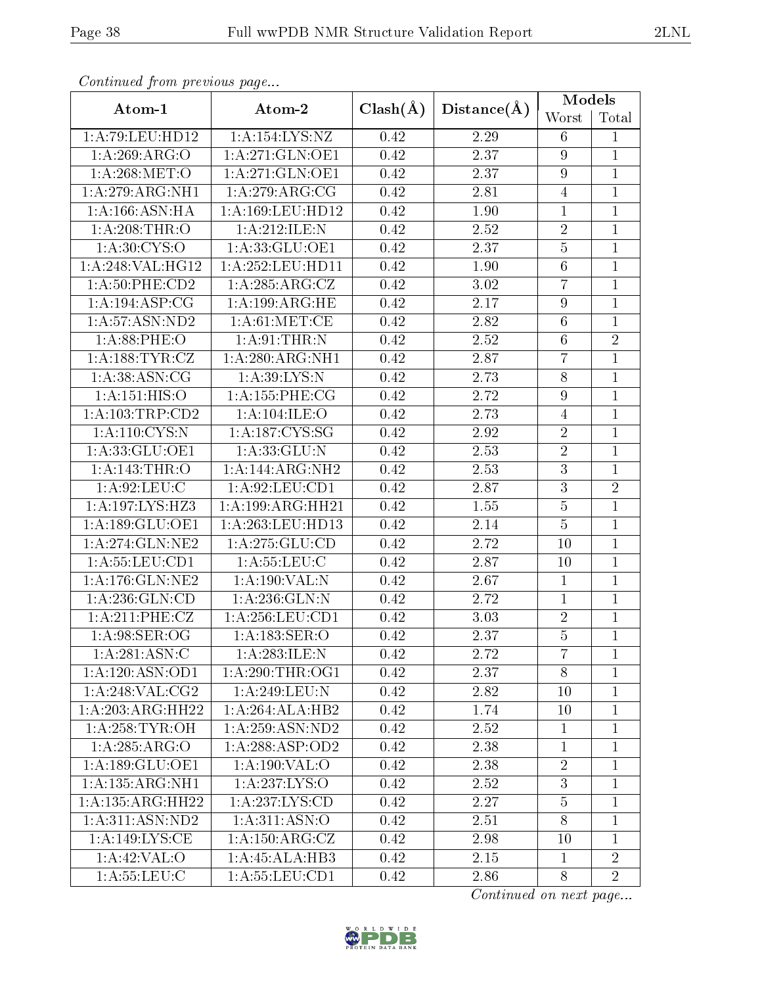| Comunaca jiom previous page                         |                                     |              |             | Models           |                |  |
|-----------------------------------------------------|-------------------------------------|--------------|-------------|------------------|----------------|--|
| Atom-1                                              | Atom-2                              | $Clash(\AA)$ | Distance(A) | Worst            | Total          |  |
| 1:A:79:LEU:HD12                                     | 1: A: 154: LYS: NZ                  | 0.42         | 2.29        | 6                | 1              |  |
| 1:A:269:ARG:O                                       | 1: A:271: GLN:OE1                   | 0.42         | 2.37        | 9                | 1              |  |
| 1: A:268: MET:O                                     | 1: A:271: GLN:OE1                   | 0.42         | 2.37        | $\boldsymbol{9}$ | $\mathbf{1}$   |  |
| 1:A:279:ARG:NH1                                     | 1: A:279: ARG: CG                   | 0.42         | 2.81        | $\overline{4}$   | $\mathbf{1}$   |  |
| 1: A: 166: ASN: HA                                  | 1: A: 169: LEU: HD12                | 0.42         | 1.90        | $\mathbf{1}$     | $\overline{1}$ |  |
| 1: A:208:THR:O                                      | 1:A:212:ILE:N                       | 0.42         | 2.52        | $\sqrt{2}$       | $\mathbf{1}$   |  |
| 1: A:30:CYS:O                                       | 1:A:33:GLU:OE1                      | 0.42         | 2.37        | $\bf 5$          | $\mathbf{1}$   |  |
| 1:A:248:VAL:HG12                                    | 1:A:252:LEU:HD11                    | 0.42         | 1.90        | $\,6$            | $\mathbf{1}$   |  |
| 1:A:50:PHE:CD2                                      | 1: A:285: ARG: CZ                   | 0.42         | $3.02\,$    | $\overline{7}$   | $\mathbf{1}$   |  |
| 1: A: 194: ASP: CG                                  | 1:A:199:ARG:HE                      | 0.42         | 2.17        | $\boldsymbol{9}$ | $\mathbf 1$    |  |
| 1: A:57: ASN:ND2                                    | 1: A:61: MET:CE                     | 0.42         | 2.82        | $\,6\,$          | $\overline{1}$ |  |
| 1: A:88:PHE:O                                       | 1: A:91:THR:N                       | 0.42         | 2.52        | $\,6$            | $\sqrt{2}$     |  |
| 1: A: 188: TYR: CZ                                  | 1:A:280:ARG:NH1                     | 0.42         | 2.87        | $\overline{7}$   | $\overline{1}$ |  |
| 1: A:38: ASN: CG                                    | 1: A:39: LYS:N                      | 0.42         | 2.73        | $8\,$            | $\mathbf{1}$   |  |
| 1: A:151: HIS:O                                     | 1: A: 155: PHE: CG                  | 0.42         | 2.72        | $\boldsymbol{9}$ | $\mathbf{1}$   |  |
| 1: A: 103: TRP: CD2                                 | 1:A:104:ILE:O                       | 0.42         | 2.73        | $\sqrt{4}$       | $\mathbf{1}$   |  |
| $1: A:110: \overline{\text{C} \text{YS}: \text{N}}$ | 1:A:187:CYS:SG                      | 0.42         | 2.92        | $\sqrt{2}$       | $\mathbf{1}$   |  |
| 1:A:33:GLU:OE1                                      | 1:A:33:GLU:N                        | 0.42         | 2.53        | $\overline{2}$   | $\mathbf 1$    |  |
| 1: A:143:THR:O                                      | $1:A:144:\overline{\text{ARG}:NH2}$ | 0.42         | 2.53        | 3                | $\mathbf{1}$   |  |
| 1: A:92: LEU: C                                     | 1:A:92:LEU:CD1                      | 0.42         | 2.87        | $\sqrt{3}$       | $\overline{2}$ |  |
| 1:A:197:LYS:HZ3                                     | 1:A:199:ARG:HH21                    | 0.42         | 1.55        | $\overline{5}$   | $\mathbf 1$    |  |
| 1:A:189:GLU:OE1                                     | 1:A:263:LEU:HD13                    | 0.42         | 2.14        | $\overline{5}$   | $\mathbf{1}$   |  |
| 1: A:274: GLN:NE2                                   | 1: A:275: GLU:CD                    | 0.42         | 2.72        | 10               | $\mathbf{1}$   |  |
| 1: A: 55: LEU: CD1                                  | 1: A: 55: LEU: C                    | 0.42         | 2.87        | 10               | $\overline{1}$ |  |
| 1:A:176:GLN:NE2                                     | 1:A:190:VAL:N                       | 0.42         | 2.67        | $\mathbf{1}$     | $\mathbf{1}$   |  |
| 1: A: 236: GLN: CD                                  | 1:A:236:GLN:N                       | 0.42         | 2.72        | $\overline{1}$   | $\mathbf{1}$   |  |
| 1:A:211:PHE:CZ                                      | 1: A:256:LEU:CD1                    | 0.42         | 3.03        | $\boldsymbol{2}$ | 1              |  |
| 1: A:98: SER: OG                                    | 1: A: 183: SER: O                   | 0.42         | 2.37        | $\overline{5}$   | $\overline{1}$ |  |
| 1: A:281: ASN: C                                    | 1:A:283:ILE:N                       | 0.42         | 2.72        | $\overline{7}$   | 1              |  |
| 1:A:120:ASN:OD1                                     | 1: A:290:THR:OG1                    | 0.42         | 2.37        | 8                | $\overline{1}$ |  |
| 1:A:248:VAL:CG2                                     | 1: A:249:LEU:N                      | 0.42         | 2.82        | 10               | $\mathbf 1$    |  |
| $1:A:203:A\overline{RG:HH22}$                       | 1:A:264:ALA:HB2                     | 0.42         | 1.74        | 10               | $\overline{1}$ |  |
| 1: A:258:TYR:OH                                     | 1: A:259: ASN:ND2                   | 0.42         | 2.52        | $\mathbf{1}$     | 1              |  |
| 1:A:285:ARG:O                                       | 1: A:288:ASP:OD2                    | 0.42         | 2.38        | $\mathbf{1}$     | $\overline{1}$ |  |
| 1: A: 189: GLU: OE1                                 | 1: A: 190: VAL: O                   | 0.42         | 2.38        | $\sqrt{2}$       | $\mathbf 1$    |  |
| 1:A:135:ARG:NH1                                     | 1:A:237:LYS:O                       | 0.42         | 2.52        | 3                | 1              |  |
| 1:A:135:ARG:HH22                                    | 1: A: 237: LYS: CD                  | 0.42         | 2.27        | $\bf 5$          | 1              |  |
| 1: A:311: ASN:ND2                                   | 1: A:311: ASN:O                     | 0.42         | 2.51        | 8                | $\mathbf 1$    |  |
| 1: A:149: LYS: CE                                   | 1: A: 150: ARG: CZ                  | 0.42         | 2.98        | 10               | $\mathbf 1$    |  |
| 1: A:42:VAL:                                        | 1:A:45:ALA:HB3                      | 0.42         | 2.15        | $\mathbf{1}$     | $\overline{2}$ |  |
| 1: A: 55: LEU: C                                    | 1: A: 55: LEU: CD1                  | 0.42         | 2.86        | 8                | $\overline{2}$ |  |

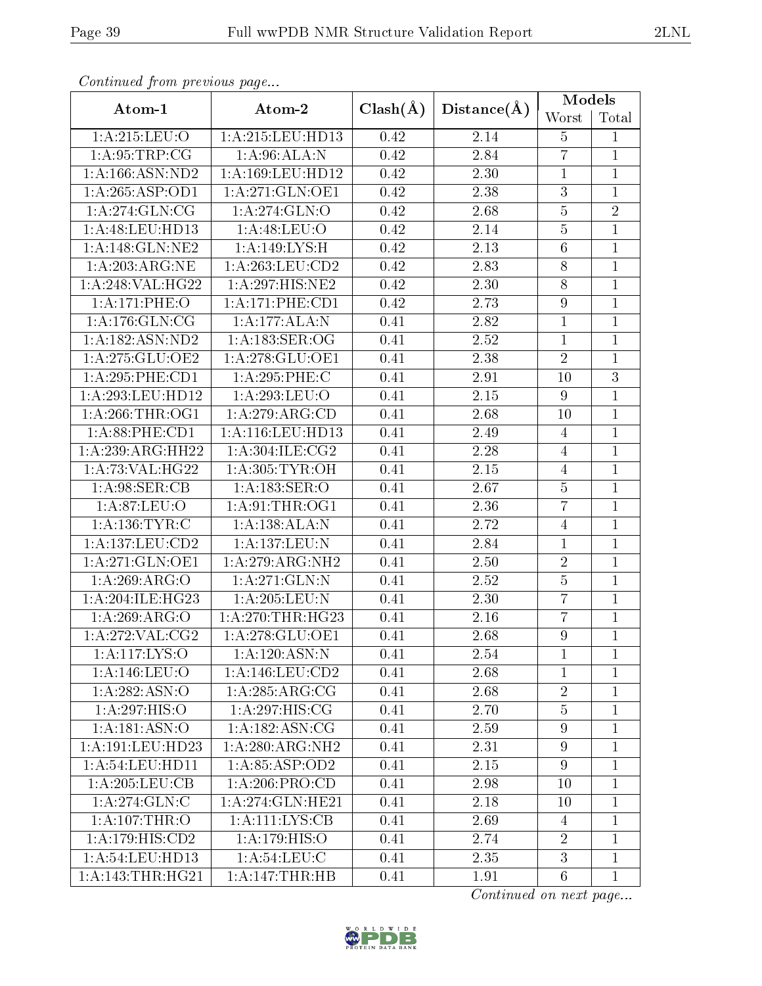| Conningea from previous page |                              |              |                   | Models           |                |
|------------------------------|------------------------------|--------------|-------------------|------------------|----------------|
| Atom-1                       | Atom-2                       | $Clash(\AA)$ | Distance(A)       | Worst            | Total          |
| 1:A:215:LEU:O                | 1:A:215:LEU:HD13             | 0.42         | 2.14              | $\overline{5}$   | $\mathbf{1}$   |
| 1: A:95:TRP:CG               | 1: A:96:ALA:N                | 0.42         | 2.84              | $\overline{7}$   | $\mathbf{1}$   |
| 1: A: 166: ASN: ND2          | 1:A:169:LEU:HD12             | 0.42         | 2.30              | $\mathbf 1$      | $\overline{1}$ |
| 1:A:265:ASP:OD1              | 1:A:271:GLN:OE1              | 0.42         | 2.38              | $\overline{3}$   | $\mathbf{1}$   |
| 1: A:274: GLN:CG             | 1: A:274: GLN:O              | 0.42         | 2.68              | $\bf 5$          | $\overline{2}$ |
| 1: A:48: LEU:HD13            | 1: A:48: LEU:O               | 0.42         | 2.14              | $\overline{5}$   | $\mathbf{1}$   |
| 1:A:148:GLN:NE2              | 1:A:149:LYS:H                | 0.42         | 2.13              | $6\,$            | $\mathbf{1}$   |
| 1: A:203:ARG:NE              | 1: A:263:LEU:CD2             | 0.42         | 2.83              | $8\,$            | $\mathbf{1}$   |
| 1:A:248:VAL:HG22             | $1:\overline{A:297:HIS:NE2}$ | 0.42         | 2.30              | $\overline{8}$   | $\overline{1}$ |
| 1:A:171:PHE:O                | 1: A:171:PHE:CD1             | 0.42         | 2.73              | $\boldsymbol{9}$ | $\mathbf{1}$   |
| 1: A:176: GLN:CG             | 1:A:177:ALA:N                | 0.41         | 2.82              | $\mathbf{1}$     | $\mathbf{1}$   |
| 1:A:182:ASN:ND2              | 1:A:183:SER:OG               | 0.41         | 2.52              | $\mathbf 1$      | $\overline{1}$ |
| 1: A:275: GLU:OE2            | 1:A:278:GLU:OE1              | 0.41         | 2.38              | $\overline{2}$   | $\overline{1}$ |
| 1:A:295:PHE:CD1              | 1:A:295:PHE:C                | 0.41         | 2.91              | 10               | $\overline{3}$ |
| 1:A:293:LEU:HD12             | 1:A:293:LEU:O                | 0.41         | $2.15\,$          | $\boldsymbol{9}$ | $\mathbf{1}$   |
| 1: A:266:THR:OG1             | 1:A:279:ARG:CD               | 0.41         | 2.68              | 10               | $\mathbf{1}$   |
| 1:A:88:PHE:CD1               | 1:A:116:LEU:HD13             | 0.41         | 2.49              | $\overline{4}$   | $\mathbf{1}$   |
| 1:A:239:ARG:HH22             | 1: A:304: ILE: CG2           | 0.41         | $\overline{2}.28$ | $\overline{4}$   | $\mathbf{1}$   |
| 1: A:73: VAL:HG22            | 1:A:305:TYR:OH               | 0.41         | $2.15\,$          | 4                | $\mathbf{1}$   |
| 1: A:98: SER:CB              | 1: A: 183: SER: O            | 0.41         | 2.67              | $\overline{5}$   | $\mathbf{1}$   |
| 1: A:87: LEU:O               | 1: A:91:THR:OG1              | 0.41         | 2.36              | $\overline{7}$   | $\mathbf{1}$   |
| 1: A: 136: TYR: C            | 1:A:138:ALA:N                | 0.41         | 2.72              | $\overline{4}$   | $\overline{1}$ |
| 1:A:137:LEU:CD2              | 1:A:137:LEU:N                | 0.41         | 2.84              | $\mathbf{1}$     | $\mathbf{1}$   |
| 1:A:271:GLN:OE1              | 1:A:279:ARG:NH2              | 0.41         | $2.50\,$          | $\sqrt{2}$       | $\mathbf{1}$   |
| 1: A:269: ARG:O              | 1:A:271:GLN:N                | 0.41         | 2.52              | $\bf 5$          | $\mathbf{1}$   |
| 1:A:204:ILE:HG23             | 1: A:205:LEU: N              | 0.41         | 2.30              | $\overline{7}$   | $\mathbf{1}$   |
| 1:A:269:ARG:O                | 1: A:270:THR:HG23            | 0.41         | 2.16              | $\overline{7}$   | $\mathbf{1}$   |
| 1:A:272:VAL:CG2              | 1:A:278:GLU:OE1              | 0.41         | 2.68              | $\overline{9}$   | $\overline{1}$ |
| 1:A:117:LYS:O                | 1: A:120: ASN: N             | 0.41         | 2.54              | 1                | 1              |
| 1:A:146:LEU:O                | 1:A:146:LEU:CD2              | 0.41         | 2.68              | $\mathbf{1}$     | $\mathbf{1}$   |
| 1:A:282:ASN:O                | 1:A:285:ARG:CG               | 0.41         | 2.68              | $\overline{2}$   | $\mathbf{1}$   |
| 1:A:297:HIS:O                | 1:A:297:HIS:CG               | 0.41         | 2.70              | $\overline{5}$   | $\mathbf{1}$   |
| 1:A:181:ASN:O                | 1: A: 182: ASN: CG           | 0.41         | 2.59              | $\boldsymbol{9}$ | $\mathbf{1}$   |
| 1:A:191:LEU:HD23             | 1:A:280:ARG:NH2              | 0.41         | 2.31              | $9\phantom{.0}$  | $\mathbf{1}$   |
| 1: A:54:LEU:HD11             | 1:A:85:ASP:OD2               | 0.41         | 2.15              | $\boldsymbol{9}$ | $\mathbf{1}$   |
| 1: A:205:LEU:CB              | 1: A:206:PRO:CD              | 0.41         | 2.98              | 10               | $\mathbf{1}$   |
| 1:A:274:GLN:C                | 1: A:274: GLN: HE21          | 0.41         | 2.18              | 10               | $\mathbf{1}$   |
| 1: A:107:THR:O               | 1: A: 111: LYS: CB           | 0.41         | 2.69              | 4                | $\mathbf{1}$   |
| 1:A:179:HIS:CD2              | 1: A:179: HIS:O              | 0.41         | 2.74              | $\overline{2}$   | $\mathbf{1}$   |
| 1: A:54:LEU:HD13             | 1: A:54:LEU:C                | 0.41         | 2.35              | 3                | $\mathbf{1}$   |
| 1: A:143:THR:HG21            | 1:A:147:THR:HB               | 0.41         | 1.91              | $6\phantom{.}6$  | $\mathbf{1}$   |

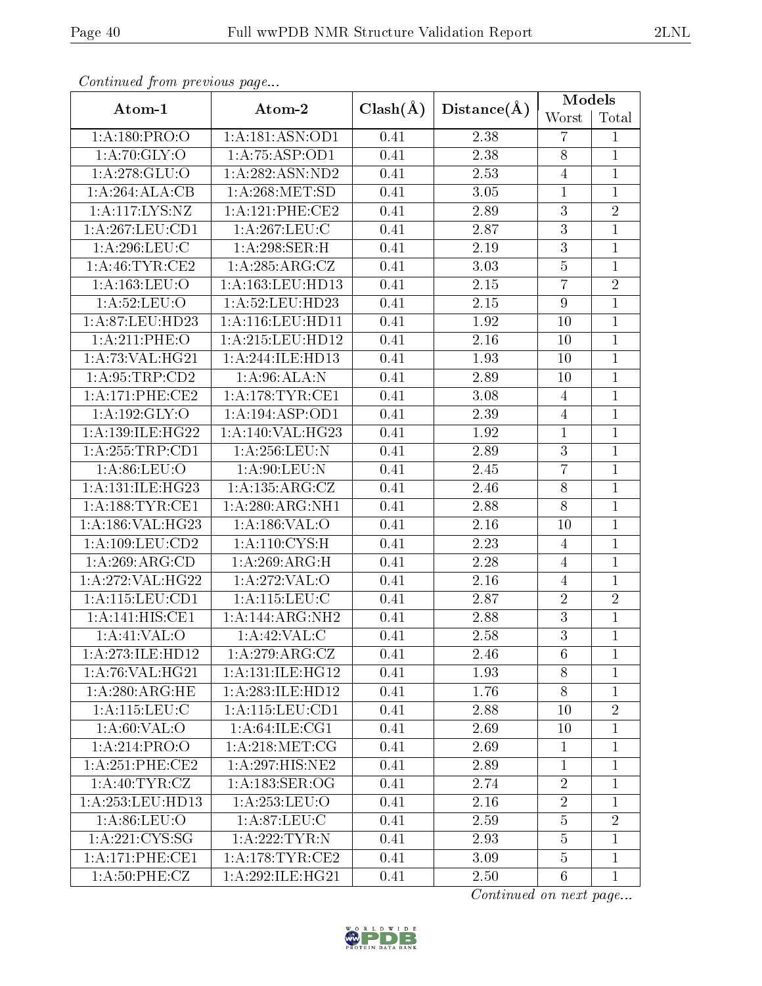| Conventaca prome providuo pago      |                     |              |             | Models           |                |
|-------------------------------------|---------------------|--------------|-------------|------------------|----------------|
| Atom-1                              | Atom-2              | $Clash(\AA)$ | Distance(A) | Worst            | Total          |
| 1:A:180:PRO:O                       | 1:A:181:ASN:OD1     | 0.41         | 2.38        | $\overline{7}$   | $\mathbf{1}$   |
| 1:A:70:GLY:O                        | 1: A: 75: ASP: OD1  | 0.41         | 2.38        | $8\,$            | $\mathbf{1}$   |
| 1: A:278: GLU:O                     | $1:$ A:282:ASN:ND2  | 0.41         | $2.53\,$    | $\sqrt{4}$       | $\mathbf{1}$   |
| 1:A:264:ALA:CB                      | 1: A:268: MET:SD    | 0.41         | 3.05        | $1\,$            | $\mathbf{1}$   |
| 1:A:117:LYS:NZ                      | 1:A:121:PHE:CE2     | 0.41         | 2.89        | $\overline{3}$   | $\overline{2}$ |
| 1: A:267:LEU:CD1                    | 1: A:267:LEU:C      | 0.41         | 2.87        | $\overline{3}$   | $\mathbf{1}$   |
| 1: A:296:LEU:C                      | 1:A:298:SER:H       | 0.41         | $2.19\,$    | $\overline{3}$   | $\mathbf{1}$   |
| 1: A:46: TYR:CE2                    | 1: A:285: ARG: CZ   | 0.41         | 3.03        | $\bf 5$          | $\mathbf 1$    |
| 1: A: 163: LEU: O                   | 1:A:163:LEU:HD13    | 0.41         | 2.15        | $\overline{7}$   | $\overline{2}$ |
| 1: A:52: LEU:O                      | 1:A:52:LEU:HD23     | 0.41         | 2.15        | $\boldsymbol{9}$ | $\mathbf{1}$   |
| 1:A:87:LEU:HD23                     | 1:A:116:LEU:HD11    | 0.41         | 1.92        | 10               | $\overline{1}$ |
| 1: A:211: PHE:O                     | 1: A:215:LEU:HD12   | 0.41         | 2.16        | 10               | $\mathbf{1}$   |
| 1: A:73: VAL:HG21                   | 1:A:244:ILE:HD13    | 0.41         | 1.93        | 10               | $\mathbf{1}$   |
| 1: A:95:TRP:CD2                     | 1: A:96:ALA:N       | 0.41         | 2.89        | 10               | $\mathbf{1}$   |
| 1:A:171:PHE:CE2                     | 1: A:178:TYR:CE1    | 0.41         | 3.08        | $\overline{4}$   | $\mathbf{1}$   |
| 1:A:192:GLY:O                       | 1: A: 194: ASP: OD1 | 0.41         | $2.39\,$    | $\sqrt{4}$       | $\mathbf{1}$   |
| 1: A: 139: ILE: HG22                | 1:A:140:VAL:HG23    | 0.41         | 1.92        | $\mathbf{1}$     | $\mathbf{1}$   |
| 1: A: 255: TRP: CD1                 | 1: A:256:LEU: N     | 0.41         | 2.89        | $\overline{3}$   | $\mathbf{1}$   |
| 1: A:86: LEU:O                      | 1: A:90: LEU: N     | 0.41         | 2.45        | $\overline{7}$   | $\mathbf{1}$   |
| 1:A:131:ILE:HG23                    | 1: A: 135: ARG: CZ  | 0.41         | 2.46        | $8\,$            | $\mathbf{1}$   |
| 1: A: 188: TYR: CE1                 | 1:A:280:ARG:NH1     | 0.41         | 2.88        | $\overline{8}$   | $\overline{1}$ |
| 1:A:186:VAL:HG23                    | 1:A:186:VAL:O       | 0.41         | 2.16        | 10               | $\mathbf{1}$   |
| 1:A:109:LEU:CD2                     | 1: A: 110: CYS:H    | 0.41         | 2.23        | 4                | $\mathbf{1}$   |
| 1:A:269:ARG:CD                      | 1:A:269:ARG:H       | 0.41         | 2.28        | $\overline{4}$   | $\overline{1}$ |
| 1:A:272:VAL:HG22                    | 1:A:272:VAL:O       | 0.41         | 2.16        | $\overline{4}$   | $\mathbf{1}$   |
| $1: A:115: \overline{LEV:CD1}$      | 1: A: 115: LEU: C   | 0.41         | 2.87        | $\sqrt{2}$       | $\overline{2}$ |
| $1:A:141:\overline{HIS:CE1}$        | 1:A:144:ARG:NH2     | 0.41         | 2.88        | $\overline{3}$   | $\mathbf{1}$   |
| 1:A:41:VAL:O                        | 1:A:42:VAL:CD       | 0.41         | 2.58        | $\overline{3}$   | $\mathbf{1}$   |
| 1:A:273:ILE:HD12                    | 1: A:279:ARG:CZ     | 0.41         | 2.46        | 6                | $\mathbf{1}$   |
| 1: A:76: VAL:HG21                   | 1:A:131:ILE:HG12    | 0.41         | 1.93        | 8                | $\mathbf{1}$   |
| 1: A:280:ARG:HE                     | 1:A:283:ILE:HD12    | 0.41         | 1.76        | $8\,$            | $\mathbf{1}$   |
| 1: A:115: LEU: C                    | 1:A:115:LEU:CD1     | 0.41         | 2.88        | 10               | $\overline{2}$ |
| 1: A:60: VAL:O                      | 1: A:64:ILE:CG1     | 0.41         | 2.69        | 10               | $\mathbf{1}$   |
| 1:A:214:PRO:O                       | 1: A:218: MET:CG    | 0.41         | 2.69        | $\mathbf{1}$     | $\mathbf{1}$   |
| $1:A:251:PHE:\overline{\text{CE2}}$ | 1: A:297: HIS: NE2  | 0.41         | 2.89        | $\mathbf{1}$     | $\mathbf{1}$   |
| 1: A:40: TYR: CZ                    | 1: A: 183: SER: OG  | 0.41         | 2.74        | $\overline{2}$   | 1              |
| 1: A:253:LEU:HD13                   | 1: A: 253: LEU: O   | 0.41         | 2.16        | $\sqrt{2}$       | $\mathbf{1}$   |
| 1: A:86: LEU:O                      | 1: A:87:LEU:C       | 0.41         | 2.59        | $\overline{5}$   | $\overline{2}$ |
| 1: A:221: CYS:SG                    | 1:A:222:TYR:N       | 0.41         | 2.93        | $\overline{5}$   | $\mathbf{1}$   |
| 1:A:171:PHE:CE1                     | 1: A:178:TYR:CE2    | 0.41         | 3.09        | $\bf 5$          | $\mathbf{1}$   |
| 1: A:50:PHE: CZ                     | 1:A:292:ILE:HG21    | 0.41         | 2.50        | $6\phantom{.}6$  | $\mathbf{1}$   |

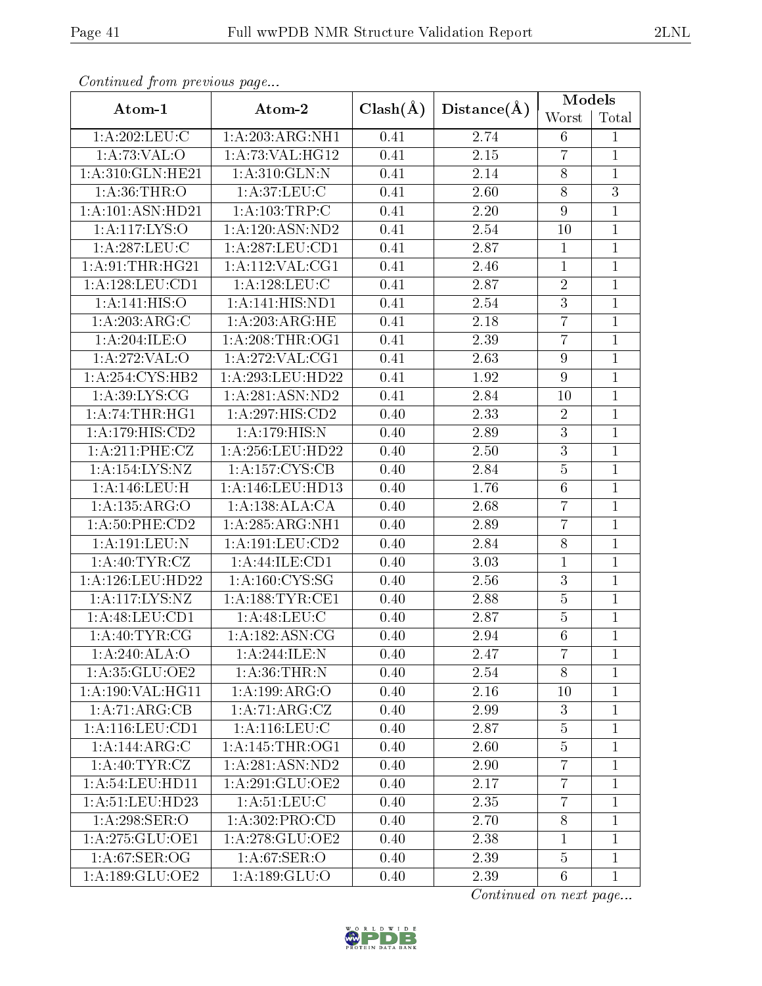|                     |                                       |              |                   | Models           |                |
|---------------------|---------------------------------------|--------------|-------------------|------------------|----------------|
| Atom-1              | Atom-2                                | $Clash(\AA)$ | Distance(A)       | Worst            | Total          |
| 1: A:202:LEU:C      | 1:A:203:ARG:NH1                       | 0.41         | 2.74              | $6\phantom{.}$   | $\mathbf{1}$   |
| 1:A:73:VAL:O        | 1:A:73:VAL:H <sub>G12</sub>           | 0.41         | $\overline{2.15}$ | $\overline{7}$   | $\mathbf 1$    |
| 1:A:310:GLN:HE21    | 1:A:310:GLN:N                         | 0.41         | 2.14              | $8\,$            | $\mathbf{1}$   |
| 1: A:36:THR:O       | 1: A:37:LEU: C                        | 0.41         | $2.60\,$          | $8\,$            | $\overline{3}$ |
| 1: A:101: ASN:HD21  | 1:A:103:TRP:C                         | 0.41         | $2.20\,$          | $\boldsymbol{9}$ | $\mathbf{1}$   |
| 1: A:117: LYS:O     | 1:A:120:ASN:ND2                       | 0.41         | $2.54\,$          | 10               | $\overline{1}$ |
| 1: A:287:LEU:C      | 1: A:287:LEU:CD1                      | 0.41         | 2.87              | $\mathbf{1}$     | $\mathbf{1}$   |
| 1:A:91:THR:HG21     | 1: A:112: VAL:CG1                     | 0.41         | $2.46\,$          | $\overline{1}$   | $\overline{1}$ |
| 1: A: 128: LEU: CD1 | 1: A: 128: LEU: C                     | 0.41         | 2.87              | $\sqrt{2}$       | $\mathbf{1}$   |
| 1: A:141: HIS:O     | 1:A:141:HIS:ND1                       | 0.41         | 2.54              | $\overline{3}$   | $\mathbf{1}$   |
| 1:A:203:ARG:C       | 1:A:203:ARG:HE                        | 0.41         | 2.18              | $\overline{7}$   | $\mathbf{1}$   |
| 1:A:204:ILE:O       | 1: A:208:THR:OG1                      | 0.41         | 2.39              | $\overline{7}$   | $\overline{1}$ |
| 1: A:272: VAL: O    | 1:A:272:VAL:CG1                       | 0.41         | 2.63              | $\boldsymbol{9}$ | $\overline{1}$ |
| 1:A:254:CYS:HB2     | 1:A:293:LEU:HD22                      | 0.41         | 1.92              | $\boldsymbol{9}$ | $\overline{1}$ |
| 1: A:39: LYS: CG    | 1:A:281:ASN:ND2                       | 0.41         | 2.84              | 10               | 1              |
| 1:A:74:THR:HGI      | 1:A:297:HIS:CD2                       | 0.40         | 2.33              | $\sqrt{2}$       | $\overline{1}$ |
| 1:A:179:HIS:CD2     | 1:A:179:HIS:N                         | 0.40         | 2.89              | $\sqrt{3}$       | $\overline{1}$ |
| 1: A:211:PHE:CZ     | 1:A:256:LEU:HD22                      | 0.40         | $\overline{2}.50$ | $\overline{3}$   | $\mathbf{1}$   |
| 1:A:154:LYS:NZ      | 1: A: 157: CYS: CB                    | 0.40         | 2.84              | $\bf 5$          | $\mathbf{1}$   |
| 1:A:146:LEU:H       | 1:A:146:LEU:HD13                      | 0.40         | 1.76              | $\,6\,$          | $\overline{1}$ |
| 1:A:135:ARG:O       | 1:A:138:ALA:CA                        | 0.40         | 2.68              | $\overline{7}$   | $\mathbf{1}$   |
| 1:A:50:PHE:CD2      | 1: A:285:ARG:NH1                      | 0.40         | 2.89              | $\overline{7}$   | $\mathbf{1}$   |
| 1:A:191:LEU:N       | 1: A: 191: LEU: CD2                   | 0.40         | 2.84              | $\overline{8}$   | $\overline{1}$ |
| 1: A: 40: TYR: CZ   | 1:A:44:ILE:CD1                        | 0.40         | 3.03              | $\mathbf{1}$     | $\mathbf{1}$   |
| 1: A:126:LEU:HD22   | $1: A: 160: \overline{\text{CYS:SG}}$ | 0.40         | 2.56              | $\overline{3}$   | $\mathbf{1}$   |
| 1:A:117:LYS:NZ      | 1: A: 188: TYR: CE1                   | 0.40         | 2.88              | $\overline{5}$   | $\mathbf{1}$   |
| 1:A:48:LEU:CD1      | 1: A:48: LEU: C                       | 0.40         | 2.87              | $\overline{5}$   | $\mathbf{1}$   |
| 1: A:40: TYR: CG    | 1: A: 182: ASN: CG                    | 0.40         | 2.94              | $\overline{6}$   | $\overline{1}$ |
| 1:A:240:ALA:O       | 1:A:244:ILE:N                         | 0.40         | 2.47              | $\overline{7}$   | $\mathbf{1}$   |
| 1:A:35:GLU:OE2      | 1: A:36:THR:N                         | 0.40         | 2.54              | 8                | 1              |
| 1:A:190:VAL:HG11    | 1:A:199:ARG:O                         | 0.40         | 2.16              | 10               | $\mathbf{1}$   |
| 1:A:71:ARG:CB       | 1: A:71: ARG: CZ                      | 0.40         | 2.99              | 3                | 1              |
| 1:A:116:LEU:CD1     | 1:A:116:LEU:C                         | 0.40         | 2.87              | $\overline{5}$   | $\overline{1}$ |
| 1:A:144:ARG:C       | 1: A:145:THR:OG1                      | 0.40         | 2.60              | 5                | 1              |
| 1: A:40: TYR: CZ    | 1: A:281: ASN:ND2                     | 0.40         | 2.90              | $\overline{7}$   | $\mathbf 1$    |
| 1: A:54:LEU:HD11    | 1:A:291:GLU:OE2                       | 0.40         | 2.17              | $\overline{7}$   | $\mathbf{1}$   |
| 1: A:51:LEU:HD23    | 1: A:51:LEU: C                        | 0.40         | 2.35              | $\overline{7}$   | $\mathbf{1}$   |
| 1:A:298:SER:O       | 1:A:302:PRO:CD                        | 0.40         | 2.70              | $8\,$            | $\overline{1}$ |
| 1: A:275: GLU:OE1   | 1:A:278:GLU:OE2                       | 0.40         | 2.38              | $\mathbf{1}$     | $\mathbf 1$    |
| 1: A:67:SER:OG      | 1: A:67:SER:O                         | 0.40         | 2.39              | $\overline{5}$   | $\mathbf 1$    |
| 1:A:189:GLU:OE2     | 1: A: 189: GLU:O                      | 0.40         | 2.39              | $6\phantom{.}6$  | $\mathbf{1}$   |

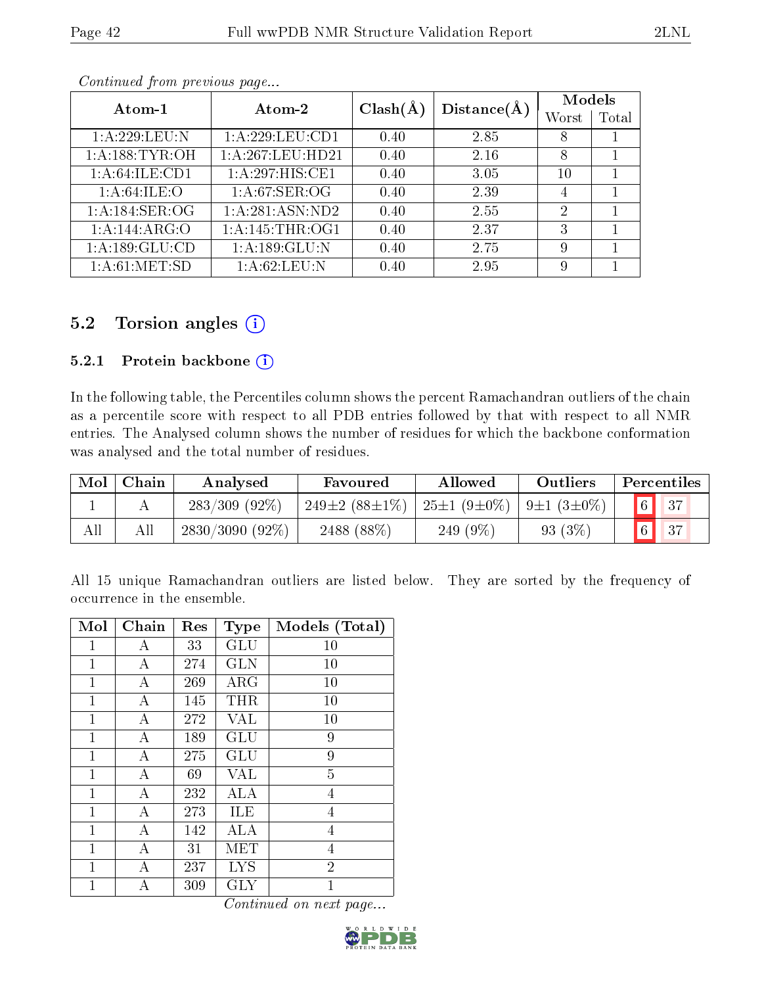| Atom-1                     | Atom-2           | $Clash(\AA)$ | Distance(A) | Models         |       |
|----------------------------|------------------|--------------|-------------|----------------|-------|
|                            |                  |              |             | Worst          | Total |
| 1:A:229:LEU:N              | 1: A:229:LEU:CD1 | 0.40         | 2.85        | 8              |       |
| 1: A: 188: TYR: OH         | 1:A:267:LEU:HD21 | 0.40         | 2.16        | 8              |       |
| 1: A:64:ILE:CD1            | 1:A:297:HIS:CE1  | 0.40         | 3.05        | 10             |       |
| 1: A:64:ILE:O              | 1: A:67:SER:OG   | 0.40         | 2.39        | 4              |       |
| 1: A:184: SER:OG           | 1:A:281:ASN:ND2  | 0.40         | 2.55        | $\overline{2}$ |       |
| $1:A:144:AR\overline{G:O}$ | 1:A:145:THR:OG1  | 0.40         | 2.37        | 3              |       |
| 1:A:189:GLU:CD             | 1:A:189:GLU:N    | 0.40         | 2.75        | 9              |       |
| 1:A:61:MET:5D              | 1: A:62:LEU: N   | 0.40         | 2.95        | 9              |       |

### 5.2 Torsion angles  $(i)$

#### 5.2.1 Protein backbone (i)

In the following table, the Percentiles column shows the percent Ramachandran outliers of the chain as a percentile score with respect to all PDB entries followed by that with respect to all NMR entries. The Analysed column shows the number of residues for which the backbone conformation was analysed and the total number of residues.

| Mol | Chain | Analysed          | Favoured                   | Allowed           | Outliers         | Percentiles |
|-----|-------|-------------------|----------------------------|-------------------|------------------|-------------|
|     |       | $283/309$ (92\%)  | 249 $\pm$ 2 (88 $\pm$ 1\%) | $25\pm1(9\pm0\%)$ | $9\pm1(3\pm0\%)$ |             |
| All | All   | $2830/3090(92\%)$ | 2488 (88\%)                | 249 (9%)          | 93 (3%)          | 27          |

All 15 unique Ramachandran outliers are listed below. They are sorted by the frequency of occurrence in the ensemble.

| Mol          | Chain | Res | <b>Type</b> | Models (Total) |
|--------------|-------|-----|-------------|----------------|
| 1            | А     | 33  | <b>GLU</b>  | 10             |
| $\mathbf{1}$ | А     | 274 | <b>GLN</b>  | 10             |
| 1            | А     | 269 | $\rm{ARG}$  | 10             |
| $\mathbf{1}$ | А     | 145 | THR         | 10             |
| 1            | А     | 272 | VAL         | 10             |
| $\mathbf{1}$ | А     | 189 | GLU         | 9              |
| 1            | А     | 275 | GLU         | 9              |
| 1            | А     | 69  | <b>VAL</b>  | $\overline{5}$ |
| 1            | А     | 232 | ALA         | 4              |
| 1            | А     | 273 | ILE         | 4              |
| 1            | А     | 142 | ALA         | 4              |
| 1            | А     | 31  | MET         | $\overline{4}$ |
| 1            | А     | 237 | <b>LYS</b>  | $\overline{2}$ |
| 1            | А     | 309 | GLY         | $\overline{1}$ |

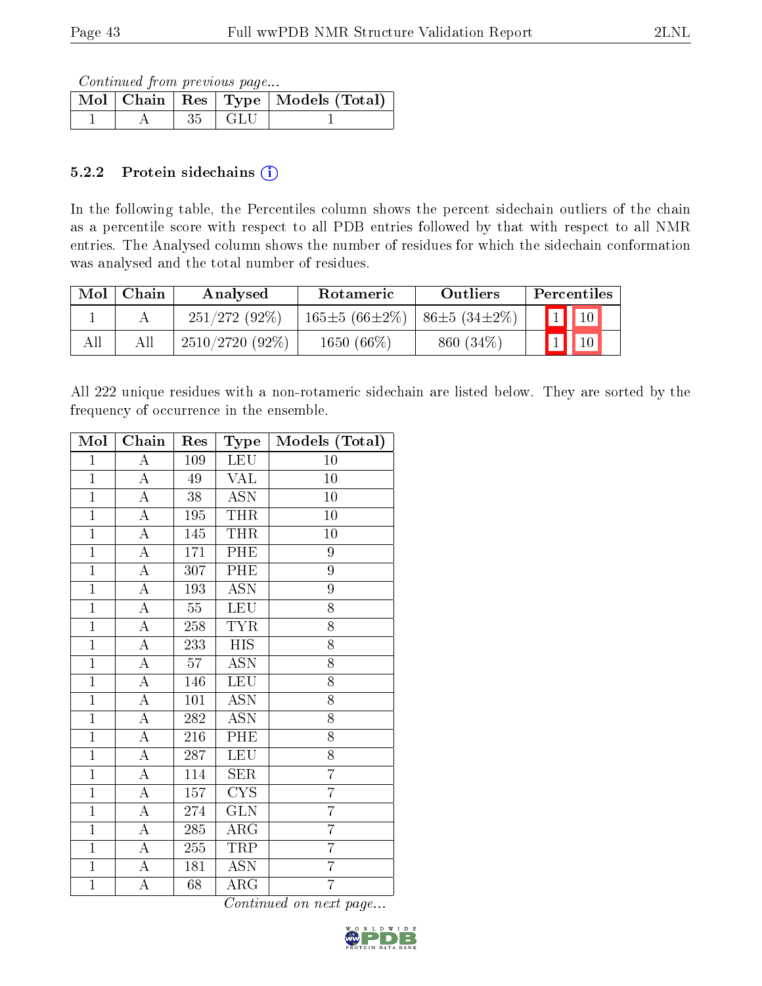Continued from previous page...

|  |              | Mol   Chain   Res   Type   Models (Total) |
|--|--------------|-------------------------------------------|
|  | $35 \pm GLU$ |                                           |

### 5.2.2 Protein sidechains  $(i)$

In the following table, the Percentiles column shows the percent sidechain outliers of the chain as a percentile score with respect to all PDB entries followed by that with respect to all NMR entries. The Analysed column shows the number of residues for which the sidechain conformation was analysed and the total number of residues.

| Mol | Chain | Analysed          | <b>Rotameric</b>    | Outliers            | Percentiles              |  |
|-----|-------|-------------------|---------------------|---------------------|--------------------------|--|
|     |       | $251/272(92\%)$   | $165\pm5(66\pm2\%)$ | $ 86\pm5(34\pm2\%)$ | $\boxed{1}$ $\boxed{10}$ |  |
| All | Аll   | $2510/2720(92\%)$ | $1650(66\%)$        | $860(34\%)$         | $\vert$ 10               |  |

All 222 unique residues with a non-rotameric sidechain are listed below. They are sorted by the frequency of occurrence in the ensemble.

| Mol            | Chain              | Res    | Type                    | Models (Total)  |
|----------------|--------------------|--------|-------------------------|-----------------|
| $\overline{1}$ | $\overline{\rm A}$ | 109    | LEU                     | 10              |
| $\overline{1}$ | $\boldsymbol{A}$   | 49     | <b>VAL</b>              | 10              |
| $\mathbf{1}$   | $\overline{\rm A}$ | 38     | <b>ASN</b>              | 10              |
| $\overline{1}$ | $\overline{A}$     | 195    | <b>THR</b>              | $\overline{1}0$ |
| $\overline{1}$ | $\overline{A}$     | 145    | <b>THR</b>              | 10              |
| $\overline{1}$ | $\boldsymbol{A}$   | 171    | PHE                     | 9               |
| $\overline{1}$ | $\overline{\rm A}$ | 307    | PHE                     | $\overline{9}$  |
| $\mathbf{1}$   | $\overline{A}$     | 193    | <b>ASN</b>              | 9               |
| $\overline{1}$ | $\overline{\rm A}$ | $55\,$ | <b>LEU</b>              | 8               |
| $\overline{1}$ | $\mathbf A$        | 258    | <b>TYR</b>              | 8               |
| $\overline{1}$ | $\overline{\rm A}$ | 233    | <b>HIS</b>              | 8               |
| $\mathbf{1}$   | $\boldsymbol{A}$   | 57     | ASN                     | 8               |
| $\overline{1}$ | $\overline{\rm A}$ | 146    | <b>LEU</b>              | 8               |
| $\overline{1}$ | $\overline{A}$     | 101    | <b>ASN</b>              | 8               |
| $\overline{1}$ | $\overline{\rm A}$ | 282    | <b>ASN</b>              | 8               |
| $\overline{1}$ | $\overline{A}$     | 216    | PHE                     | $\overline{8}$  |
| $\overline{1}$ | $\overline{\rm A}$ | 287    | <b>LEU</b>              | 8               |
| $\mathbf{1}$   | $\overline{\rm A}$ | 114    | <b>SER</b>              | $\overline{7}$  |
| $\overline{1}$ | $\overline{\rm A}$ | 157    | $\overline{\text{CYS}}$ | $\overline{7}$  |
| $\overline{1}$ | $\boldsymbol{A}$   | 274    | <b>GLN</b>              | $\overline{7}$  |
| $\overline{1}$ | $\overline{\rm A}$ | 285    | $\rm{ARG}$              | $\overline{7}$  |
| $\overline{1}$ | $\boldsymbol{A}$   | 255    | TRP                     | $\overline{7}$  |
| $\overline{1}$ | $\overline{\rm A}$ | 181    | <b>ASN</b>              | $\overline{7}$  |
| $\overline{1}$ | A                  | 68     | ${\rm ARG}$             | $\overline{7}$  |

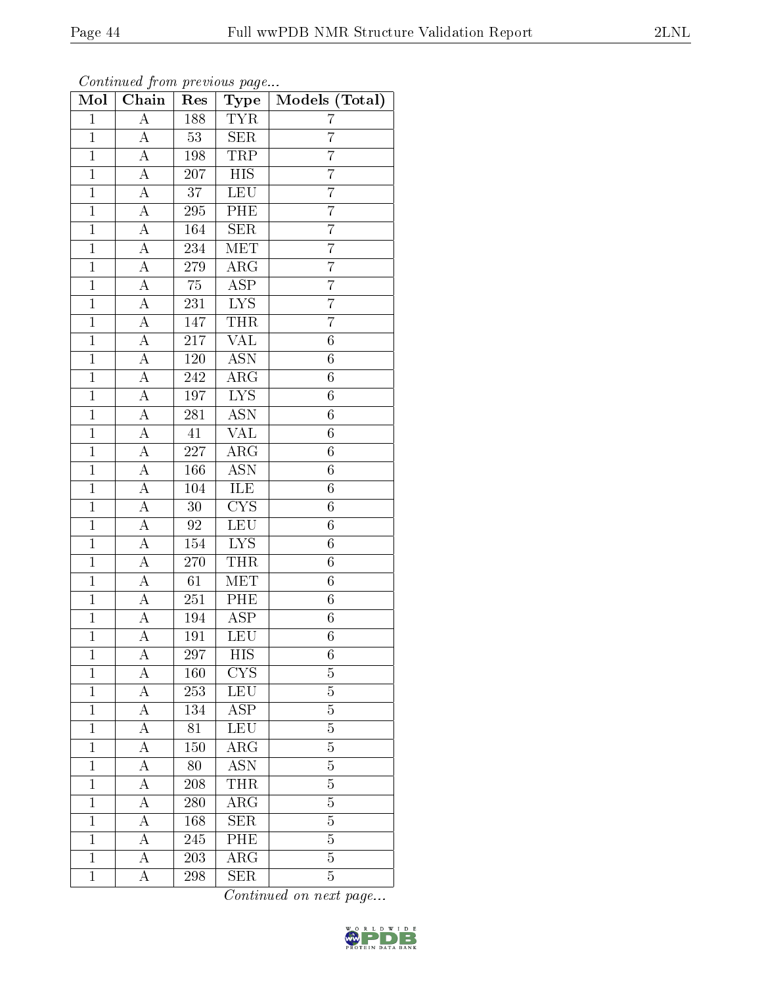| Mol            | $\overline{\text{Chain}}$ | Res              | Type                      | Models (Total)   |
|----------------|---------------------------|------------------|---------------------------|------------------|
| $\overline{1}$ | $\overline{A}$            | 188              | <b>TYR</b>                | 7                |
| $\overline{1}$ | $\boldsymbol{A}$          | 53               | <b>SER</b>                | $\overline{7}$   |
| $\overline{1}$ | $\overline{A}$            | 198              | <b>TRP</b>                | $\overline{7}$   |
| $\mathbf{1}$   | A                         | 207              | $_{\rm HIS}$              | 7                |
| $\overline{1}$ | $\overline{\rm A}$        | $\overline{37}$  | <b>LEU</b>                | $\overline{7}$   |
| $\mathbf{1}$   | $\overline{\rm A}$        | 295              | PHE                       | 7                |
| $\overline{1}$ | $\overline{\rm A}$        | 164              | SER                       | $\overline{7}$   |
| $\overline{1}$ | $\overline{\rm A}$        | 234              | MET                       | $\overline{7}$   |
| $\mathbf{1}$   | A                         | 279              | $\overline{\rm{ARG}}$     | $\overline{7}$   |
| $\overline{1}$ | $\overline{A}$            | $\overline{75}$  | $\overline{\text{ASP}}$   | $\overline{7}$   |
| $\overline{1}$ | A                         | 231              | $\overline{LYS}$          | $\overline{7}$   |
| $\overline{1}$ | $\overline{\rm A}$        | 147              | <b>THR</b>                | $\overline{7}$   |
| $\overline{1}$ | A                         | 217              | <b>VAL</b>                | $\overline{6}$   |
| $\mathbf{1}$   | $\boldsymbol{A}$          | 120              | <b>ASN</b>                | $\sqrt{6}$       |
| $\mathbf{1}$   | A                         | 242              | $\overline{\rm{ARG}}$     | $\sqrt{6}$       |
| $\overline{1}$ | $\boldsymbol{A}$          | 197              | $\overline{LYS}$          | $\overline{6}$   |
| $\overline{1}$ | А                         | 281              | $\overline{\mathrm{ASN}}$ | $\overline{6}$   |
| $\mathbf{1}$   | А                         | $41\,$           | VAL                       | $\boldsymbol{6}$ |
| $\mathbf{1}$   | А                         | 227              | ARG                       | $\sqrt{6}$       |
| $\overline{1}$ | A                         | 166              | <b>ASN</b>                | $\overline{6}$   |
| $\mathbf{1}$   | $\boldsymbol{A}$          | 104              | ILE                       | $\sqrt{6}$       |
| $\overline{1}$ | $\overline{A}$            | $\overline{30}$  | $\overline{\text{CYS}}$   | $\overline{6}$   |
| $\mathbf{1}$   | $\boldsymbol{A}$          | 92               | LEU                       | $\boldsymbol{6}$ |
| $\overline{1}$ | $\overline{\rm A}$        | 154              | $\overline{\text{LYS}}$   | $\overline{6}$   |
| $\mathbf{1}$   | $\overline{\rm A}$        | 270              | THR                       | $\sqrt{6}$       |
| $\overline{1}$ | $\overline{\rm A}$        | 61               | $\overline{\text{MET}}$   | $\overline{6}$   |
| $\overline{1}$ | $\overline{\rm A}$        | 251              | PHE                       | $\overline{6}$   |
| $\overline{1}$ | A                         | 194              | <b>ASP</b>                | $\overline{6}$   |
| $\overline{1}$ | $\overline{\rm A}$        | 191              | LEU                       | $\overline{6}$   |
| $\mathbf{1}$   | А                         | $\overline{297}$ | <b>HIS</b>                | 6                |
| $\mathbf{1}$   | А                         | 160              | CYS                       | $\overline{5}$   |
| $\mathbf{1}$   | А                         | 253              | LEU                       | $\overline{5}$   |
| $\mathbf{1}$   | А                         | 134              | ASP                       | $\overline{5}$   |
| $\mathbf{1}$   | А                         | 81               | LEU                       | $\overline{5}$   |
| $\mathbf{1}$   | А                         | 150              | $AR\overline{G}$          | $\overline{5}$   |
| $\mathbf{1}$   | А                         | 80               | $\overline{\mathrm{ASN}}$ | $\overline{5}$   |
| $\mathbf 1$    | А                         | 208              | THR                       | $\overline{5}$   |
| $\mathbf{1}$   | А                         | 280              | $\rm{ARG}$                | 5                |
| $\mathbf{1}$   | А                         | 168              | SER                       | $\overline{5}$   |
| $\mathbf{1}$   | А                         | 245              | PHE                       | $\overline{5}$   |
| $\mathbf{1}$   | A                         | $\overline{203}$ | $\overline{\rm{ARG}}$     | $\overline{5}$   |
| $\mathbf{1}$   | А                         | 298              | <b>SER</b>                | 5                |

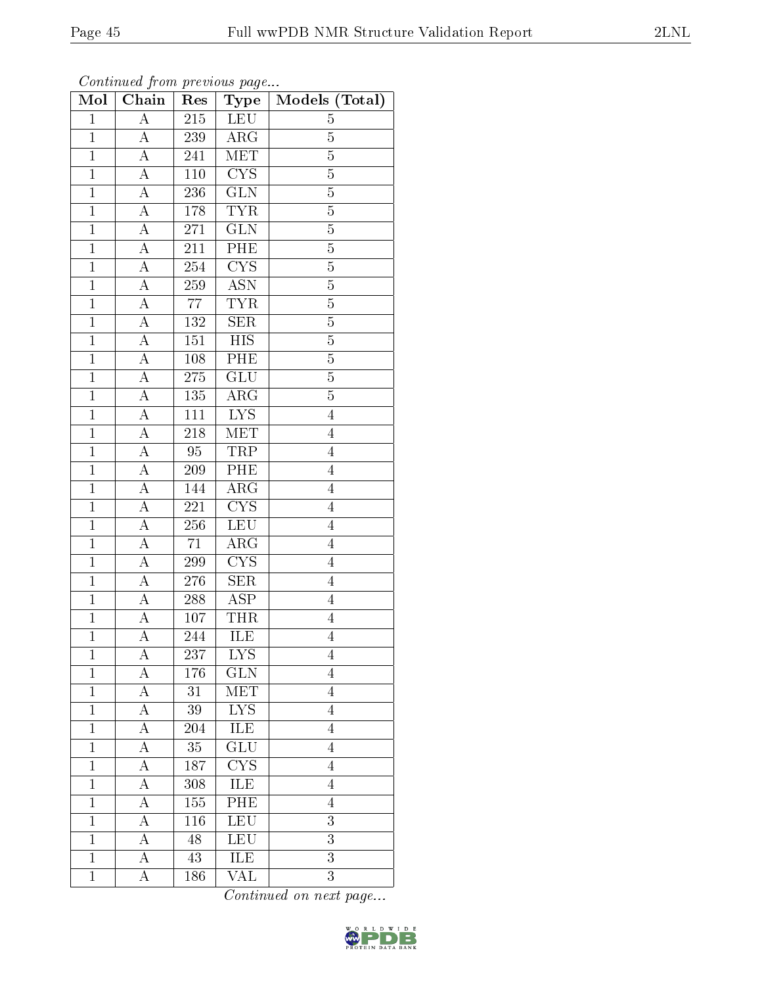|--|--|

| Mol            | Chain              | $\mathbf{r}$ . $\circ$ $\circ$ $\circ$<br>Res | $\sim r \sim \frac{1}{2}$<br>Type | Models (Total) |
|----------------|--------------------|-----------------------------------------------|-----------------------------------|----------------|
| $\mathbf{1}$   | $\overline{\rm A}$ | 215                                           | LEU                               | 5              |
| $\overline{1}$ | A                  | 239                                           | $\rm{ARG}$                        | $\overline{5}$ |
| $\overline{1}$ | $\overline{\rm A}$ | 241                                           | MET                               | $\overline{5}$ |
| $\mathbf{1}$   | A                  | $1\,10$                                       | CYS                               | $\overline{5}$ |
| $\overline{1}$ | $\overline{A}$     | 236                                           | $\overline{\text{GLN}}$           | $\overline{5}$ |
| $\overline{1}$ | A                  | 178                                           | <b>TYR</b>                        | $\overline{5}$ |
| $\overline{1}$ | $\overline{A}$     | 271                                           | $\overline{\text{GLN}}$           | $\overline{5}$ |
| $\overline{1}$ | A                  | 211                                           | $\overline{\text{PHE}}$           | $\overline{5}$ |
| $\mathbf{1}$   | $\overline{A}$     | 254                                           | <b>CYS</b>                        | $\overline{5}$ |
| $\overline{1}$ | A                  | 259                                           | $\overline{\text{ASN}}$           | $\overline{5}$ |
| $\overline{1}$ | $\boldsymbol{A}$   | 77                                            | <b>TYR</b>                        | $\overline{5}$ |
| $\overline{1}$ | A                  | 132                                           | $\overline{\text{SER}}$           | $\overline{5}$ |
| $\mathbf{1}$   | A                  | 151                                           | <b>HIS</b>                        | $\overline{5}$ |
| $\mathbf{1}$   | $\boldsymbol{A}$   | 108                                           | $\overline{\rm{PHE}}$             | $\overline{5}$ |
| $\overline{1}$ | $\overline{\rm A}$ | 275                                           | $\overline{\text{GLU}}$           | $\overline{5}$ |
| $\mathbf{1}$   | $\overline{A}$     | 135                                           | $\rm{ARG}$                        | $\overline{5}$ |
| $\overline{1}$ | $\overline{A}$     | $\overline{111}$                              | $\overline{\text{LYS}}$           | $\overline{4}$ |
| $\mathbf{1}$   | $\boldsymbol{A}$   | 218                                           | MET                               | $\overline{4}$ |
| $\overline{1}$ | $\overline{\rm A}$ | 95                                            | TRP                               | $\overline{4}$ |
| $\overline{1}$ | $\overline{A}$     | 209                                           | PHE                               | $\overline{4}$ |
| $\mathbf{1}$   | $\overline{\rm A}$ | 144                                           | $\overline{\text{ARG}}$           | $\overline{4}$ |
| $\overline{1}$ | $\overline{\rm A}$ | 221                                           | $\overline{\text{CYS}}$           | $\overline{4}$ |
| $\mathbf{1}$   | A                  | 256                                           | <b>LEU</b>                        | $\overline{4}$ |
| $\overline{1}$ | A                  | $71\,$                                        | $\overline{\rm{ARG}}$             | $\overline{4}$ |
| $\overline{1}$ | $\overline{\rm A}$ | 299                                           | $\overline{\text{CYS}}$           | $\overline{4}$ |
| $\overline{1}$ | $\boldsymbol{A}$   | 276                                           | <b>SER</b>                        | $\overline{4}$ |
| $\overline{1}$ | A                  | 288                                           | $\overline{\text{ASP}}$           | $\overline{4}$ |
| $\overline{1}$ | $\boldsymbol{A}$   | 107                                           | <b>THR</b>                        | $\overline{4}$ |
| $\overline{1}$ | A                  | 244                                           | ILE                               | $\overline{4}$ |
| 1              | $\boldsymbol{A}$   | 237                                           | <b>LYS</b>                        | 4              |
| $\overline{1}$ | А                  | 176                                           | GLN                               | $\overline{4}$ |
| $\mathbf{1}$   | А                  | 31                                            | MET                               | $\overline{4}$ |
| $\mathbf{1}$   | А                  | 39                                            | <b>LYS</b>                        | $\overline{4}$ |
| $\mathbf{1}$   | А                  | 204                                           | <b>ILE</b>                        | $\overline{4}$ |
| $\mathbf{1}$   | $\boldsymbol{A}$   | 35                                            | $\overline{\text{GLU}}$           | $\overline{4}$ |
| $\mathbf{1}$   | $\overline{\rm A}$ | 187                                           | $\overline{\text{CYS}}$           | $\overline{4}$ |
| $\mathbf{1}$   | А                  | 308                                           | ILE                               | $\overline{4}$ |
| $\mathbf{1}$   | A                  | 155                                           | PHE                               | $\overline{4}$ |
| $\mathbf{1}$   | A                  | 116                                           | LEU                               | 3              |
| $\mathbf{1}$   | $\boldsymbol{A}$   | 48                                            | LEU                               | 3              |
| $\mathbf{1}$   | $\boldsymbol{A}$   | 43                                            | $\overline{\text{ILE}}$           | $\overline{3}$ |
| $\mathbf{1}$   | А                  | 186                                           | VAL                               | $\overline{3}$ |

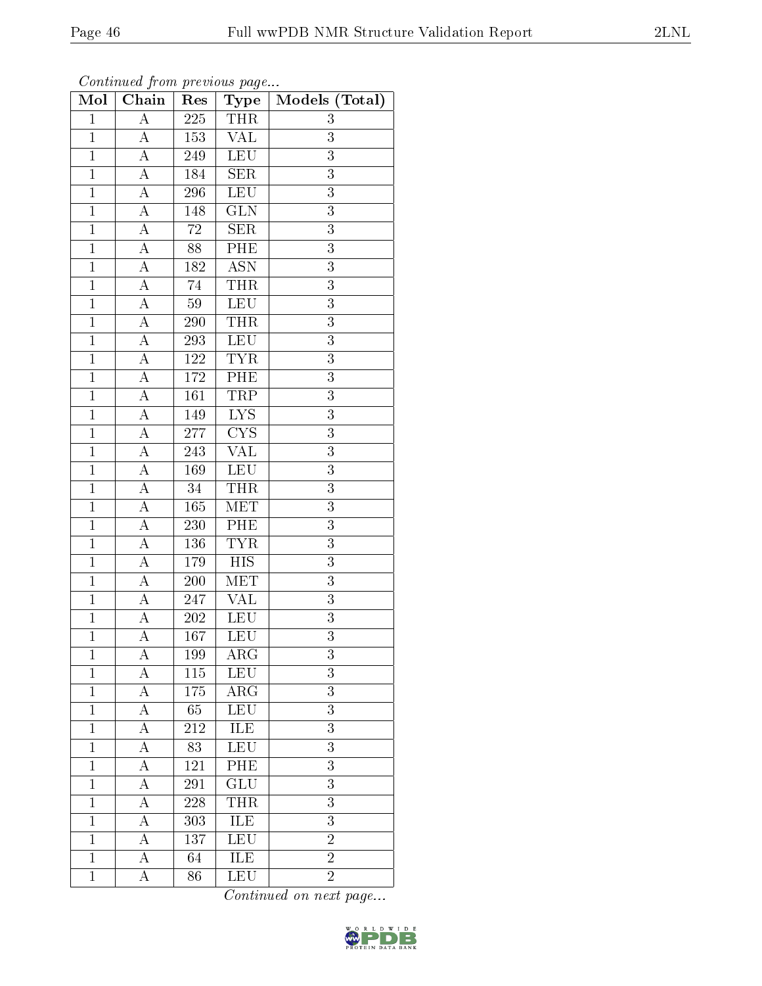| Mol            | Chain              | Res              | Type                    | Models (Total)   |
|----------------|--------------------|------------------|-------------------------|------------------|
| $\overline{1}$ | $\overline{A}$     | $\overline{225}$ | <b>THR</b>              | $\boldsymbol{3}$ |
| $\overline{1}$ | A                  | 153              | $\overline{\text{VAL}}$ | 3                |
| $\overline{1}$ | $\overline{A}$     | 249              | LEU                     | $\overline{3}$   |
| $\mathbf{1}$   | $\boldsymbol{A}$   | 184              | <b>SER</b>              | 3                |
| $\overline{1}$ | $\overline{A}$     | <b>296</b>       | <b>LEU</b>              | $\overline{3}$   |
| $\mathbf{1}$   | $\overline{\rm A}$ | 148              | $\overline{\text{GLN}}$ | 3                |
| $\overline{1}$ | $\overline{\rm A}$ | $\overline{72}$  | SER                     | $\overline{3}$   |
| $\overline{1}$ | $\overline{\rm A}$ | 88               | PHE                     | $\overline{3}$   |
| $\mathbf{1}$   | A                  | 182              | <b>ASN</b>              | $\overline{3}$   |
| $\overline{1}$ | $\overline{A}$     | 74               | <b>THR</b>              | $\overline{3}$   |
| $\overline{1}$ | A                  | 59               | LEU                     | $\overline{3}$   |
| $\overline{1}$ | $\overline{A}$     | $\overline{290}$ | <b>THR</b>              | $\overline{3}$   |
| $\overline{1}$ | A                  | $\,293$          | LEU                     | $\overline{3}$   |
| $\mathbf{1}$   | $\overline{A}$     | 122              | <b>TYR</b>              | 3                |
| $\mathbf{1}$   | A                  | 172              | PHE                     | $\overline{3}$   |
| $\overline{1}$ | $\boldsymbol{A}$   | 161              | TRP                     | $\overline{3}$   |
| $\overline{1}$ | A                  | 149              | $\overline{\text{LYS}}$ | $\overline{3}$   |
| $\mathbf{1}$   | А                  | $277\,$          | $\overline{\text{CYS}}$ | 3                |
| $\mathbf{1}$   | А                  | 243              | $\overline{\text{VAL}}$ | 3                |
| $\overline{1}$ | $\overline{\rm A}$ | 169              | <b>LEU</b>              | $\overline{3}$   |
| $\mathbf{1}$   | $\boldsymbol{A}$   | $34\,$           | THR                     | $\overline{3}$   |
| $\overline{1}$ | $\overline{A}$     | 165              | MET                     | $\overline{3}$   |
| $\mathbf{1}$   | $\boldsymbol{A}$   | 230              | PHE                     | $\boldsymbol{3}$ |
| $\overline{1}$ | $\overline{\rm A}$ | 136              | <b>TYR</b>              | $\overline{3}$   |
| $\mathbf{1}$   | $\overline{\rm A}$ | 179              | <b>HIS</b>              | $\overline{3}$   |
| $\overline{1}$ | $\overline{\rm A}$ | 200              | $\overline{\text{MET}}$ | $\overline{3}$   |
| $\overline{1}$ | $\overline{A}$     | 247              | $\overline{\text{VAL}}$ | $\overline{3}$   |
| $\overline{1}$ | A                  | 202              | LEU                     | $\overline{3}$   |
| $\overline{1}$ | $\overline{\rm A}$ | 167              | $\overline{\text{LEU}}$ | $\overline{3}$   |
| $\mathbf 1$    | А                  | 199              | ARG                     | $\overline{3}$   |
| $\mathbf{1}$   | A                  | 115              | <b>LEU</b>              | 3                |
| $\mathbf{1}$   | А                  | 175              | $\rm{ARG}$              | $\overline{3}$   |
| $\mathbf{1}$   | А                  | 65               | <b>LEU</b>              | 3                |
| $\mathbf{1}$   | А                  | 212              | ILE                     | 3                |
| $\mathbf{1}$   | А                  | 83               | <b>LEU</b>              | 3                |
| $\mathbf{1}$   | А                  | 121              | PHE                     | $\overline{3}$   |
| $\mathbf 1$    | А                  | 291              | GLU                     | $\overline{3}$   |
| $\mathbf{1}$   | А                  | 228              | <b>THR</b>              | 3                |
| $\mathbf{1}$   | А                  | 303              | <b>ILE</b>              | $\overline{3}$   |
| $\mathbf{1}$   | А                  | 137              | <b>LEU</b>              | $\overline{2}$   |
| $\mathbf{1}$   | A                  | 64               | <b>ILE</b>              | $\overline{2}$   |
| $\mathbf{1}$   | A                  | 86               | LEU                     | $\overline{2}$   |

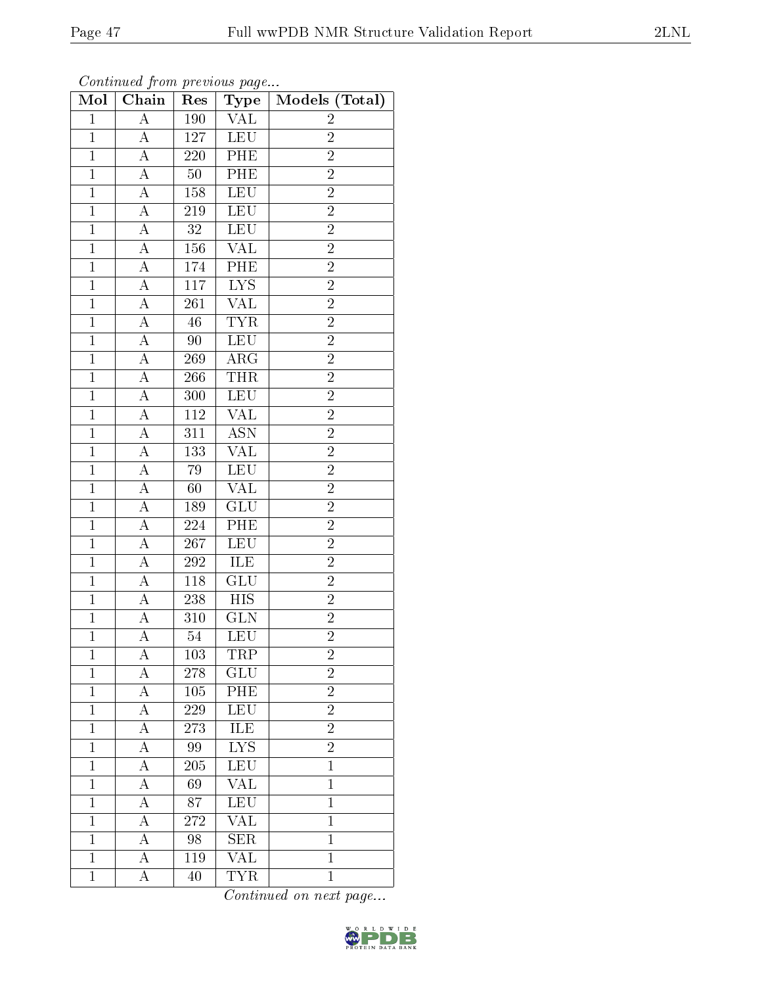|--|

| $\bf{Mol}$     | . <i>.</i><br>$\overline{\text{Chain}}$ | $\mathbf{r}$ .<br>Res | $\mathbf{r}$ $\mathbf{v}$<br>Type | Models (Total) |
|----------------|-----------------------------------------|-----------------------|-----------------------------------|----------------|
| $\mathbf{1}$   | $\overline{\rm A}$                      | 190                   | VAL                               | $\overline{2}$ |
| $\mathbf{1}$   | A                                       | 127                   | <b>LEU</b>                        | $\overline{2}$ |
| $\overline{1}$ | $\overline{\rm A}$                      | 220                   | PHE                               | $\overline{2}$ |
| $\mathbf{1}$   | $\boldsymbol{A}$                        | $50\,$                | PHE                               | $\overline{2}$ |
| $\overline{1}$ | $\overline{A}$                          | 158                   | <b>LEU</b>                        | $\overline{2}$ |
| $\overline{1}$ | A                                       | 219                   | <b>LEU</b>                        | $\overline{2}$ |
| $\overline{1}$ | $\overline{\rm A}$                      | 32                    | <b>LEU</b>                        | $\overline{2}$ |
| $\mathbf{1}$   | А                                       | 156                   | $\overline{\text{VAL}}$           | $\overline{2}$ |
| $\overline{1}$ | $\boldsymbol{A}$                        | 174                   | PHE                               | $\overline{2}$ |
| $\mathbf{1}$   | А                                       | 117                   | $\overline{\text{LYS}}$           | $\overline{2}$ |
| $\mathbf{1}$   | A                                       | 261                   | <b>VAL</b>                        | $\overline{2}$ |
| $\mathbf{1}$   | А                                       | $46\,$                | <b>TYR</b>                        | $\overline{2}$ |
| $\overline{1}$ | A                                       | $90\,$                | <b>LEU</b>                        | $\overline{2}$ |
| $\mathbf{1}$   | $\boldsymbol{A}$                        | 269                   | $AR\overline{G}$                  | $\overline{2}$ |
| $\overline{1}$ | $\overline{A}$                          | 266                   | <b>THR</b>                        | $\overline{2}$ |
| $\mathbf{1}$   | A                                       | 300                   | LEU                               | $\overline{2}$ |
| $\overline{1}$ | $\overline{\rm A}$                      | <b>112</b>            | $\overline{\text{VAL}}$           | $\overline{2}$ |
| $\mathbf{1}$   | $\overline{\rm A}$                      | 311                   | <b>ASN</b>                        | $\overline{2}$ |
| $\overline{1}$ | A                                       | 133                   | $\overline{\text{VAL}}$           | $\overline{2}$ |
| $\overline{1}$ | $\overline{\rm A}$                      | 79                    | LEU                               | $\overline{2}$ |
| $\mathbf{1}$   | A                                       | 60                    | <b>VAL</b>                        | $\overline{2}$ |
| $\overline{1}$ | $\overline{A}$                          | 189                   | $\overline{\text{GLU}}$           | $\overline{2}$ |
| $\mathbf{1}$   | A                                       | 224                   | $\overline{\text{PHE}}$           | $\overline{2}$ |
| $\overline{1}$ | $\overline{\rm A}$                      | 267                   | <b>LEU</b>                        | $\overline{2}$ |
| $\overline{1}$ | A                                       | 292                   | ILE                               | $\overline{2}$ |
| $\mathbf{1}$   | $\boldsymbol{A}$                        | 118                   | GLU                               | $\overline{2}$ |
| $\mathbf{1}$   | А                                       | 238                   | <b>HIS</b>                        | $\overline{2}$ |
| $\overline{1}$ | $\boldsymbol{A}$                        | 310                   | GLN                               | $\overline{2}$ |
| $\overline{1}$ | A                                       | 54                    | LEU                               | $\overline{2}$ |
| 1              | A                                       | 103                   | TRP                               | $\overline{c}$ |
| $\mathbf{1}$   | А                                       | 278                   | GLU                               | $\overline{2}$ |
| $\mathbf{1}$   | А                                       | 105                   | PHE                               | $\overline{2}$ |
| $\mathbf{1}$   | А                                       | 229                   | <b>LEU</b>                        | $\overline{2}$ |
| $\mathbf{1}$   | A                                       | 273                   | <b>ILE</b>                        | $\overline{2}$ |
| $\mathbf 1$    | А                                       | 99                    | <b>LYS</b>                        | $\overline{2}$ |
| $\mathbf{1}$   | A                                       | $\overline{205}$      | LEU                               | $\mathbf 1$    |
| $\mathbf{1}$   | A                                       | 69                    | <b>VAL</b>                        | $\mathbf{1}$   |
| $\mathbf{1}$   | A                                       | 87                    | <b>LEU</b>                        | $\mathbf{1}$   |
| $\mathbf{1}$   | A                                       | 272                   | $\overline{\text{VAL}}$           | $\mathbf{1}$   |
| $\mathbf{1}$   | A                                       | 98                    | <b>SER</b>                        | $\mathbf{1}$   |
| $\mathbf{1}$   | А                                       | 119                   | $\overline{\text{VAL}}$           | $\mathbf{1}$   |
| $\mathbf{1}$   | А                                       | 40                    | <b>TYR</b>                        | $\mathbf{1}$   |

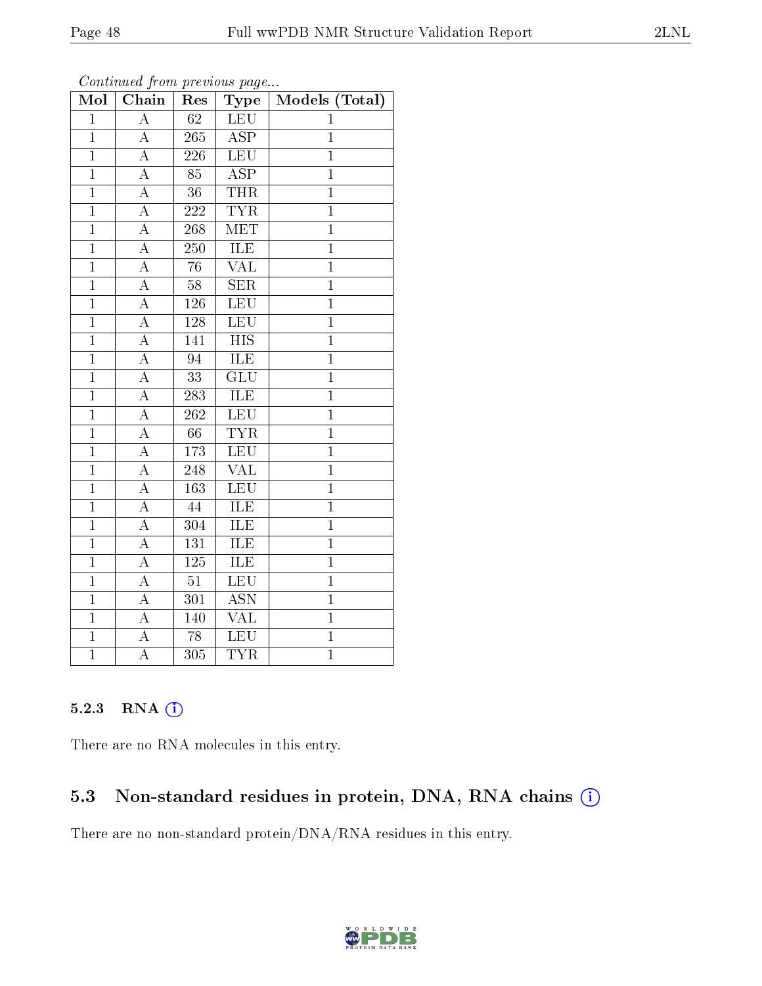| Mol            | Chain              | Res              | ${\bf Type}$              | Models (Total) |
|----------------|--------------------|------------------|---------------------------|----------------|
| $\overline{1}$ | $\overline{\rm A}$ | $\overline{62}$  | <b>LEU</b>                | $\mathbf{1}$   |
| $\mathbf{1}$   | А                  | 265              | $\overline{\text{ASP}}$   | $\mathbf{1}$   |
| $\overline{1}$ | A                  | 226              | <b>LEU</b>                | $\overline{1}$ |
| $\mathbf{1}$   | $\boldsymbol{A}$   | 85               | $\overline{\text{ASP}}$   | $\mathbf{1}$   |
| $\mathbf{1}$   | $\overline{\rm A}$ | $\overline{36}$  | <b>THR</b>                | $\overline{1}$ |
| $\overline{1}$ | A                  | $\bf 222$        | <b>TYR</b>                | $\overline{1}$ |
| $\mathbf{1}$   | $\boldsymbol{A}$   | 268              | MET                       | $\mathbf{1}$   |
| $\overline{1}$ | $\overline{\rm A}$ | 250              | ILE                       | $\overline{1}$ |
| $\mathbf{1}$   | A                  | 76               | <b>VAL</b>                | $\overline{1}$ |
| $\mathbf{1}$   | $\overline{\rm A}$ | $58\,$           | SER                       | $\mathbf{1}$   |
| $\overline{1}$ | $\overline{\rm A}$ | 126              | LEU                       | $\overline{1}$ |
| $\overline{1}$ | $\overline{\rm A}$ | 128              | LEU                       | $\mathbf{1}$   |
| $\overline{1}$ | A                  | 141              | <b>HIS</b>                | $\overline{1}$ |
| $\overline{1}$ | $\overline{\rm A}$ | 94               | ILE                       | $\overline{1}$ |
| $\mathbf{1}$   | $\overline{\rm A}$ | $\overline{33}$  | $\overline{\text{GLU}}$   | $\mathbf{1}$   |
| $\mathbf{1}$   | $\boldsymbol{A}$   | 283              | ILE                       | $\overline{1}$ |
| $\overline{1}$ | $\overline{\rm A}$ | 262              | LEU                       | $\overline{1}$ |
| $\mathbf{1}$   | A                  | 66               | $\overline{\text{TYR}}$   | $\mathbf{1}$   |
| $\overline{1}$ | $\overline{\rm A}$ | 173              | LEU                       | $\overline{1}$ |
| $\overline{1}$ | $\overline{\rm A}$ | 248              | $\overline{\text{VAL}}$   | $\overline{1}$ |
| $\overline{1}$ | $\boldsymbol{A}$   | 163              | LEU                       | $\overline{1}$ |
| $\mathbf{1}$   | A                  | 44               | <b>ILE</b>                | $\overline{1}$ |
| $\mathbf{1}$   | A                  | 304              | ILE                       | $\mathbf{1}$   |
| $\overline{1}$ | $\overline{\rm A}$ | $\overline{131}$ | <b>ILE</b>                | $\overline{1}$ |
| $\mathbf{1}$   | A                  | 125              | ILE                       | $\mathbf{1}$   |
| $\overline{1}$ | $\boldsymbol{A}$   | $\overline{51}$  | LEU                       | $\overline{1}$ |
| $\overline{1}$ | A                  | $\overline{301}$ | $\overline{\mathrm{ASN}}$ | $\overline{1}$ |
| $\mathbf{1}$   | $\boldsymbol{A}$   | 140              | $\overline{\text{VAL}}$   | $\mathbf{1}$   |
| $\overline{1}$ | $\overline{\rm A}$ | 78               | LEU                       | $\overline{1}$ |
| $\mathbf{1}$   | $\boldsymbol{A}$   | 305              | <b>TYR</b>                | $\mathbf{1}$   |

### 5.2.3 RNA (1)

There are no RNA molecules in this entry.

### 5.3 Non-standard residues in protein, DNA, RNA chains (i)

There are no non-standard protein/DNA/RNA residues in this entry.

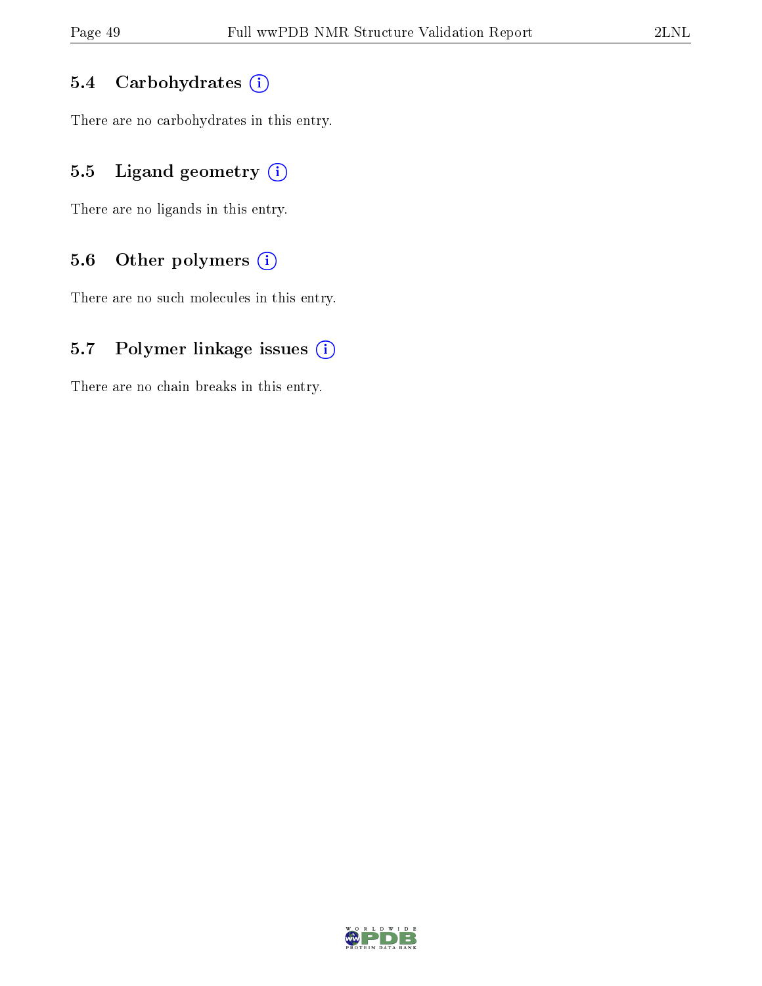### 5.4 Carbohydrates (i)

There are no carbohydrates in this entry.

### 5.5 Ligand geometry (i)

There are no ligands in this entry.

### 5.6 [O](https://www.wwpdb.org/validation/2017/NMRValidationReportHelp#nonstandard_residues_and_ligands)ther polymers (i)

There are no such molecules in this entry.

### 5.7 Polymer linkage issues (i)

There are no chain breaks in this entry.

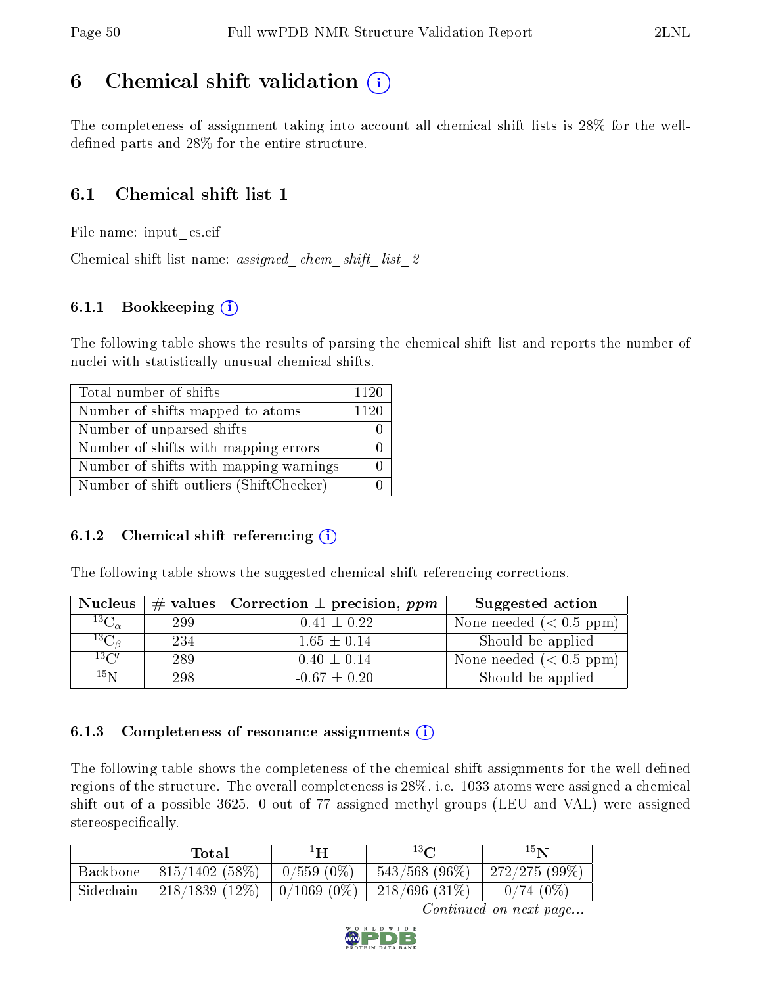### <span id="page-49-0"></span>6 Chemical shift validation  $\binom{1}{k}$

The completeness of assignment taking into account all chemical shift lists is 28% for the welldefined parts and  $28\%$  for the entire structure.

### 6.1 Chemical shift list 1

File name: input\_cs.cif

Chemical shift list name: *assigned\_chem\_shift\_list\_2* 

### 6.1.1 Bookkeeping (i)

The following table shows the results of parsing the chemical shift list and reports the number of nuclei with statistically unusual chemical shifts.

| Total number of shifts                  | 1120 |
|-----------------------------------------|------|
| Number of shifts mapped to atoms        | 1120 |
| Number of unparsed shifts               |      |
| Number of shifts with mapping errors    |      |
| Number of shifts with mapping warnings  |      |
| Number of shift outliers (ShiftChecker) |      |

### 6.1.2 Chemical shift referencing  $(i)$

The following table shows the suggested chemical shift referencing corrections.

| <b>Nucleus</b>      |     | # values   Correction $\pm$ precision, ppm | Suggested action        |
|---------------------|-----|--------------------------------------------|-------------------------|
| ${}^{13}C_{\alpha}$ | 299 | $-0.41 \pm 0.22$                           | None needed $(0.5 ppm)$ |
| ${}^{13}C_{\beta}$  | 234 | $1.65 \pm 0.14$                            | Should be applied       |
| $13\text{C}$        | 289 | $0.40 \pm 0.14$                            | None needed $(0.5 ppm)$ |
| $15\,\mathrm{N}$    | 298 | $-0.67 \pm 0.20$                           | Should be applied       |

#### 6.1.3 Completeness of resonance assignments  $(i)$

The following table shows the completeness of the chemical shift assignments for the well-defined regions of the structure. The overall completeness is 28%, i.e. 1033 atoms were assigned a chemical shift out of a possible 3625. 0 out of 77 assigned methyl groups (LEU and VAL) were assigned stereospecifically.

|           | Total            | ŦП                 | $13\Omega$       | $15\mathrm{N}$ |
|-----------|------------------|--------------------|------------------|----------------|
| Backbone  | $815/1402(58\%)$ | $^+$ 0/559 (0%)    | $543/568$ (96\%) | 272/275 (99%)  |
| Sidechain | $218/1839(12\%)$ | $\mid 0/1069(0\%)$ | 218/696(31%)     | $0/74(0\%)$    |